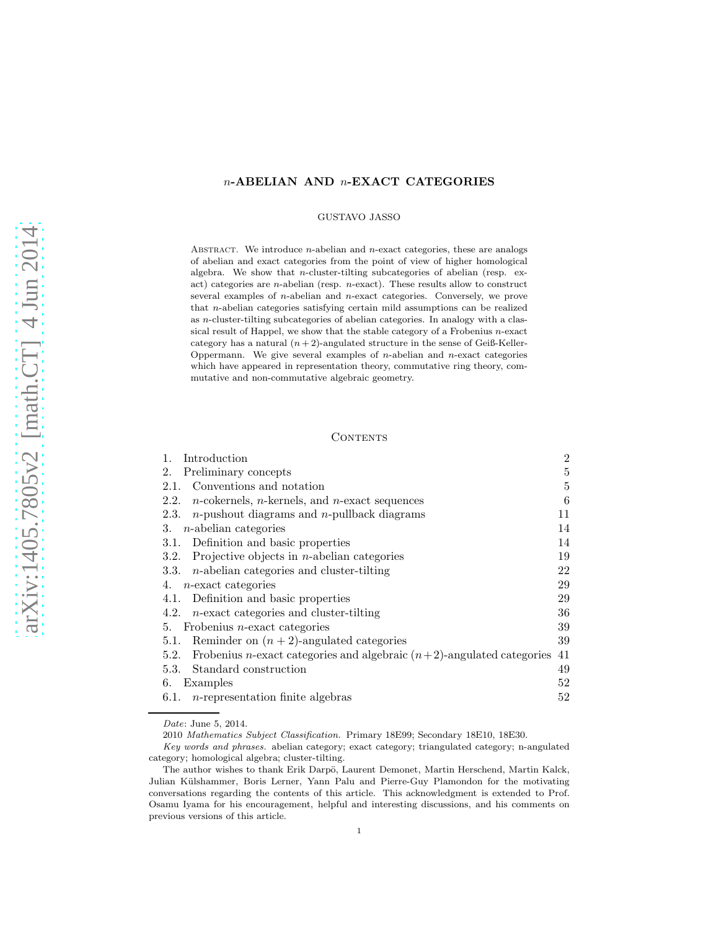# n-ABELIAN AND n-EXACT CATEGORIES

### GUSTAVO JASSO

ABSTRACT. We introduce  $n$ -abelian and  $n$ -exact categories, these are analogs of abelian and exact categories from the point of view of higher homological algebra. We show that *n*-cluster-tilting subcategories of abelian (resp. exact) categories are  $n$ -abelian (resp.  $n$ -exact). These results allow to construct several examples of n-abelian and n-exact categories. Conversely, we prove that n-abelian categories satisfying certain mild assumptions can be realized as n-cluster-tilting subcategories of abelian categories. In analogy with a classical result of Happel, we show that the stable category of a Frobenius  $n$ -exact category has a natural  $(n+2)$ -angulated structure in the sense of Geiß-Keller-Oppermann. We give several examples of  $n$ -abelian and  $n$ -exact categories which have appeared in representation theory, commutative ring theory, commutative and non-commutative algebraic geometry.

## **CONTENTS**

| 1.<br>Introduction                                                                       | $\overline{2}$ |
|------------------------------------------------------------------------------------------|----------------|
| Preliminary concepts<br>2.                                                               | 5              |
| Conventions and notation<br>2.1.                                                         | 5              |
| $n$ -cokernels, $n$ -kernels, and $n$ -exact sequences<br>2.2.                           | 6              |
| $n$ -pushout diagrams and $n$ -pullback diagrams<br>2.3.                                 | 11             |
| $n$ -abelian categories<br>3.                                                            | 14             |
| 3.1. Definition and basic properties                                                     | 14             |
| Projective objects in $n$ -abelian categories<br>3.2.                                    | 19             |
| 3.3. $n$ -abelian categories and cluster-tilting                                         | 22             |
| 4. <i>n</i> -exact categories                                                            | 29             |
| Definition and basic properties<br>4.1.                                                  | 29             |
| $n$ -exact categories and cluster-tilting<br>4.2.                                        | 36             |
| 5. Frobenius $n$ -exact categories                                                       | 39             |
| Reminder on $(n+2)$ -angulated categories<br>5.1.                                        | 39             |
| Frobenius <i>n</i> -exact categories and algebraic $(n+2)$ -angulated categories<br>5.2. | 41             |
| Standard construction<br>5.3.                                                            | 49             |
| Examples<br>6.                                                                           | 52             |
| 6.1. <i>n</i> -representation finite algebras                                            | 52             |

2010 *Mathematics Subject Classification.* Primary 18E99; Secondary 18E10, 18E30.

*Date*: June 5, 2014.

*Key words and phrases.* abelian category; exact category; triangulated category; n-angulated category; homological algebra; cluster-tilting.

The author wishes to thank Erik Darpö, Laurent Demonet, Martin Herschend, Martin Kalck, Julian Külshammer, Boris Lerner, Yann Palu and Pierre-Guy Plamondon for the motivating conversations regarding the contents of this article. This acknowledgment is extended to Prof. Osamu Iyama for his encouragement, helpful and interesting discussions, and his comments on previous versions of this article.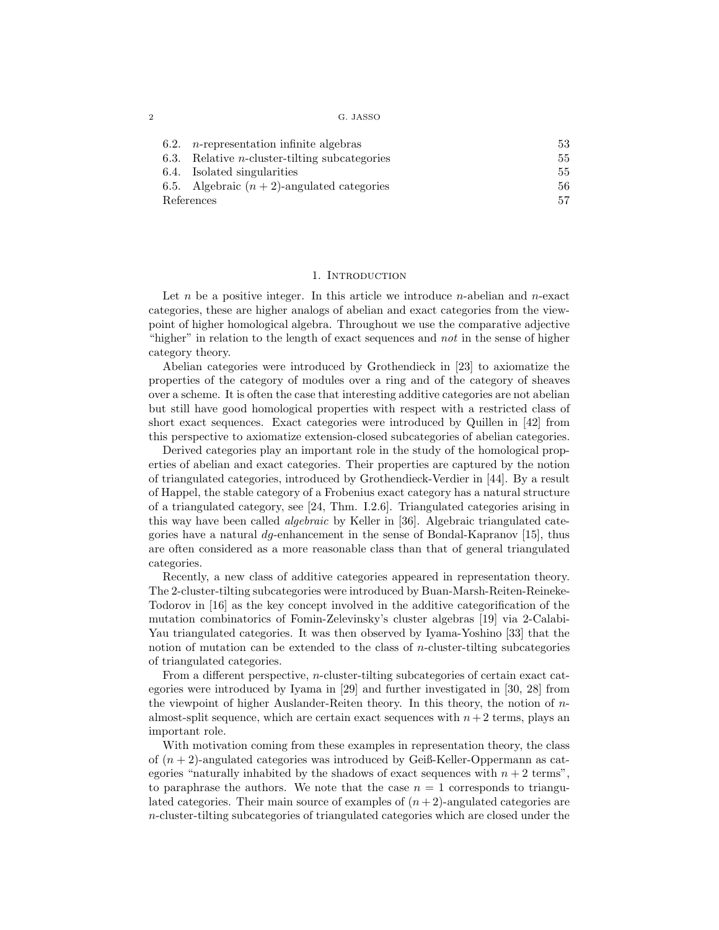|  | G. JASSO |
|--|----------|
|--|----------|

| 6.2. | $n$ -representation infinite algebras                 | 53 |
|------|-------------------------------------------------------|----|
|      | 6.3. Relative <i>n</i> -cluster-tilting subcategories | 55 |
|      | 6.4. Isolated singularities                           | 55 |
|      | 6.5. Algebraic $(n+2)$ -angulated categories          | 56 |
|      | References                                            | 57 |

## 1. INTRODUCTION

Let  $n$  be a positive integer. In this article we introduce  $n$ -abelian and  $n$ -exact categories, these are higher analogs of abelian and exact categories from the viewpoint of higher homological algebra. Throughout we use the comparative adjective "higher" in relation to the length of exact sequences and *not* in the sense of higher category theory.

Abelian categories were introduced by Grothendieck in [23] to axiomatize the properties of the category of modules over a ring and of the category of sheaves over a scheme. It is often the case that interesting additive categories are not abelian but still have good homological properties with respect with a restricted class of short exact sequences. Exact categories were introduced by Quillen in [42] from this perspective to axiomatize extension-closed subcategories of abelian categories.

Derived categories play an important role in the study of the homological properties of abelian and exact categories. Their properties are captured by the notion of triangulated categories, introduced by Grothendieck-Verdier in [44]. By a result of Happel, the stable category of a Frobenius exact category has a natural structure of a triangulated category, see [24, Thm. I.2.6]. Triangulated categories arising in this way have been called *algebraic* by Keller in [36]. Algebraic triangulated categories have a natural  $dg$ -enhancement in the sense of Bondal-Kapranov [15], thus are often considered as a more reasonable class than that of general triangulated categories.

Recently, a new class of additive categories appeared in representation theory. The 2-cluster-tilting subcategories were introduced by Buan-Marsh-Reiten-Reineke-Todorov in [16] as the key concept involved in the additive categorification of the mutation combinatorics of Fomin-Zelevinsky's cluster algebras [19] via 2-Calabi-Yau triangulated categories. It was then observed by Iyama-Yoshino [33] that the notion of mutation can be extended to the class of n-cluster-tilting subcategories of triangulated categories.

From a different perspective, n-cluster-tilting subcategories of certain exact categories were introduced by Iyama in [29] and further investigated in [30, 28] from the viewpoint of higher Auslander-Reiten theory. In this theory, the notion of  $n$ almost-split sequence, which are certain exact sequences with  $n+2$  terms, plays an important role.

With motivation coming from these examples in representation theory, the class of  $(n+2)$ -angulated categories was introduced by Geiß-Keller-Oppermann as categories "naturally inhabited by the shadows of exact sequences with  $n + 2$  terms", to paraphrase the authors. We note that the case  $n = 1$  corresponds to triangulated categories. Their main source of examples of  $(n+2)$ -angulated categories are n-cluster-tilting subcategories of triangulated categories which are closed under the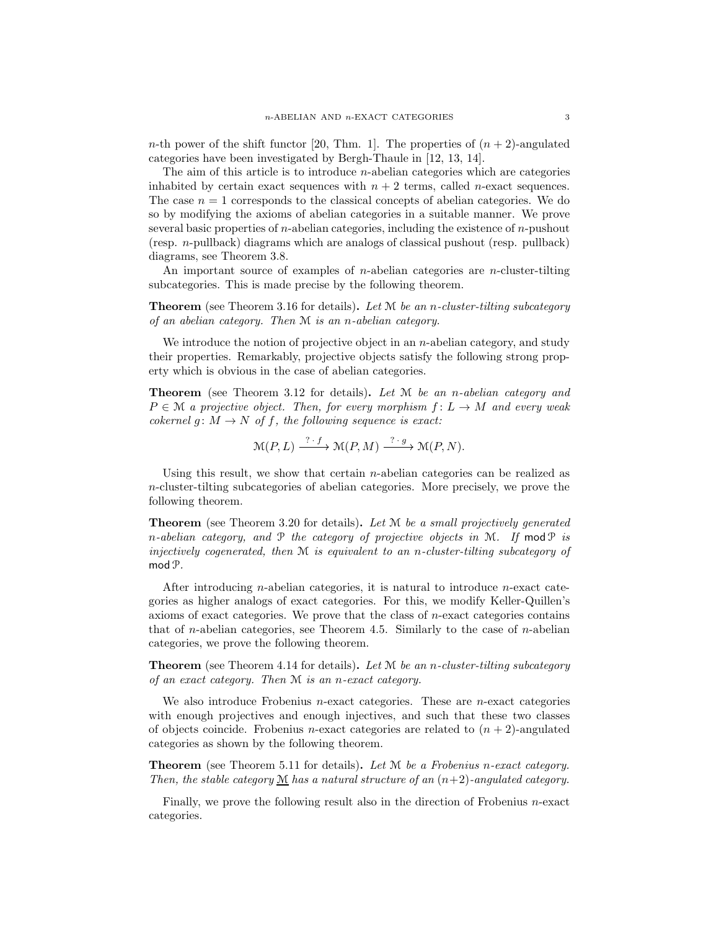n-th power of the shift functor [20, Thm. 1]. The properties of  $(n + 2)$ -angulated categories have been investigated by Bergh-Thaule in [12, 13, 14].

The aim of this article is to introduce  $n$ -abelian categories which are categories inhabited by certain exact sequences with  $n + 2$  terms, called *n*-exact sequences. The case  $n = 1$  corresponds to the classical concepts of abelian categories. We do so by modifying the axioms of abelian categories in a suitable manner. We prove several basic properties of *n*-abelian categories, including the existence of *n*-pushout (resp. n-pullback) diagrams which are analogs of classical pushout (resp. pullback) diagrams, see Theorem 3.8.

An important source of examples of n-abelian categories are n-cluster-tilting subcategories. This is made precise by the following theorem.

Theorem (see Theorem 3.16 for details). *Let* M *be an* n*-cluster-tilting subcategory of an abelian category. Then* M *is an* n*-abelian category.*

We introduce the notion of projective object in an  $n$ -abelian category, and study their properties. Remarkably, projective objects satisfy the following strong property which is obvious in the case of abelian categories.

Theorem (see Theorem 3.12 for details). *Let* M *be an* n*-abelian category and*  $P \in \mathcal{M}$  *a projective object. Then, for every morphism*  $f: L \to M$  *and every weak cokernel*  $g: M \to N$  *of f, the following sequence is exact:* 

$$
\mathcal{M}(P,L) \xrightarrow{\cdot ? \cdot f} \mathcal{M}(P,M) \xrightarrow{\cdot ? \cdot g} \mathcal{M}(P,N).
$$

Using this result, we show that certain *n*-abelian categories can be realized as  $n$ -cluster-tilting subcategories of abelian categories. More precisely, we prove the following theorem.

Theorem (see Theorem 3.20 for details). *Let* M *be a small projectively generated* n*-abelian category, and* P *the category of projective objects in* M*. If* modP *is injectively cogenerated, then* M *is equivalent to an* n*-cluster-tilting subcategory of* mod  $\mathcal{P}$ .

After introducing *n*-abelian categories, it is natural to introduce *n*-exact categories as higher analogs of exact categories. For this, we modify Keller-Quillen's axioms of exact categories. We prove that the class of n-exact categories contains that of *n*-abelian categories, see Theorem 4.5. Similarly to the case of *n*-abelian categories, we prove the following theorem.

Theorem (see Theorem 4.14 for details). *Let* M *be an* n*-cluster-tilting subcategory of an exact category. Then* M *is an* n*-exact category.*

We also introduce Frobenius *n*-exact categories. These are *n*-exact categories with enough projectives and enough injectives, and such that these two classes of objects coincide. Frobenius *n*-exact categories are related to  $(n + 2)$ -angulated categories as shown by the following theorem.

Theorem (see Theorem 5.11 for details). *Let* M *be a Frobenius* n*-exact category. Then, the stable category*  $\underline{M}$  *has a natural structure of an*  $(n+2)$ *-angulated category.* 

Finally, we prove the following result also in the direction of Frobenius n-exact categories.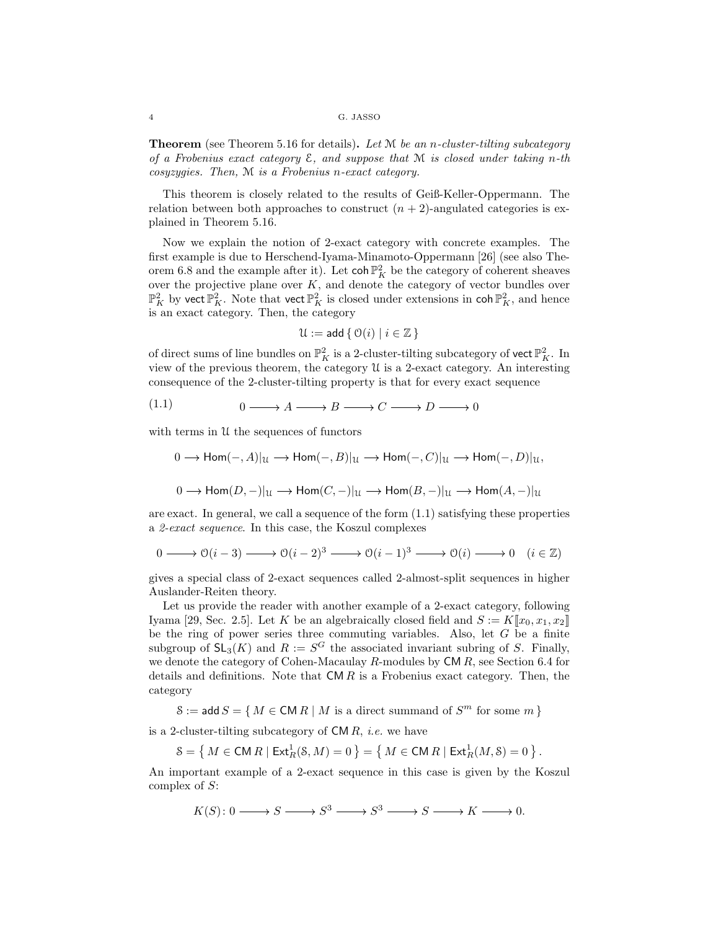Theorem (see Theorem 5.16 for details). *Let* M *be an* n*-cluster-tilting subcategory of a Frobenius exact category* E*, and suppose that* M *is closed under taking* n*-th cosyzygies. Then,* M *is a Frobenius* n*-exact category.*

This theorem is closely related to the results of Geiß-Keller-Oppermann. The relation between both approaches to construct  $(n + 2)$ -angulated categories is explained in Theorem 5.16.

Now we explain the notion of 2-exact category with concrete examples. The first example is due to Herschend-Iyama-Minamoto-Oppermann [26] (see also Theorem 6.8 and the example after it). Let  $\text{coh }\mathbb{P}^2$  be the category of coherent sheaves over the projective plane over  $K$ , and denote the category of vector bundles over  $\mathbb{P}^2_K$  by vect  $\mathbb{P}^2_K$ . Note that vect  $\mathbb{P}^2_K$  is closed under extensions in  $\coh \mathbb{P}^2_K$ , and hence is an exact category. Then, the category

$$
\mathfrak{U} := \mathsf{add} \{ \mathfrak{O}(i) \mid i \in \mathbb{Z} \}
$$

of direct sums of line bundles on  $\mathbb{P}^2_K$  is a 2-cluster-tilting subcategory of vect  $\mathbb{P}^2_K$ . In view of the previous theorem, the category U is a 2-exact category. An interesting consequence of the 2-cluster-tilting property is that for every exact sequence

$$
(1.1) \t 0 \longrightarrow A \longrightarrow B \longrightarrow C \longrightarrow D \longrightarrow 0
$$

with terms in  $U$  the sequences of functors

$$
0 \to \text{Hom}(-, A)|_{\mathcal{U}} \to \text{Hom}(-, B)|_{\mathcal{U}} \to \text{Hom}(-, C)|_{\mathcal{U}} \to \text{Hom}(-, D)|_{\mathcal{U}},
$$
  

$$
0 \to \text{Hom}(D, -)|_{\mathcal{U}} \to \text{Hom}(C, -)|_{\mathcal{U}} \to \text{Hom}(B, -)|_{\mathcal{U}} \to \text{Hom}(A, -)|_{\mathcal{U}}
$$

are exact. In general, we call a sequence of the form (1.1) satisfying these properties a *2-exact sequence*. In this case, the Koszul complexes

$$
0 \longrightarrow \mathcal{O}(i-3) \longrightarrow \mathcal{O}(i-2)^3 \longrightarrow \mathcal{O}(i-1)^3 \longrightarrow \mathcal{O}(i) \longrightarrow 0 \quad (i \in \mathbb{Z})
$$

gives a special class of 2-exact sequences called 2-almost-split sequences in higher Auslander-Reiten theory.

Let us provide the reader with another example of a 2-exact category, following Iyama [29, Sec. 2.5]. Let K be an algebraically closed field and  $S := K[[x_0, x_1, x_2]]$ be the ring of power series three commuting variables. Also, let  $G$  be a finite subgroup of  $\mathsf{SL}_3(K)$  and  $R := S^G$  the associated invariant subring of S. Finally, we denote the category of Cohen-Macaulay R-modules by CM R, see Section 6.4 for details and definitions. Note that  $\mathsf{CM}\,R$  is a Frobenius exact category. Then, the category

 $S := \mathsf{add}\, S = \{ M \in \mathsf{CM}\, R \mid M \text{ is a direct summand of } S^m \text{ for some } m \}$ 

is a 2-cluster-tilting subcategory of CM R, *i.e.* we have

 $\mathcal{S} = \left\{\, M \in \mathsf{CM}\,R \mid \mathsf{Ext}^1_R(\mathcal{S},M) = 0 \,\right\} = \left\{\, M \in \mathsf{CM}\,R \mid \mathsf{Ext}^1_R(M,\mathcal{S}) = 0 \,\right\}.$ 

An important example of a 2-exact sequence in this case is given by the Koszul complex of S:

 $K(S): 0 \longrightarrow S \longrightarrow S^3 \longrightarrow S^3 \longrightarrow S \longrightarrow K \longrightarrow 0.$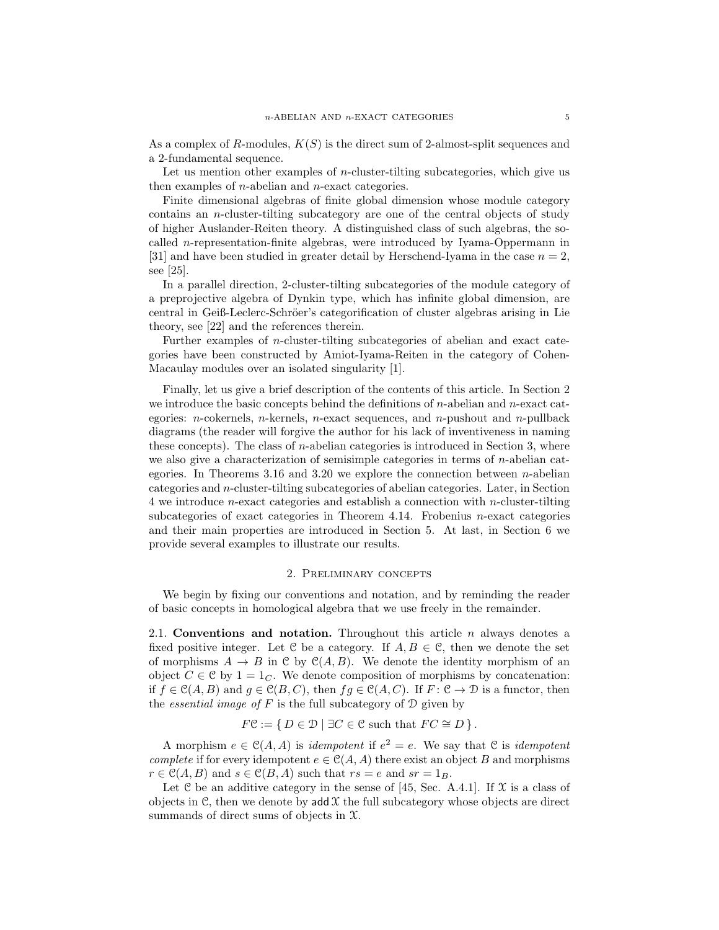As a complex of R-modules,  $K(S)$  is the direct sum of 2-almost-split sequences and a 2-fundamental sequence.

Let us mention other examples of *n*-cluster-tilting subcategories, which give us then examples of n-abelian and n-exact categories.

Finite dimensional algebras of finite global dimension whose module category contains an n-cluster-tilting subcategory are one of the central objects of study of higher Auslander-Reiten theory. A distinguished class of such algebras, the socalled n-representation-finite algebras, were introduced by Iyama-Oppermann in [31] and have been studied in greater detail by Herschend-Iyama in the case  $n = 2$ , see [25].

In a parallel direction, 2-cluster-tilting subcategories of the module category of a preprojective algebra of Dynkin type, which has infinite global dimension, are central in Geiß-Leclerc-Schröer's categorification of cluster algebras arising in Lie theory, see [22] and the references therein.

Further examples of n-cluster-tilting subcategories of abelian and exact categories have been constructed by Amiot-Iyama-Reiten in the category of Cohen-Macaulay modules over an isolated singularity [1].

Finally, let us give a brief description of the contents of this article. In Section 2 we introduce the basic concepts behind the definitions of  $n$ -abelian and  $n$ -exact categories:  $n$ -cokernels,  $n$ -kernels,  $n$ -exact sequences, and  $n$ -pushout and  $n$ -pullback diagrams (the reader will forgive the author for his lack of inventiveness in naming these concepts). The class of n-abelian categories is introduced in Section 3, where we also give a characterization of semisimple categories in terms of n-abelian categories. In Theorems 3.16 and 3.20 we explore the connection between *n*-abelian categories and n-cluster-tilting subcategories of abelian categories. Later, in Section 4 we introduce *n*-exact categories and establish a connection with *n*-cluster-tilting subcategories of exact categories in Theorem 4.14. Frobenius n-exact categories and their main properties are introduced in Section 5. At last, in Section 6 we provide several examples to illustrate our results.

## 2. Preliminary concepts

We begin by fixing our conventions and notation, and by reminding the reader of basic concepts in homological algebra that we use freely in the remainder.

2.1. Conventions and notation. Throughout this article  $n$  always denotes a fixed positive integer. Let C be a category. If  $A, B \in \mathcal{C}$ , then we denote the set of morphisms  $A \to B$  in C by  $\mathcal{C}(A, B)$ . We denote the identity morphism of an object  $C \in \mathcal{C}$  by  $1 = 1_C$ . We denote composition of morphisms by concatenation: if  $f \in \mathcal{C}(A, B)$  and  $g \in \mathcal{C}(B, C)$ , then  $fg \in \mathcal{C}(A, C)$ . If  $F : \mathcal{C} \to \mathcal{D}$  is a functor, then the *essential image of*  $F$  is the full subcategory of  $D$  given by

$$
F\mathcal{C} := \{ D \in \mathcal{D} \mid \exists C \in \mathcal{C} \text{ such that } FC \cong D \}.
$$

A morphism  $e \in \mathcal{C}(A, A)$  is *idempotent* if  $e^2 = e$ . We say that  $\mathcal{C}$  is *idempotent complete* if for every idempotent  $e \in C(A, A)$  there exist an object B and morphisms  $r \in \mathcal{C}(A, B)$  and  $s \in \mathcal{C}(B, A)$  such that  $rs = e$  and  $sr = 1_B$ .

Let C be an additive category in the sense of [45, Sec. A.4.1]. If  $\mathfrak X$  is a class of objects in C, then we denote by  $\text{add } \mathcal{X}$  the full subcategory whose objects are direct summands of direct sums of objects in X.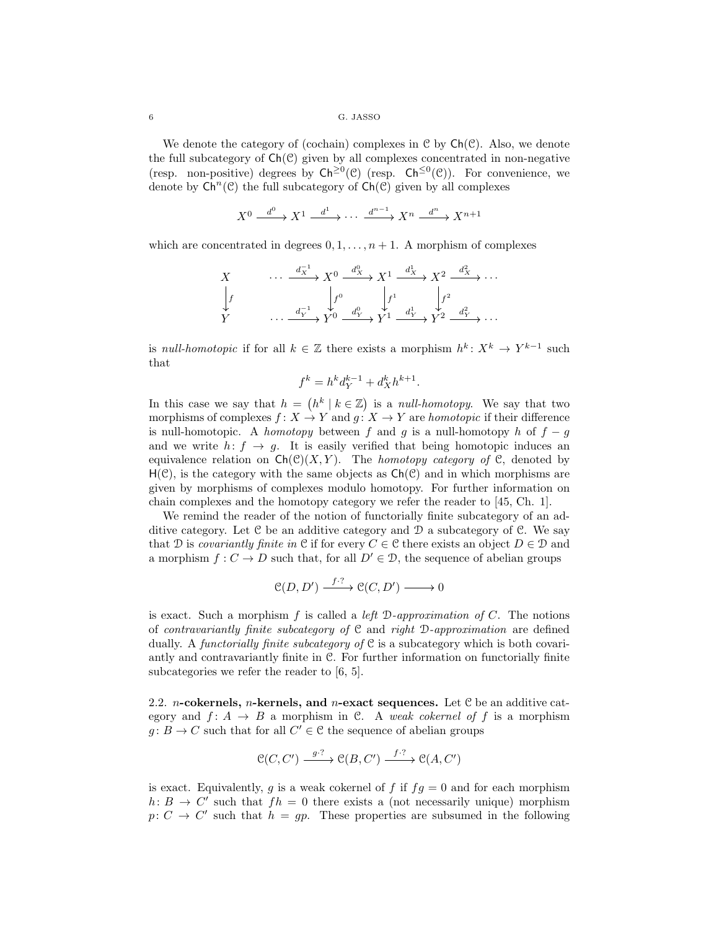We denote the category of (cochain) complexes in  $\mathcal{C}$  by  $\mathsf{Ch}(\mathcal{C})$ . Also, we denote the full subcategory of  $Ch(\mathcal{C})$  given by all complexes concentrated in non-negative (resp. non-positive) degrees by  $\mathsf{Ch}^{\geq 0}(\mathcal{C})$  (resp.  $\mathsf{Ch}^{\leq 0}(\mathcal{C})$ ). For convenience, we denote by  $\mathsf{Ch}^n(\mathcal{C})$  the full subcategory of  $\mathsf{Ch}(\mathcal{C})$  given by all complexes

$$
X^0 \xrightarrow{d^0} X^1 \xrightarrow{d^1} \cdots \xrightarrow{d^{n-1}} X^n \xrightarrow{d^n} X^{n+1}
$$

which are concentrated in degrees  $0, 1, \ldots, n + 1$ . A morphism of complexes

$$
\begin{array}{ccc}\nX & \cdots & \xrightarrow{d_X^{-1}} X^0 \xrightarrow{d_X^0} X^1 \xrightarrow{d_X^1} X^2 \xrightarrow{d_X^2} \cdots \\
\downarrow f & & \downarrow f^0 \xrightarrow{d_Y^0} \downarrow f^1 \downarrow f^2 \\
Y & \cdots & \xrightarrow{d_Y^{-1}} Y^0 \xrightarrow{d_Y^0} Y^1 \xrightarrow{d_Y^1} Y^2 \xrightarrow{d_Y^2} \cdots\n\end{array}
$$

is *null-homotopic* if for all  $k \in \mathbb{Z}$  there exists a morphism  $h^k \colon X^k \to Y^{k-1}$  such that

$$
f^k = h^k d_Y^{k-1} + d_X^k h^{k+1}
$$

.

In this case we say that  $h = (h^k | k \in \mathbb{Z})$  is a *null-homotopy*. We say that two morphisms of complexes  $f: X \to Y$  and  $g: X \to Y$  are *homotopic* if their difference is null-homotopic. A *homotopy* between f and g is a null-homotopy h of  $f - g$ and we write  $h: f \rightarrow g$ . It is easily verified that being homotopic induces an equivalence relation on  $\mathsf{Ch}(\mathcal{C})(X, Y)$ . The *homotopy category of*  $\mathcal{C}$ , denoted by  $H(\mathcal{C})$ , is the category with the same objects as  $Ch(\mathcal{C})$  and in which morphisms are given by morphisms of complexes modulo homotopy. For further information on chain complexes and the homotopy category we refer the reader to [45, Ch. 1].

We remind the reader of the notion of functorially finite subcategory of an additive category. Let  $\mathcal C$  be an additive category and  $\mathcal D$  a subcategory of  $\mathcal C$ . We say that D is *covariantly finite in* C if for every  $C \in \mathcal{C}$  there exists an object  $D \in \mathcal{D}$  and a morphism  $f: C \to D$  such that, for all  $D' \in \mathcal{D}$ , the sequence of abelian groups

$$
\mathcal{C}(D, D') \xrightarrow{f \cdot ?} \mathcal{C}(C, D') \longrightarrow 0
$$

is exact. Such a morphism f is called a *left* D*-approximation of* C. The notions of *contravariantly finite subcategory of* C and *right* D*-approximation* are defined dually. A *functorially finite subcategory of* C is a subcategory which is both covariantly and contravariantly finite in C. For further information on functorially finite subcategories we refer the reader to [6, 5].

2.2. *n*-cokernels, *n*-kernels, and *n*-exact sequences. Let  $C$  be an additive category and  $f: A \rightarrow B$  a morphism in C. A *weak cokernel of* f is a morphism  $g: B \to C$  such that for all  $C' \in \mathcal{C}$  the sequence of abelian groups

$$
\mathcal{C}(C, C') \xrightarrow{g \cdot ?} \mathcal{C}(B, C') \xrightarrow{f \cdot ?} \mathcal{C}(A, C')
$$

is exact. Equivalently, g is a weak cokernel of f if  $fg = 0$  and for each morphism  $h: B \to C'$  such that  $fh = 0$  there exists a (not necessarily unique) morphism  $p: C \to C'$  such that  $h = gp$ . These properties are subsumed in the following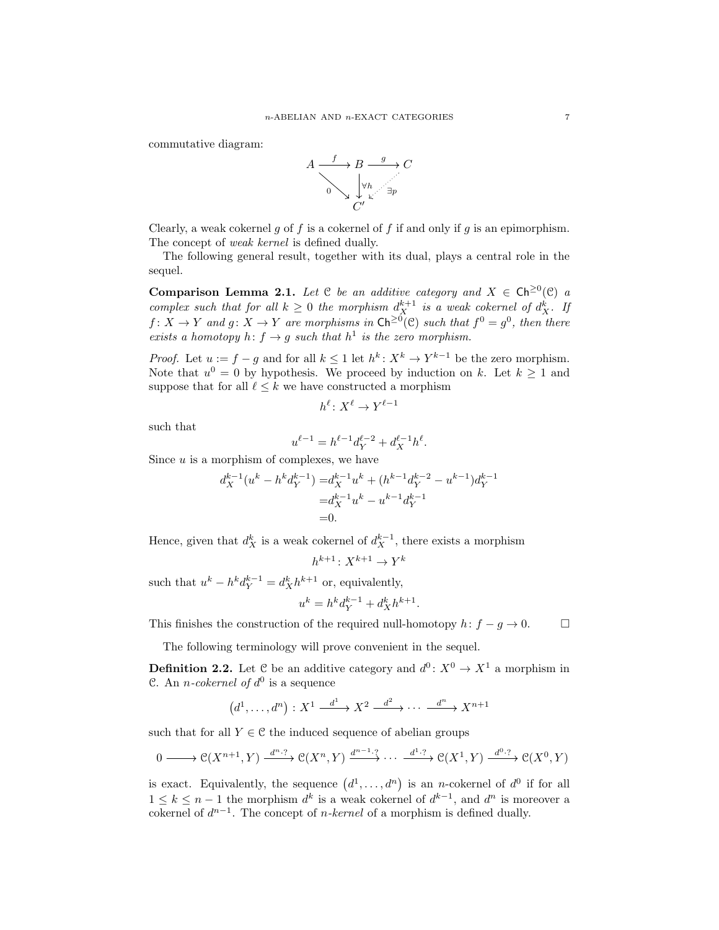commutative diagram:



Clearly, a weak cokernel g of f is a cokernel of f if and only if g is an epimorphism. The concept of *weak kernel* is defined dually.

The following general result, together with its dual, plays a central role in the sequel.

Comparison Lemma 2.1. Let  $C$  be an additive category and  $X \in \mathsf{Ch}^{\geq 0}(\mathcal{C})$  a *complex such that for all*  $k \geq 0$  *the morphism*  $d_X^{k+1}$  *is a weak cokernel of*  $d_X^k$ *. If*  $f: X \to Y$  and  $g: X \to Y$  are morphisms in  $\mathsf{Ch}^{\geq 0}(\mathcal{C})$  such that  $f^0 = g^0$ , then there *exists a homotopy*  $h: f \to g$  *such that*  $h^1$  *is the zero morphism.* 

*Proof.* Let  $u := f - g$  and for all  $k \leq 1$  let  $h^k: X^k \to Y^{k-1}$  be the zero morphism. Note that  $u^0 = 0$  by hypothesis. We proceed by induction on k. Let  $k \ge 1$  and suppose that for all  $\ell \leq k$  we have constructed a morphism

$$
h^{\ell} \colon X^{\ell} \to Y^{\ell-1}
$$

such that

$$
u^{\ell-1} = h^{\ell-1} d_Y^{\ell-2} + d_X^{\ell-1} h^{\ell}.
$$

Since  $u$  is a morphism of complexes, we have

$$
d_X^{k-1}(u^k - h^k d_Y^{k-1}) = d_X^{k-1} u^k + (h^{k-1} d_Y^{k-2} - u^{k-1}) d_Y^{k-1}
$$
  
=  $d_X^{k-1} u^k - u^{k-1} d_Y^{k-1}$   
= 0.

Hence, given that  $d_X^k$  is a weak cokernel of  $d_X^{k-1}$ , there exists a morphism

 $h^{k+1}: X^{k+1} \to Y^k$ 

such that  $u^k - h^k d_Y^{k-1} = d_X^k h^{k+1}$  or, equivalently,

$$
u^k = h^k d_Y^{k-1} + d_X^k h^{k+1}.
$$

This finishes the construction of the required null-homotopy  $h: f - g \to 0$ .

The following terminology will prove convenient in the sequel.

**Definition 2.2.** Let C be an additive category and  $d^0: X^0 \to X^1$  a morphism in C. An *n*-cokernel of  $d^0$  is a sequence

$$
(d^1, \ldots, d^n) : X^1 \xrightarrow{d^1} X^2 \xrightarrow{d^2} \cdots \xrightarrow{d^n} X^{n+1}
$$

such that for all  $Y \in \mathcal{C}$  the induced sequence of abelian groups

$$
0 \longrightarrow \mathcal{C}(X^{n+1}, Y) \xrightarrow{d^n \cdot ?} \mathcal{C}(X^n, Y) \xrightarrow{d^{n-1} \cdot ?} \cdots \xrightarrow{d^{1} \cdot ?} \mathcal{C}(X^1, Y) \xrightarrow{d^{0} \cdot ?} \mathcal{C}(X^0, Y)
$$

is exact. Equivalently, the sequence  $(d^1, \ldots, d^n)$  is an *n*-cokernel of  $d^0$  if for all  $1 \leq k \leq n-1$  the morphism  $d^k$  is a weak cokernel of  $d^{k-1}$ , and  $d^n$  is moreover a cokernel of  $d^{n-1}$ . The concept of *n-kernel* of a morphism is defined dually.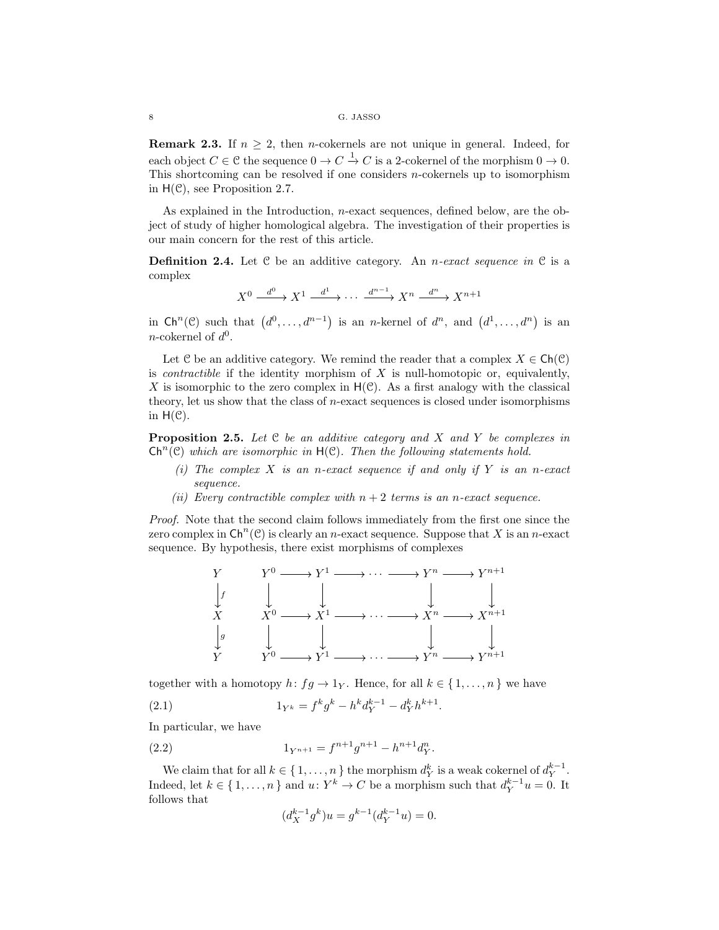**Remark 2.3.** If  $n \geq 2$ , then *n*-cokernels are not unique in general. Indeed, for each object  $C \in \mathcal{C}$  the sequence  $0 \to C \xrightarrow{1} C$  is a 2-cokernel of the morphism  $0 \to 0$ . This shortcoming can be resolved if one considers  $n$ -cokernels up to isomorphism in  $H(\mathcal{C})$ , see Proposition 2.7.

As explained in the Introduction, n-exact sequences, defined below, are the object of study of higher homological algebra. The investigation of their properties is our main concern for the rest of this article.

Definition 2.4. Let C be an additive category. An n*-exact sequence in* C is a complex

$$
X^0 \xrightarrow{d^0} X^1 \xrightarrow{d^1} \cdots \xrightarrow{d^{n-1}} X^n \xrightarrow{d^n} X^{n+1}
$$

in  $\mathsf{Ch}^n(\mathcal{C})$  such that  $(d^0, \ldots, d^{n-1})$  is an *n*-kernel of  $d^n$ , and  $(d^1, \ldots, d^n)$  is an *n*-cokernel of  $d^0$ .

Let C be an additive category. We remind the reader that a complex  $X \in \mathsf{Ch}(\mathcal{C})$ is *contractible* if the identity morphism of  $X$  is null-homotopic or, equivalently, X is isomorphic to the zero complex in  $H(\mathcal{C})$ . As a first analogy with the classical theory, let us show that the class of  $n$ -exact sequences is closed under isomorphisms in  $H(\mathcal{C})$ .

Proposition 2.5. *Let* C *be an additive category and* X *and* Y *be complexes in*  $\mathsf{Ch}^n(\mathcal{C})$  which are isomorphic in  $\mathsf{H}(\mathcal{C})$ . Then the following statements hold.

- *(i) The complex* X *is an* n*-exact sequence if and only if* Y *is an* n*-exact sequence.*
- *(ii)* Every contractible complex with  $n + 2$  terms is an n-exact sequence.

*Proof.* Note that the second claim follows immediately from the first one since the zero complex in  $\mathsf{Ch}^n(\mathcal{C})$  is clearly an *n*-exact sequence. Suppose that X is an *n*-exact sequence. By hypothesis, there exist morphisms of complexes



together with a homotopy  $h: fg \to 1_Y$ . Hence, for all  $k \in \{1, ..., n\}$  we have (2.1)  $1_{Y^k} = f^k g^k - h^k d_Y^{k-1} - d_Y^k h^{k+1}.$ 

In particular, we have

(2.2) 
$$
1_{Y^{n+1}} = f^{n+1}g^{n+1} - h^{n+1}d_Y^n
$$

We claim that for all  $k \in \{1, ..., n\}$  the morphism  $d_Y^k$  is a weak cokernel of  $d_Y^{k-1}$ . Indeed, let  $k \in \{1, ..., n\}$  and  $u: Y^k \to C$  be a morphism such that  $d_Y^{k-1}u = 0$ . It follows that

.

$$
(d_X^{k-1}g^k)u = g^{k-1}(d_Y^{k-1}u) = 0.
$$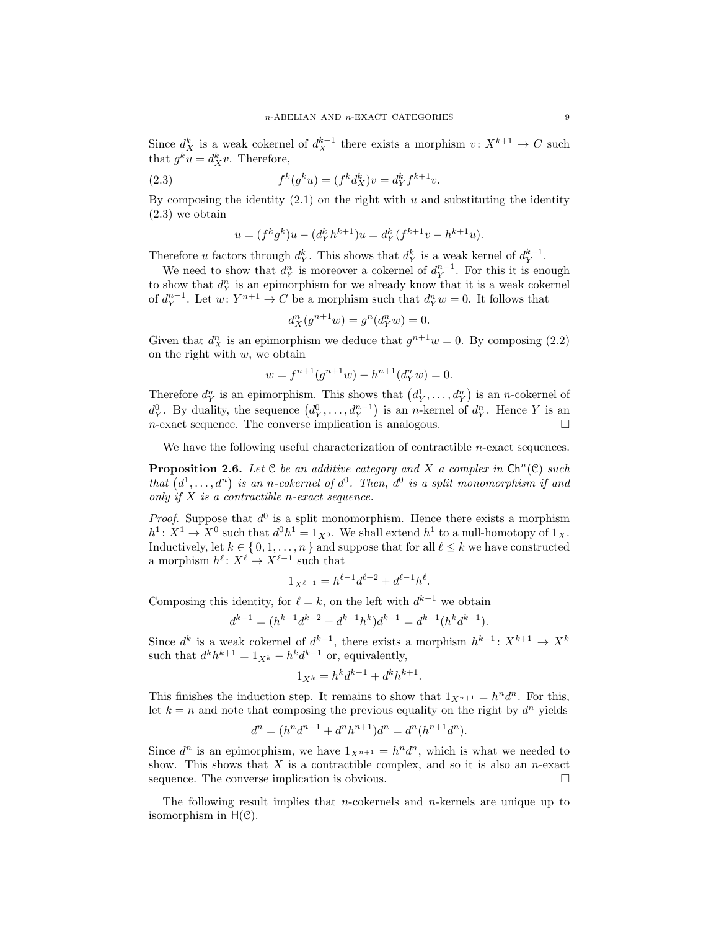Since  $d_X^k$  is a weak cokernel of  $d_X^{k-1}$  there exists a morphism  $v: X^{k+1} \to C$  such that  $g^k u = d^k X v$ . Therefore,

(2.3) 
$$
f^{k}(g^{k}u) = (f^{k}d_{X}^{k})v = d_{Y}^{k}f^{k+1}v.
$$

By composing the identity  $(2.1)$  on the right with u and substituting the identity (2.3) we obtain

$$
u = (fk gk)u - (dk f hk+1)u = dk f (fk+1v - hk+1u).
$$

Therefore u factors through  $d_Y^k$ . This shows that  $d_Y^k$  is a weak kernel of  $d_Y^{k-1}$ .

We need to show that  $d_Y^n$  is moreover a cokernel of  $d_Y^{n-1}$ . For this it is enough to show that  $d_Y^n$  is an epimorphism for we already know that it is a weak cokernel of  $d_Y^{n-1}$ . Let  $w: Y^{n+1} \to C$  be a morphism such that  $d_Y^n w = 0$ . It follows that

$$
d_X^n(g^{n+1}w) = g^n(d_Y^n w) = 0.
$$

Given that  $d_X^n$  is an epimorphism we deduce that  $g^{n+1}w = 0$ . By composing (2.2) on the right with  $w$ , we obtain

$$
w = f^{n+1}(g^{n+1}w) - h^{n+1}(d_Y^n w) = 0.
$$

Therefore  $d_Y^n$  is an epimorphism. This shows that  $(d_Y^1, \ldots, d_Y^n)$  is an *n*-cokernel of  $d_Y^0$ . By duality, the sequence  $(d_Y^0, \ldots, d_Y^{n-1})$  is an *n*-kernel of  $d_Y^n$ . Hence Y is an  $n$ -exact sequence. The converse implication is analogous.  $\square$ 

We have the following useful characterization of contractible  $n$ -exact sequences.

**Proposition 2.6.** Let  $C$  be an additive category and X a complex in  $\mathsf{Ch}^n(C)$  such that  $(d^1, \ldots, d^n)$  is an n-cokernel of  $d^0$ . Then,  $d^0$  is a split monomorphism if and *only if* X *is a contractible* n*-exact sequence.*

*Proof.* Suppose that  $d^0$  is a split monomorphism. Hence there exists a morphism  $h^1: X^1 \to X^0$  such that  $d^0 h^1 = 1_{X^0}$ . We shall extend  $h^1$  to a null-homotopy of  $1_X$ . Inductively, let  $k \in \{0, 1, ..., n\}$  and suppose that for all  $\ell \leq k$  we have constructed a morphism  $h^{\ell} \colon X^{\ell} \to X^{\ell-1}$  such that

$$
1_{X^{\ell-1}} = h^{\ell-1}d^{\ell-2} + d^{\ell-1}h^{\ell}.
$$

Composing this identity, for  $\ell = k$ , on the left with  $d^{k-1}$  we obtain

$$
d^{k-1} = (h^{k-1}d^{k-2} + d^{k-1}h^k)d^{k-1} = d^{k-1}(h^kd^{k-1}).
$$

Since  $d^k$  is a weak cokernel of  $d^{k-1}$ , there exists a morphism  $h^{k+1}: X^{k+1} \to X^k$ such that  $d^k h^{k+1} = 1_{X^k} - h^k d^{k-1}$  or, equivalently,

$$
1_{X^k} = h^k d^{k-1} + d^k h^{k+1}.
$$

This finishes the induction step. It remains to show that  $1_{X^{n+1}} = h^n d^n$ . For this, let  $k = n$  and note that composing the previous equality on the right by  $d^n$  yields

$$
d^{n} = (h^{n}d^{n-1} + d^{n}h^{n+1})d^{n} = d^{n}(h^{n+1}d^{n}).
$$

Since  $d^n$  is an epimorphism, we have  $1_{X^{n+1}} = h^n d^n$ , which is what we needed to show. This shows that  $X$  is a contractible complex, and so it is also an *n*-exact sequence. The converse implication is obvious.  $\Box$ 

The following result implies that *n*-cokernels and *n*-kernels are unique up to isomorphism in  $H(\mathcal{C})$ .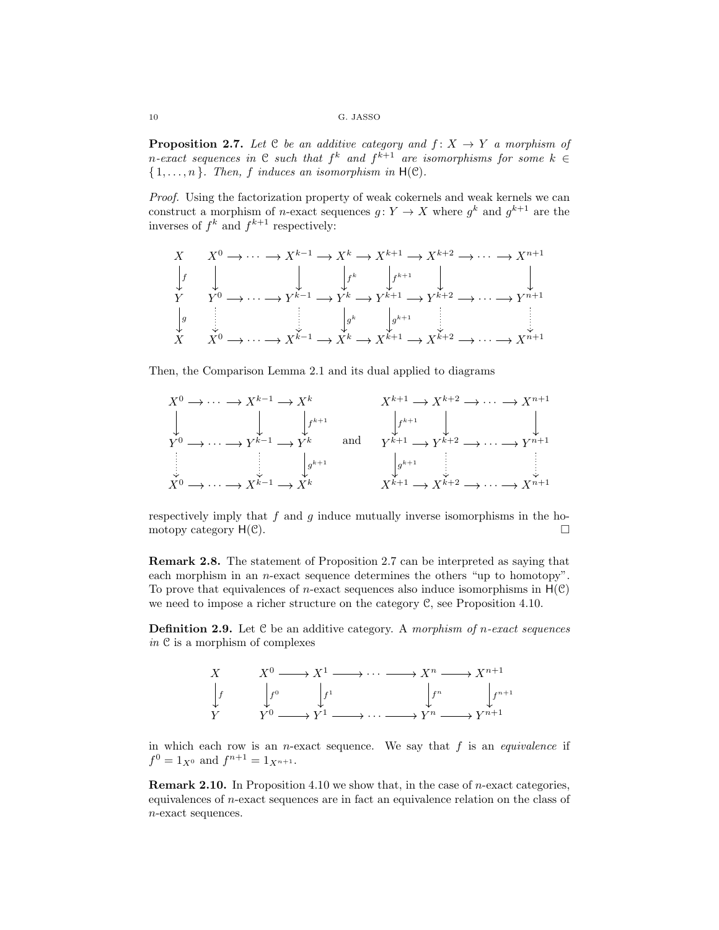**Proposition 2.7.** Let  $C$  be an additive category and  $f: X \rightarrow Y$  a morphism of n-exact sequences in  $C$  such that  $f^k$  and  $f^{k+1}$  are isomorphisms for some  $k \in$  ${1, \ldots, n}$ *. Then, f induces an isomorphism in*  $H(\mathcal{C})$ *.* 

*Proof.* Using the factorization property of weak cokernels and weak kernels we can construct a morphism of *n*-exact sequences  $g: Y \to X$  where  $g^k$  and  $g^{k+1}$  are the inverses of  $f^k$  and  $f^{k+1}$  respectively:

$$
X \qquad X^{0} \to \cdots \to X^{k-1} \to X^{k} \to X^{k+1} \to X^{k+2} \to \cdots \to X^{n+1}
$$
\n
$$
\downarrow f \qquad \qquad \downarrow f^{k} \qquad \qquad \downarrow f^{k+1} \qquad \qquad \downarrow \qquad \qquad \downarrow
$$
\n
$$
Y \qquad Y^{0} \to \cdots \to Y^{k-1} \to Y^{k} \to Y^{k+1} \to Y^{k+2} \to \cdots \to Y^{n+1}
$$
\n
$$
\downarrow g \qquad \qquad \downarrow g^{k} \qquad \qquad \downarrow g^{k+1} \qquad \qquad \downarrow
$$
\n
$$
X \qquad X^{0} \to \cdots \to X^{k-1} \to X^{k} \to X^{k+1} \to X^{k+2} \to \cdots \to X^{n+1}
$$

Then, the Comparison Lemma 2.1 and its dual applied to diagrams

$$
X^{0} \longrightarrow \cdots \longrightarrow X^{k-1} \longrightarrow X^{k}
$$
  
\n
$$
\downarrow \qquad \qquad X^{k+1} \longrightarrow X^{k+2} \longrightarrow \cdots \longrightarrow X^{n+1}
$$
  
\n
$$
Y^{0} \longrightarrow \cdots \longrightarrow Y^{k-1} \longrightarrow Y^{k}
$$
 and 
$$
Y^{k+1} \longrightarrow Y^{k+2} \longrightarrow \cdots \longrightarrow Y^{n+1}
$$
  
\n
$$
\downarrow g^{k+1}
$$
  
\n
$$
\downarrow g^{k+1}
$$
  
\n
$$
\downarrow g^{k+1}
$$
  
\n
$$
\downarrow g^{k+1}
$$
  
\n
$$
\downarrow g^{k+1}
$$
  
\n
$$
\downarrow g^{k+1}
$$
  
\n
$$
\downarrow g^{k+1}
$$
  
\n
$$
\downarrow g^{k+1}
$$
  
\n
$$
\downarrow g^{k+1}
$$
  
\n
$$
\downarrow g^{k+1}
$$
  
\n
$$
\downarrow g^{k+1}
$$
  
\n
$$
\downarrow g^{k+1}
$$
  
\n
$$
\downarrow g^{k+1}
$$
  
\n
$$
\downarrow g^{k+1}
$$
  
\n
$$
\downarrow g^{k+1}
$$
  
\n
$$
\downarrow g^{k+1}
$$
  
\n
$$
\downarrow g^{k+1}
$$
  
\n
$$
\downarrow g^{k+1}
$$
  
\n
$$
\downarrow g^{k+1}
$$
  
\n
$$
\downarrow g^{k+1}
$$
  
\n
$$
\downarrow g^{k+1}
$$
  
\n
$$
\downarrow g^{k+1}
$$
  
\n
$$
\downarrow g^{k+1}
$$
  
\n
$$
\downarrow g^{k+1}
$$
  
\n
$$
\downarrow g^{k+1}
$$
  
\n
$$
\downarrow g^{k+2}
$$
  
\n
$$
\downarrow g^{k+1}
$$
  
\n
$$
\downarrow g^{k+1}
$$
  
\n
$$
\downarrow g^{k+1}
$$
  
\n
$$
\downarrow g^{k+1}
$$
  
\n
$$
\downarrow g^{k+2}
$$
  
\n
$$
\downarrow g^{k+1}
$$
  
\n
$$
\down
$$

respectively imply that  $f$  and  $g$  induce mutually inverse isomorphisms in the homotopy category  $H(\mathcal{C})$ .

Remark 2.8. The statement of Proposition 2.7 can be interpreted as saying that each morphism in an  $n$ -exact sequence determines the others "up to homotopy". To prove that equivalences of *n*-exact sequences also induce isomorphisms in  $H(\mathcal{C})$ we need to impose a richer structure on the category C, see Proposition 4.10.

Definition 2.9. Let C be an additive category. A *morphism of* n*-exact sequences in* C is a morphism of complexes



in which each row is an  $n$ -exact sequence. We say that  $f$  is an *equivalence* if  $f^0 = 1_{X^0}$  and  $f^{n+1} = 1_{X^{n+1}}$ .

Remark 2.10. In Proposition 4.10 we show that, in the case of n-exact categories, equivalences of n-exact sequences are in fact an equivalence relation on the class of n-exact sequences.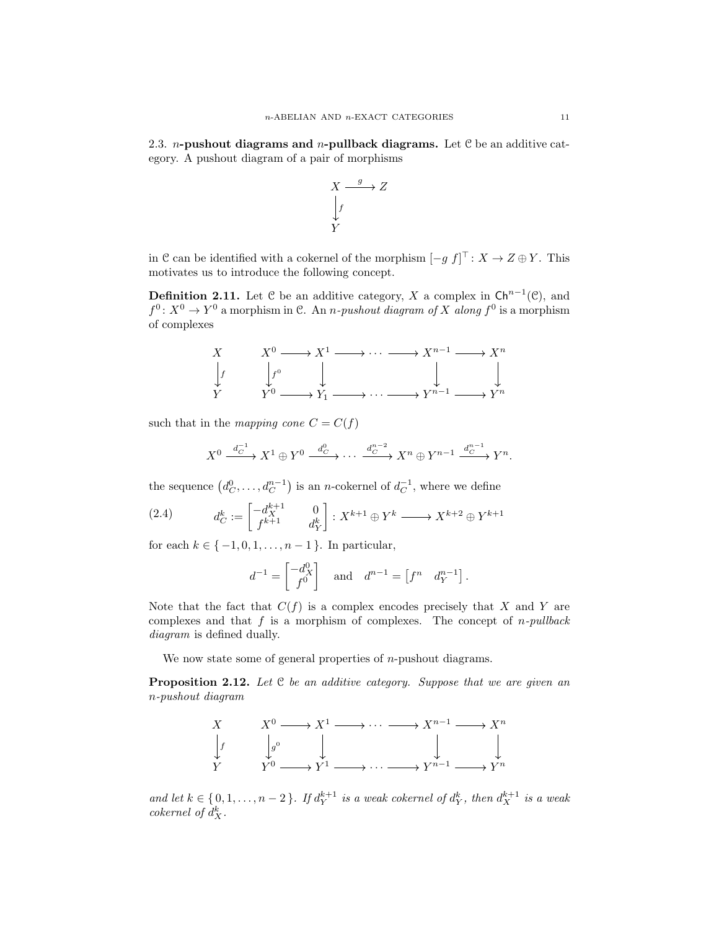2.3. *n*-pushout diagrams and *n*-pullback diagrams. Let C be an additive category. A pushout diagram of a pair of morphisms

$$
\begin{array}{c}\nX \xrightarrow{g} Z \\
\downarrow f \\
Y\n\end{array}
$$

in C can be identified with a cokernel of the morphism  $[-g f]^\top: X \to Z \oplus Y$ . This motivates us to introduce the following concept.

**Definition 2.11.** Let C be an additive category, X a complex in  $\mathsf{Ch}^{n-1}(\mathcal{C})$ , and  $f^0: X^0 \to Y^0$  a morphism in C. An *n-pushout diagram of* X *along*  $f^0$  is a morphism of complexes



such that in the *mapping cone*  $C = C(f)$ 

$$
X^0 \xrightarrow{d_C^{-1}} X^1 \oplus Y^0 \xrightarrow{d_C^0} \cdots \xrightarrow{d_C^{n-2}} X^n \oplus Y^{n-1} \xrightarrow{d_C^{n-1}} Y^n.
$$

the sequence  $(d_C^0, \ldots, d_C^{n-1})$  is an *n*-cokernel of  $d_C^{-1}$ , where we define

(2.4) 
$$
d_C^k := \begin{bmatrix} -d_X^{k+1} & 0\\ f^{k+1} & d_Y^k \end{bmatrix} : X^{k+1} \oplus Y^k \longrightarrow X^{k+2} \oplus Y^{k+1}
$$

for each  $k \in \{-1, 0, 1, \ldots, n-1\}$ . In particular,

$$
d^{-1} = \begin{bmatrix} -d_X^0 \\ f^0 \end{bmatrix} \quad \text{and} \quad d^{n-1} = \begin{bmatrix} f^n & d_Y^{n-1} \end{bmatrix}.
$$

Note that the fact that  $C(f)$  is a complex encodes precisely that X and Y are complexes and that f is a morphism of complexes. The concept of n*-pullback diagram* is defined dually.

We now state some of general properties of  $n$ -pushout diagrams.

Proposition 2.12. *Let* C *be an additive category. Suppose that we are given an* n*-pushout diagram*



*and let*  $k \in \{0, 1, \ldots, n-2\}$ *. If*  $d_Y^{k+1}$  *is a weak cokernel of*  $d_Y^k$ *, then*  $d_X^{k+1}$  *is a weak cokernel of*  $d_X^k$ .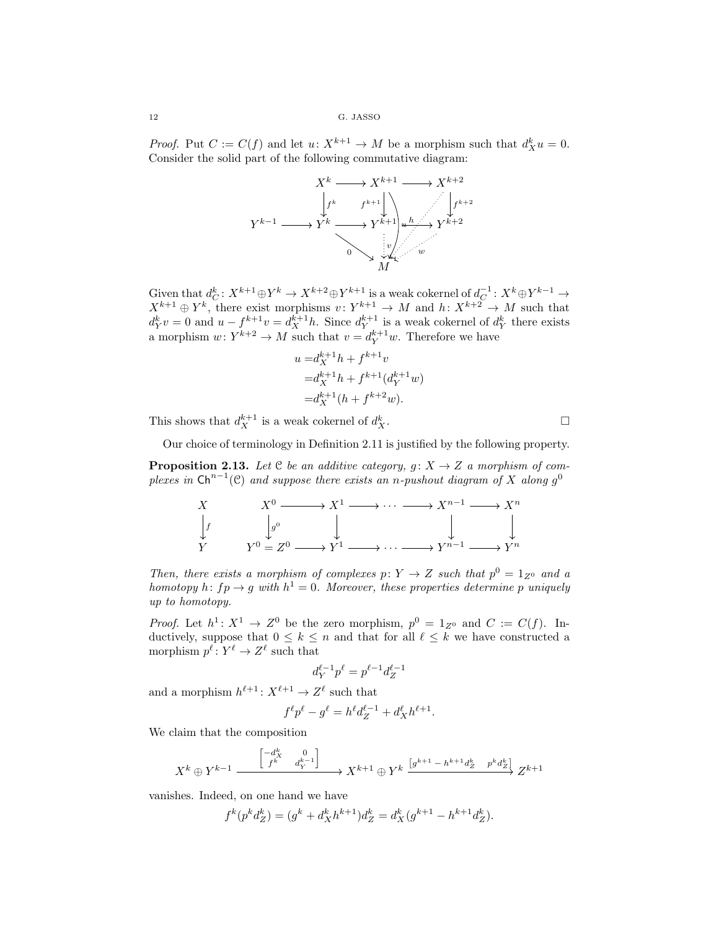*Proof.* Put  $C := C(f)$  and let  $u: X^{k+1} \to M$  be a morphism such that  $d_X^k u = 0$ . Consider the solid part of the following commutative diagram:



Given that  $d_C^k: X^{k+1} \oplus Y^k \to X^{k+2} \oplus Y^{k+1}$  is a weak cokernel of  $d_C^{-1}: X^k \oplus Y^{k-1} \to$  $X^{k+1} \oplus Y^k$ , there exist morphisms  $v: Y^{k+1} \to M$  and  $h: X^{k+2} \to M$  such that  $d_Y^k v = 0$  and  $u - f^{k+1}v = d_X^{k+1}h$ . Since  $d_Y^{k+1}$  is a weak cokernel of  $d_Y^k$  there exists a morphism  $w: Y^{k+2} \to M$  such that  $v = d_Y^{k+1}w$ . Therefore we have

$$
u = d_X^{k+1}h + f^{k+1}v
$$
  
=  $d_X^{k+1}h + f^{k+1}(d_Y^{k+1}w)$   
=  $d_X^{k+1}(h + f^{k+2}w)$ .

This shows that  $d_X^{k+1}$  is a weak cokernel of  $d_X^k$  $X$ .

Our choice of terminology in Definition 2.11 is justified by the following property.

**Proposition 2.13.** Let  $C$  be an additive category,  $g: X \rightarrow Z$  a morphism of com $p$ lexes in  $\mathsf{Ch}^{n-1}(\mathcal{C})$  and suppose there exists an n-pushout diagram of X along  $g^0$ 

$$
\begin{array}{ccc}\nX & X^0 \longrightarrow X^1 \longrightarrow \cdots \longrightarrow X^{n-1} \longrightarrow X^n \\
\downarrow f & \downarrow g^0 & \downarrow & \downarrow & \downarrow \\
Y & Y^0 = Z^0 \longrightarrow Y^1 \longrightarrow \cdots \longrightarrow Y^{n-1} \longrightarrow Y^n\n\end{array}
$$

*Then, there exists a morphism of complexes*  $p: Y \to Z$  *such that*  $p^0 = 1_{Z^0}$  *and a homotopy*  $h: fp \to g$  *with*  $h^1 = 0$ *. Moreover, these properties determine* p *uniquely up to homotopy.*

*Proof.* Let  $h^1: X^1 \to Z^0$  be the zero morphism,  $p^0 = 1_{Z^0}$  and  $C := C(f)$ . Inductively, suppose that  $0 \leq k \leq n$  and that for all  $\ell \leq k$  we have constructed a morphism  $p^{\ell} \colon Y^{\ell} \to Z^{\ell}$  such that

$$
d_Y^{\ell-1}p^\ell = p^{\ell-1}d_Z^{\ell-1}
$$

and a morphism  $h^{\ell+1}: X^{\ell+1} \to Z^{\ell}$  such that

$$
f^{\ell}p^{\ell} - g^{\ell} = h^{\ell}d_Z^{\ell-1} + d_X^{\ell}h^{\ell+1}.
$$

We claim that the composition

$$
X^k \oplus Y^{k-1} \xrightarrow{\begin{bmatrix} -d^k_X & 0 \\ f^k & d^{k-1}_Y \end{bmatrix}} X^{k+1} \oplus Y^k \xrightarrow{[g^{k+1} - h^{k+1}d_Z^k \quad p^k d_Z^{k}]} Z^{k+1}
$$

vanishes. Indeed, on one hand we have

$$
f^{k}(p^{k}d_{Z}^{k}) = (g^{k} + d_{X}^{k}h^{k+1})d_{Z}^{k} = d_{X}^{k}(g^{k+1} - h^{k+1}d_{Z}^{k}).
$$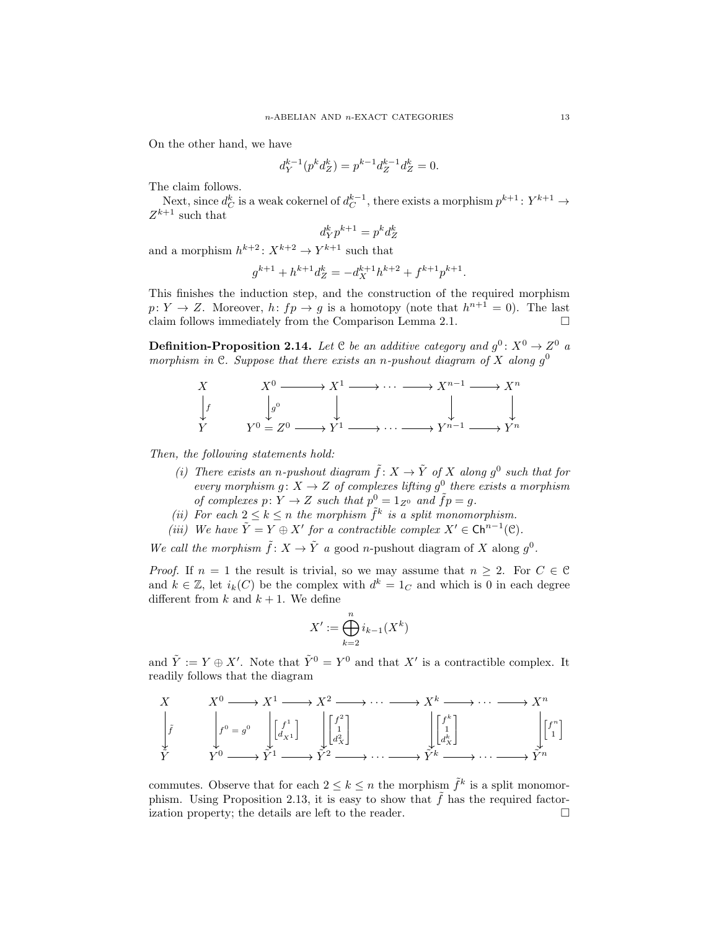On the other hand, we have

$$
d_Y^{k-1}(p^k d_Z^k) = p^{k-1} d_Z^{k-1} d_Z^k = 0.
$$

The claim follows.

Next, since  $d_C^k$  is a weak cokernel of  $d_C^{k-1}$ , there exists a morphism  $p^{k+1}$ :  $Y^{k+1} \rightarrow$  $Z^{k+1}$  such that

$$
d_Y^k p^{k+1} = p^k d_Z^k
$$

and a morphism  $h^{k+2}: X^{k+2} \to Y^{k+1}$  such that

$$
g^{k+1} + h^{k+1}d_Z^k = -d_X^{k+1}h^{k+2} + f^{k+1}p^{k+1}.
$$

This finishes the induction step, and the construction of the required morphism  $p: Y \to Z$ . Moreover,  $h: fp \to g$  is a homotopy (note that  $h^{n+1} = 0$ ). The last claim follows immediately from the Comparison Lemma 2.1.  $\Box$ 

**Definition-Proposition 2.14.** Let  $C$  be an additive category and  $g^0$ :  $X^0 \rightarrow Z^0$  a *morphism in*  $\mathfrak{C}$ *. Suppose that there exists an n-pushout diagram of*  $X$  *along*  $g^0$ 



*Then, the following statements hold:*

- *(i)* There exists an n-pushout diagram  $\tilde{f}: X \to \tilde{Y}$  of X along  $g^0$  such that for *every morphism*  $g: X \to Z$  *of complexes lifting*  $g^0$  *there exists a morphism of complexes*  $p: Y \to Z$  *such that*  $p^0 = 1_{Z^0}$  *and*  $\tilde{f}p = g$ *.*
- (*ii*) For each  $2 \leq k \leq n$  the morphism  $\tilde{f}^k$  is a split monomorphism.
- *(iii)* We have  $\tilde{Y} = Y \oplus X'$  for a contractible complex  $X' \in \mathsf{Ch}^{n-1}(\mathcal{C})$ *.*

*We call the morphism*  $\tilde{f}: X \to \tilde{Y}$  *a* good *n*-pushout diagram of X along  $g^0$ .

*Proof.* If  $n = 1$  the result is trivial, so we may assume that  $n \geq 2$ . For  $C \in \mathcal{C}$ and  $k \in \mathbb{Z}$ , let  $i_k(C)$  be the complex with  $d^k = 1_C$  and which is 0 in each degree different from k and  $k + 1$ . We define

$$
X' := \bigoplus_{k=2}^{n} i_{k-1}(X^k)
$$

and  $\tilde{Y} := Y \oplus X'$ . Note that  $\tilde{Y}^0 = Y^0$  and that X' is a contractible complex. It readily follows that the diagram

$$
\begin{array}{ccc}\nX & X^0 \longrightarrow X^1 \longrightarrow X^2 \longrightarrow \cdots \longrightarrow X^k \longrightarrow \cdots \longrightarrow X^n \\
\begin{bmatrix}\n\tilde{f} & \int_{\mathcal{V}}^{0} = g^0 & \int_{\mathcal{V}} \begin{bmatrix} f^1 \\ d_{X1} \end{bmatrix} & \int_{\mathcal{V}} \begin{bmatrix} f^2 \\ d_{X2}^2 \end{bmatrix} & \int_{\mathcal{V}} \begin{bmatrix} f^k \\ d_{X2}^k \end{bmatrix} & \int_{\mathcal{V}} \begin{bmatrix} f^n \\ d_{Xn}^k \end{bmatrix} & \begin{bmatrix} f^n \\ f^n \end{bmatrix} \\
\tilde{Y}^n & Y^0 \longrightarrow \tilde{Y}^1 \longrightarrow \tilde{Y}^2 \longrightarrow \cdots \longrightarrow \tilde{Y}^k \longrightarrow \cdots \longrightarrow \tilde{Y}^n\n\end{array}
$$

commutes. Observe that for each  $2 \leq k \leq n$  the morphism  $\tilde{f}^k$  is a split monomorphism. Using Proposition 2.13, it is easy to show that  $f$  has the required factorization property; the details are left to the reader.  $\Box$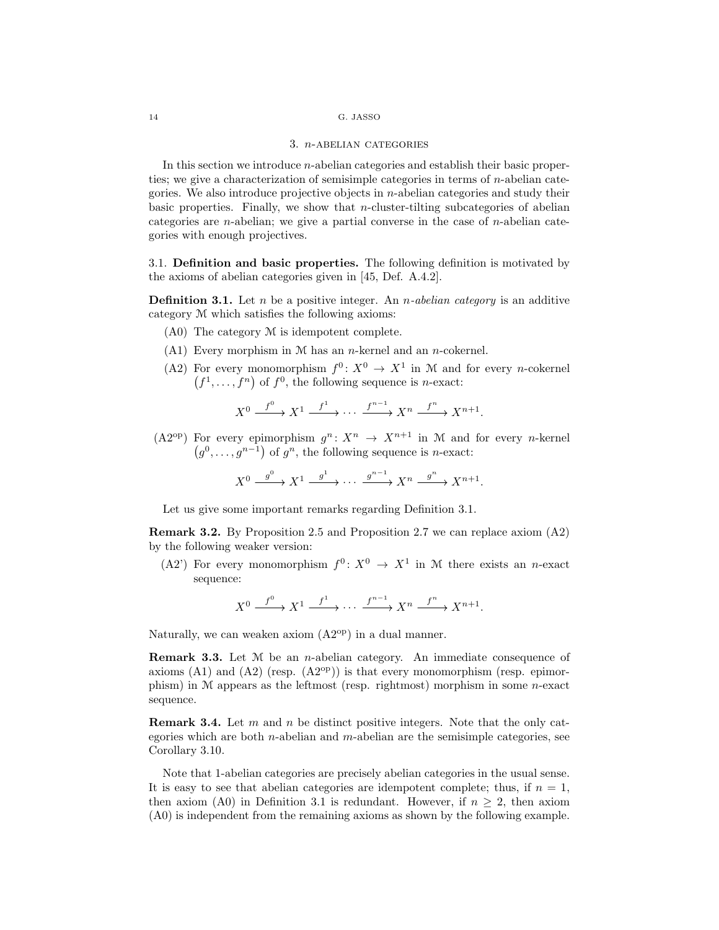#### 3. n-abelian categories

In this section we introduce  $n$ -abelian categories and establish their basic properties; we give a characterization of semisimple categories in terms of  $n$ -abelian categories. We also introduce projective objects in  $n$ -abelian categories and study their basic properties. Finally, we show that *n*-cluster-tilting subcategories of abelian categories are *n*-abelian; we give a partial converse in the case of *n*-abelian categories with enough projectives.

3.1. Definition and basic properties. The following definition is motivated by the axioms of abelian categories given in [45, Def. A.4.2].

Definition 3.1. Let n be a positive integer. An n*-abelian category* is an additive category M which satisfies the following axioms:

- (A0) The category M is idempotent complete.
- $(A1)$  Every morphism in M has an *n*-kernel and an *n*-cokernel.
- (A2) For every monomorphism  $f^0: X^0 \to X^1$  in M and for every *n*-cokernel  $(f<sup>1</sup>,..., f<sup>n</sup>)$  of  $f<sup>0</sup>$ , the following sequence is *n*-exact:

$$
X^0 \xrightarrow{f^0} X^1 \xrightarrow{f^1} \cdots \xrightarrow{f^{n-1}} X^n \xrightarrow{f^n} X^{n+1}.
$$

(A2<sup>op</sup>) For every epimorphism  $g^n: X^n \to X^{n+1}$  in M and for every *n*-kernel  $(g^0, \ldots, g^{n-1})$  of  $g^n$ , the following sequence is *n*-exact:

$$
X^0 \xrightarrow{g^0} X^1 \xrightarrow{g^1} \cdots \xrightarrow{g^{n-1}} X^n \xrightarrow{g^n} X^{n+1}.
$$

Let us give some important remarks regarding Definition 3.1.

Remark 3.2. By Proposition 2.5 and Proposition 2.7 we can replace axiom (A2) by the following weaker version:

(A2') For every monomorphism  $f^0: X^0 \to X^1$  in M there exists an *n*-exact sequence:

$$
X^0 \xrightarrow{f^0} X^1 \xrightarrow{f^1} \cdots \xrightarrow{f^{n-1}} X^n \xrightarrow{f^n} X^{n+1}.
$$

Naturally, we can weaken axiom  $(A2^{op})$  in a dual manner.

Remark 3.3. Let M be an n-abelian category. An immediate consequence of axioms  $(A1)$  and  $(A2)$  (resp.  $(A2^{\text{op}})$ ) is that every monomorphism (resp. epimorphism) in M appears as the leftmost (resp. rightmost) morphism in some n-exact sequence.

**Remark 3.4.** Let m and n be distinct positive integers. Note that the only categories which are both n-abelian and m-abelian are the semisimple categories, see Corollary 3.10.

Note that 1-abelian categories are precisely abelian categories in the usual sense. It is easy to see that abelian categories are idempotent complete; thus, if  $n = 1$ , then axiom (A0) in Definition 3.1 is redundant. However, if  $n \geq 2$ , then axiom (A0) is independent from the remaining axioms as shown by the following example.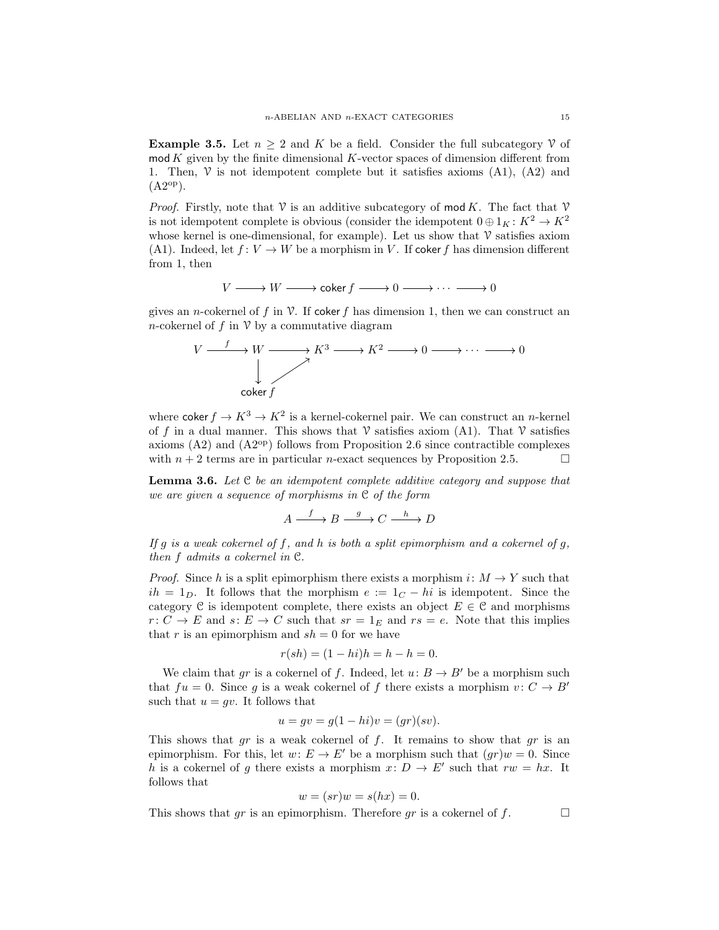**Example 3.5.** Let  $n \geq 2$  and K be a field. Consider the full subcategory V of  $\mathbf{mod}\,K$  given by the finite dimensional  $K$ -vector spaces of dimension different from 1. Then,  $\mathcal V$  is not idempotent complete but it satisfies axioms (A1), (A2) and  $(A2^{op}).$ 

*Proof.* Firstly, note that  $\mathcal V$  is an additive subcategory of mod K. The fact that  $\mathcal V$ is not idempotent complete is obvious (consider the idempotent  $0 \oplus 1<sub>K</sub> : K<sup>2</sup> \rightarrow K<sup>2</sup>$ whose kernel is one-dimensional, for example). Let us show that  $\nu$  satisfies axiom (A1). Indeed, let  $f: V \to W$  be a morphism in V. If coker f has dimension different from 1, then

$$
V \longrightarrow W \longrightarrow \text{coker } f \longrightarrow 0 \longrightarrow \cdots \longrightarrow 0
$$

gives an *n*-cokernel of f in V. If coker f has dimension 1, then we can construct an n-cokernel of f in  $\mathcal V$  by a commutative diagram

$$
V \xrightarrow{f} W \xrightarrow{K^3} K^2 \xrightarrow{0} 0 \xrightarrow{K^2} 0 \xrightarrow{0} 0
$$
\n
$$
\downarrow
$$
\n
$$
\downarrow
$$
\n
$$
\downarrow
$$
\n
$$
\downarrow
$$
\n
$$
\downarrow
$$
\n
$$
\downarrow
$$
\n
$$
\downarrow
$$
\n
$$
\downarrow
$$
\n
$$
\downarrow
$$
\n
$$
\downarrow
$$
\n
$$
\downarrow
$$
\n
$$
\downarrow
$$
\n
$$
\downarrow
$$
\n
$$
\downarrow
$$
\n
$$
\downarrow
$$
\n
$$
\downarrow
$$
\n
$$
\downarrow
$$
\n
$$
\downarrow
$$
\n
$$
\downarrow
$$
\n
$$
\downarrow
$$
\n
$$
\downarrow
$$
\n
$$
\downarrow
$$
\n
$$
\downarrow
$$
\n
$$
\downarrow
$$
\n
$$
\downarrow
$$
\n
$$
\downarrow
$$
\n
$$
\downarrow
$$
\n
$$
\downarrow
$$
\n
$$
\downarrow
$$
\n
$$
\downarrow
$$
\n
$$
\downarrow
$$
\n
$$
\downarrow
$$
\n
$$
\downarrow
$$
\n
$$
\downarrow
$$
\n
$$
\downarrow
$$
\n
$$
\downarrow
$$
\n
$$
\downarrow
$$
\n
$$
\downarrow
$$
\n
$$
\downarrow
$$
\n
$$
\downarrow
$$
\n
$$
\downarrow
$$
\n
$$
\downarrow
$$
\n
$$
\downarrow
$$
\n
$$
\downarrow
$$
\n
$$
\downarrow
$$
\n
$$
\downarrow
$$
\n
$$
\downarrow
$$
\n
$$
\downarrow
$$
\n
$$
\downarrow
$$
\n
$$
\downarrow
$$
\n
$$
\downarrow
$$
\n
$$
\downarrow
$$
\n
$$
\downarrow
$$
\n
$$
\downarrow
$$
\n
$$
\downarrow
$$
\n
$$
\downarrow
$$
\n
$$
\downarrow
$$
\n
$$
\downarrow
$$
\n
$$
\downarrow
$$
\n

where coker  $f \to K^3 \to K^2$  is a kernel-cokernel pair. We can construct an *n*-kernel of f in a dual manner. This shows that  $\mathcal V$  satisfies axiom (A1). That  $\mathcal V$  satisfies axioms  $(A2)$  and  $(A2^{op})$  follows from Proposition 2.6 since contractible complexes with  $n + 2$  terms are in particular *n*-exact sequences by Proposition 2.5.

Lemma 3.6. *Let* C *be an idempotent complete additive category and suppose that we are given a sequence of morphisms in* C *of the form*

$$
A \xrightarrow{f} B \xrightarrow{g} C \xrightarrow{h} D
$$

*If* g *is a weak cokernel of* f*, and* h *is both a split epimorphism and a cokernel of* g*, then* f *admits a cokernel in* C*.*

*Proof.* Since h is a split epimorphism there exists a morphism  $i: M \to Y$  such that  $ih = 1_D$ . It follows that the morphism  $e := 1_C - hi$  is idempotent. Since the category C is idempotent complete, there exists an object  $E \in \mathcal{C}$  and morphisms  $r: C \to E$  and  $s: E \to C$  such that  $sr = 1_E$  and  $rs = e$ . Note that this implies that r is an epimorphism and  $sh = 0$  for we have

$$
r(sh) = (1 - hi)h = h - h = 0.
$$

We claim that gr is a cokernel of f. Indeed, let  $u: B \to B'$  be a morphism such that  $fu = 0$ . Since g is a weak cokernel of f there exists a morphism  $v : C \rightarrow B'$ such that  $u = gv$ . It follows that

$$
u = gv = g(1 - hi)v = (gr)(sv).
$$

This shows that gr is a weak cokernel of f. It remains to show that gr is an epimorphism. For this, let  $w: E \to E'$  be a morphism such that  $(qr)w = 0$ . Since h is a cokernel of g there exists a morphism  $x: D \to E'$  such that  $rw = hx$ . It follows that

$$
w = (sr)w = s(hx) = 0.
$$

This shows that gr is an epimorphism. Therefore gr is a cokernel of f.  $\Box$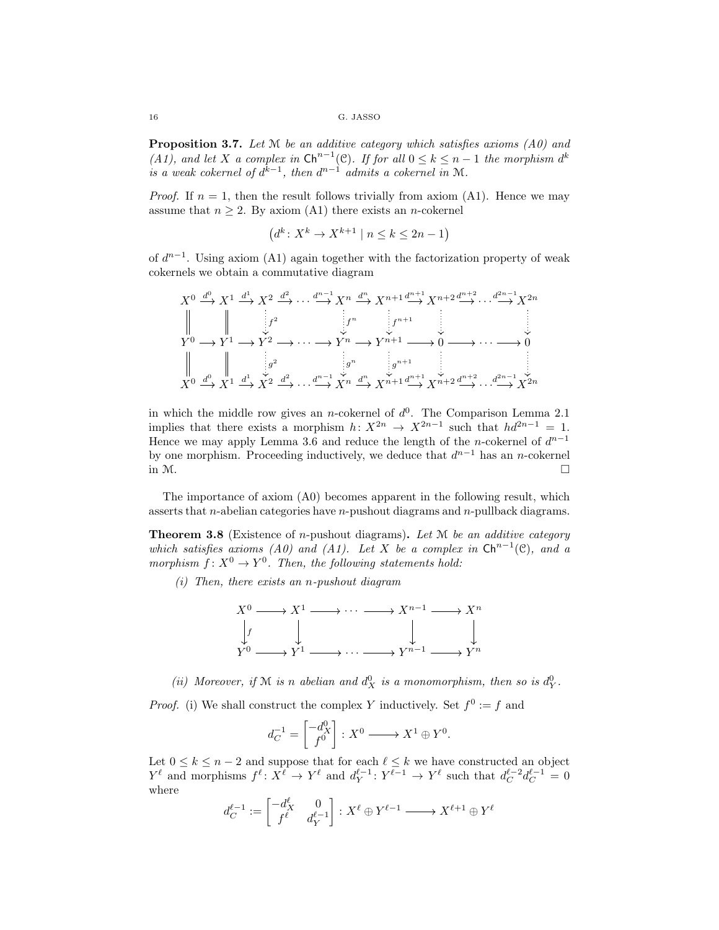Proposition 3.7. *Let* M *be an additive category which satisfies axioms (A0) and (A1), and let* X *a complex in*  $\mathsf{Ch}^{n-1}(\mathcal{C})$ *. If for all*  $0 \leq k \leq n-1$  *the morphism*  $d^k$ *is a weak cokernel of*  $d^{k-1}$ *, then*  $d^{n-1}$  *admits a cokernel in* M.

*Proof.* If  $n = 1$ , then the result follows trivially from axiom (A1). Hence we may assume that  $n \geq 2$ . By axiom (A1) there exists an *n*-cokernel

$$
(d^k \colon X^k \to X^{k+1} \mid n \le k \le 2n - 1)
$$

of  $d^{n-1}$ . Using axiom (A1) again together with the factorization property of weak cokernels we obtain a commutative diagram

$$
X^{0} \xrightarrow{d^{0}} X^{1} \xrightarrow{d^{1}} X^{2} \xrightarrow{d^{2}} \cdots \xrightarrow{d^{n-1}} X^{n} \xrightarrow{d^{n}} X^{n+1} \xrightarrow{d^{n+1}} X^{n+2} \xrightarrow{d^{n+2}} \cdots \xrightarrow{d^{2n-1}} X^{2n}
$$
\n
$$
\parallel \qquad \qquad \downarrow f^{2} \qquad \qquad \downarrow f^{n} \qquad \qquad \downarrow f^{n+1} \qquad \qquad \downarrow
$$
\n
$$
Y^{0} \longrightarrow Y^{1} \longrightarrow Y^{2} \longrightarrow \cdots \longrightarrow Y^{n} \longrightarrow Y^{n+1} \longrightarrow 0 \longrightarrow \cdots \longrightarrow 0
$$
\n
$$
\parallel \qquad \qquad \downarrow g^{2} \qquad \qquad \downarrow g^{n} \qquad \qquad \downarrow g^{n+1} \qquad \qquad \downarrow
$$
\n
$$
X^{0} \xrightarrow{d^{0}} X^{1} \xrightarrow{d^{1}} X^{2} \xrightarrow{d^{2}} \cdots \xrightarrow{d^{n-1}} X^{n} \xrightarrow{d^{n}} X^{n+1} \xrightarrow{d^{n+1}} X^{n+2} \xrightarrow{d^{n+2}} \cdots \xrightarrow{d^{2n-1}} X^{2n}
$$

in which the middle row gives an *n*-cokernel of  $d^0$ . The Comparison Lemma 2.1 implies that there exists a morphism  $h: X^{2n} \to X^{2n-1}$  such that  $hd^{2n-1} = 1$ . Hence we may apply Lemma 3.6 and reduce the length of the n-cokernel of  $d^{n-1}$ by one morphism. Proceeding inductively, we deduce that  $d^{n-1}$  has an n-cokernel in  $M$ .

The importance of axiom (A0) becomes apparent in the following result, which asserts that *n*-abelian categories have *n*-pushout diagrams and *n*-pullback diagrams.

Theorem 3.8 (Existence of n-pushout diagrams). *Let* M *be an additive category which satisfies axioms (A0) and (A1). Let* X *be a complex in*  $\mathsf{Ch}^{n-1}(\mathcal{C})$ *, and a morphism*  $f: X^0 \to Y^0$ . Then, the following statements hold:

*(i) Then, there exists an* n*-pushout diagram*



(*ii*) Moreover, if M is n abelian and  $d_X^0$  is a monomorphism, then so is  $d_Y^0$ .

*Proof.* (i) We shall construct the complex Y inductively. Set  $f^0 := f$  and

$$
d_C^{-1} = \begin{bmatrix} -d_X^0 \\ f^0 \end{bmatrix} : X^0 \longrightarrow X^1 \oplus Y^0.
$$

Let  $0 \leq k \leq n-2$  and suppose that for each  $\ell \leq k$  we have constructed an object  $Y^{\ell}$  and morphisms  $f^{\ell}: X^{\ell} \to Y^{\ell}$  and  $d_Y^{\ell-1}: Y^{\ell-1} \to Y^{\ell}$  such that  $d_C^{\ell-2} d_C^{\ell-1} = 0$ where

$$
d_C^{\ell-1} := \begin{bmatrix} -d_X^{\ell} & 0\\ f^{\ell} & d_Y^{\ell-1} \end{bmatrix} : X^{\ell} \oplus Y^{\ell-1} \longrightarrow X^{\ell+1} \oplus Y^{\ell}
$$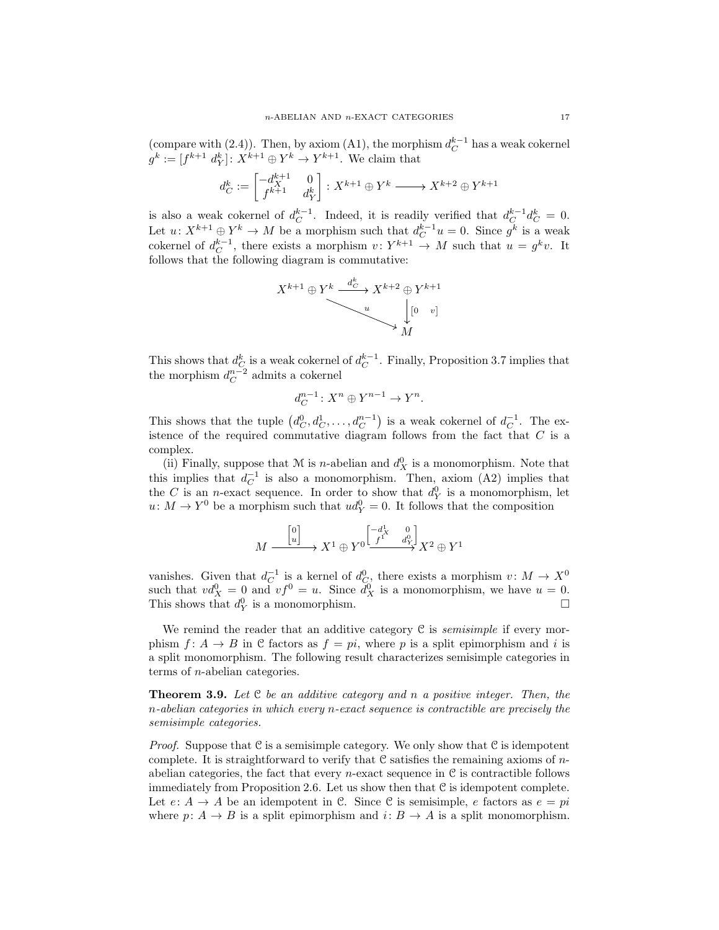(compare with (2.4)). Then, by axiom (A1), the morphism  $d_C^{k-1}$  has a weak cokernel  $g^k := [f^{k+1} d_Y^k] \colon X^{k+1} \oplus Y^k \to Y^{k+1}$ . We claim that

$$
d_C^k:=\begin{bmatrix} -d^{k+1}_X & 0 \\ f^{k+1} & d^k_Y \end{bmatrix}: X^{k+1}\oplus Y^k \xrightarrow{ } X^{k+2}\oplus Y^{k+1}
$$

is also a weak cokernel of  $d_C^{k-1}$ . Indeed, it is readily verified that  $d_C^{k-1}d_C^k = 0$ . Let  $u: X^{k+1} \oplus Y^k \to M$  be a morphism such that  $d_C^{k-1}u = 0$ . Since  $g^k$  is a weak cokernel of  $d_C^{k-1}$ , there exists a morphism  $v: Y^{k+1} \to M$  such that  $u = g^k v$ . It follows that the following diagram is commutative:

$$
X^{k+1} \oplus Y^k \xrightarrow{d^k_C} X^{k+2} \oplus Y^{k+1}
$$
  

$$
\downarrow [0 \quad v]
$$
  

$$
M
$$

This shows that  $d_C^k$  is a weak cokernel of  $d_C^{k-1}$ . Finally, Proposition 3.7 implies that the morphism  $d_C^{n-2}$  admits a cokernel

$$
d_C^{n-1} \colon X^n \oplus Y^{n-1} \to Y^n.
$$

This shows that the tuple  $(d_C^0, d_C^1, \ldots, d_C^{n-1})$  is a weak cokernel of  $d_C^{-1}$ . The existence of the required commutative diagram follows from the fact that C is a complex.

(ii) Finally, suppose that  $M$  is *n*-abelian and  $d_X^0$  is a monomorphism. Note that this implies that  $d_C^{-1}$  is also a monomorphism. Then, axiom (A2) implies that the C is an *n*-exact sequence. In order to show that  $d_Y^0$  is a monomorphism, let  $u: M \to Y^0$  be a morphism such that  $ud_Y^0 = 0$ . It follows that the composition

$$
M \xrightarrow{\begin{bmatrix} 0 \\ u \end{bmatrix}} X^1 \oplus Y^0 \xrightarrow{\begin{bmatrix} -d^1_X & 0 \\ f^1 & d^0_Y \end{bmatrix}} X^2 \oplus Y^1
$$

vanishes. Given that  $d_C^{-1}$  is a kernel of  $d_C^0$ , there exists a morphism  $v \colon M \to X^0$ such that  $vd_X^0 = 0$  and  $vf^0 = u$ . Since  $\overline{d}_X^0$  is a monomorphism, we have  $u = 0$ . This shows that  $d_Y^0$ is a monomorphism.  $\Box$ 

We remind the reader that an additive category C is *semisimple* if every morphism  $f: A \to B$  in C factors as  $f = pi$ , where p is a split epimorphism and i is a split monomorphism. The following result characterizes semisimple categories in terms of n-abelian categories.

Theorem 3.9. *Let* C *be an additive category and* n *a positive integer. Then, the* n*-abelian categories in which every* n*-exact sequence is contractible are precisely the semisimple categories.*

*Proof.* Suppose that C is a semisimple category. We only show that C is idempotent complete. It is straightforward to verify that  $\mathcal C$  satisfies the remaining axioms of nabelian categories, the fact that every *n*-exact sequence in  $C$  is contractible follows immediately from Proposition 2.6. Let us show then that C is idempotent complete. Let  $e: A \to A$  be an idempotent in C. Since C is semisimple, e factors as  $e = pi$ where  $p: A \to B$  is a split epimorphism and  $i: B \to A$  is a split monomorphism.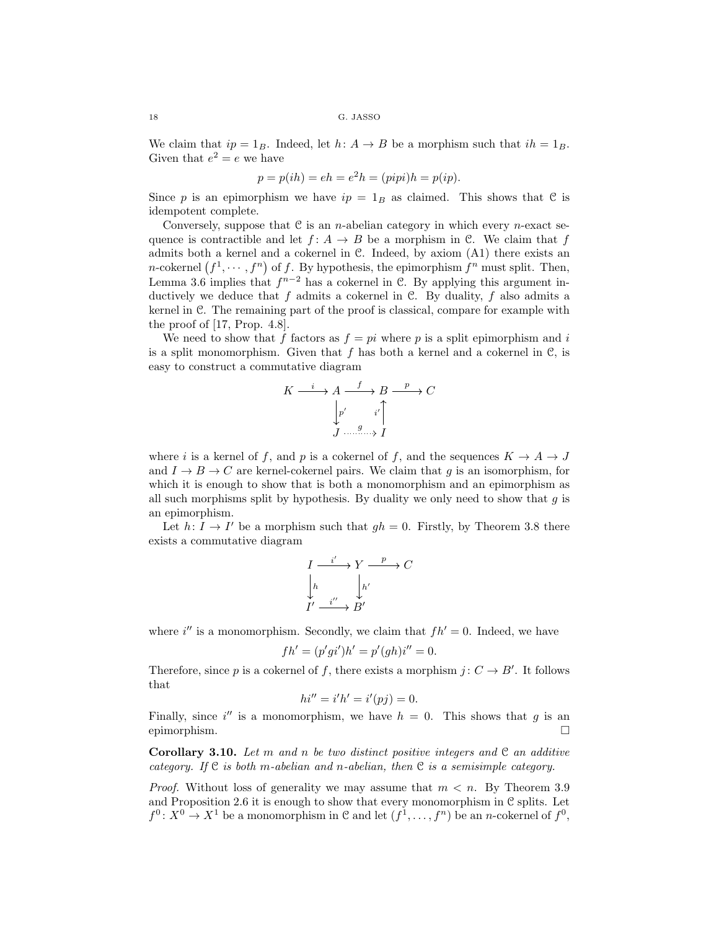We claim that  $ip = 1_B$ . Indeed, let  $h: A \rightarrow B$  be a morphism such that  $ih = 1_B$ . Given that  $e^2 = e$  we have

$$
p = p(ih) = eh = e2h = (pipi)h = p(ip).
$$

Since p is an epimorphism we have  $ip = 1_B$  as claimed. This shows that C is idempotent complete.

Conversely, suppose that  $C$  is an *n*-abelian category in which every *n*-exact sequence is contractible and let  $f: A \rightarrow B$  be a morphism in C. We claim that f admits both a kernel and a cokernel in C. Indeed, by axiom (A1) there exists an *n*-cokernel  $(f^1, \dots, f^n)$  of f. By hypothesis, the epimorphism  $f^n$  must split. Then, Lemma 3.6 implies that  $f^{n-2}$  has a cokernel in C. By applying this argument inductively we deduce that  $f$  admits a cokernel in  $\mathcal{C}$ . By duality,  $f$  also admits a kernel in C. The remaining part of the proof is classical, compare for example with the proof of [17, Prop. 4.8].

We need to show that f factors as  $f = pi$  where p is a split epimorphism and i is a split monomorphism. Given that  $f$  has both a kernel and a cokernel in  $\mathcal{C}$ , is easy to construct a commutative diagram

$$
K \xrightarrow{i} A \xrightarrow{f} B \xrightarrow{p} C
$$

$$
\downarrow p' \qquad i' \uparrow
$$

$$
J \xrightarrow{g} I
$$

where i is a kernel of f, and p is a cokernel of f, and the sequences  $K \to A \to J$ and  $I \rightarrow B \rightarrow C$  are kernel-cokernel pairs. We claim that q is an isomorphism, for which it is enough to show that is both a monomorphism and an epimorphism as all such morphisms split by hypothesis. By duality we only need to show that  $q$  is an epimorphism.

Let  $h: I \to I'$  be a morphism such that  $gh = 0$ . Firstly, by Theorem 3.8 there exists a commutative diagram

$$
\begin{array}{ccc}\nI & \xrightarrow{i'} & Y & \xrightarrow{p} & C \\
\downarrow h & & \downarrow h' & \\
I' & \xrightarrow{i''} & B'\n\end{array}
$$

where i'' is a monomorphism. Secondly, we claim that  $fh' = 0$ . Indeed, we have

$$
fh' = (p'gi')h' = p'(gh)i'' = 0.
$$

Therefore, since p is a cokernel of f, there exists a morphism  $j: C \to B'$ . It follows that

$$
hi'' = i'h' = i'(pj) = 0.
$$

Finally, since i'' is a monomorphism, we have  $h = 0$ . This shows that g is an epimorphism.

Corollary 3.10. *Let* m *and* n *be two distinct positive integers and* C *an additive category. If* C *is both* m*-abelian and* n*-abelian, then* C *is a semisimple category.*

*Proof.* Without loss of generality we may assume that  $m < n$ . By Theorem 3.9 and Proposition 2.6 it is enough to show that every monomorphism in  $C$  splits. Let  $f^0: X^0 \to X^1$  be a monomorphism in C and let  $(f^1, \ldots, f^n)$  be an *n*-cokernel of  $f^0$ ,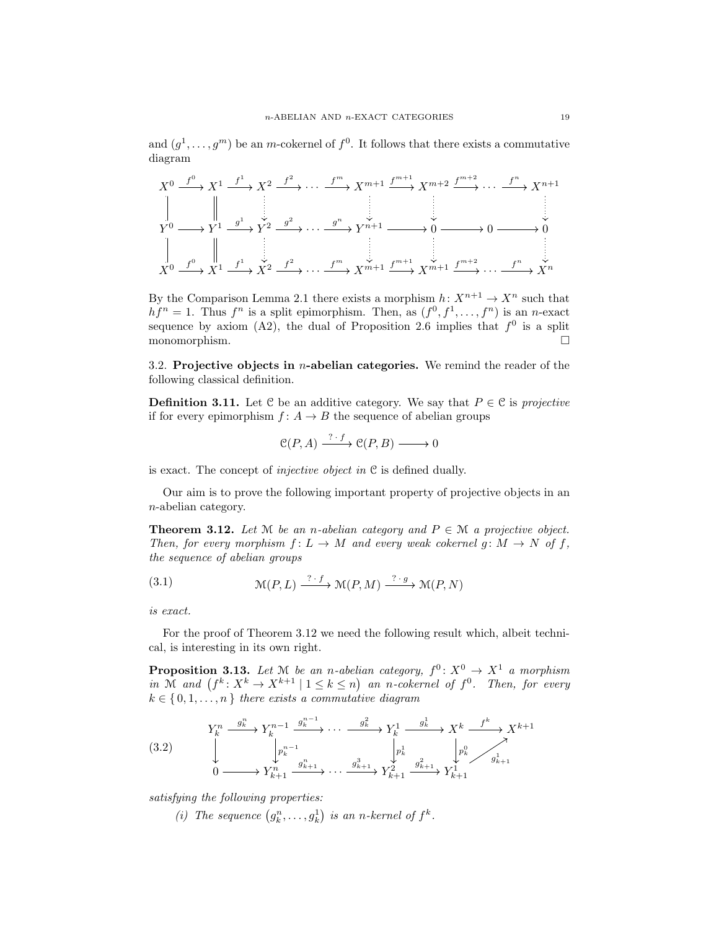and  $(g^1, \ldots, g^m)$  be an m-cokernel of  $f^0$ . It follows that there exists a commutative diagram

$$
X^{0} \xrightarrow{f^{0}} X^{1} \xrightarrow{f^{1}} X^{2} \xrightarrow{f^{2}} \cdots \xrightarrow{f^{m}} X^{m+1} \xrightarrow{f^{m+1}} X^{m+2} \xrightarrow{f^{m+2}} \cdots \xrightarrow{f^{n}} X^{n+1}
$$
\n
$$
\downarrow \qquad \qquad \downarrow \qquad \qquad \downarrow
$$
\n
$$
Y^{0} \longrightarrow Y^{1} \xrightarrow{g^{1}} Y^{2} \xrightarrow{g^{2}} \cdots \xrightarrow{g^{n}} Y^{n+1} \longrightarrow 0 \longrightarrow 0 \longrightarrow 0
$$
\n
$$
\downarrow \qquad \qquad \downarrow
$$
\n
$$
X^{0} \xrightarrow{f^{0}} X^{1} \xrightarrow{f^{1}} X^{2} \xrightarrow{f^{2}} \cdots \xrightarrow{f^{m}} X^{m+1} \xrightarrow{f^{m+1}} X^{m+1} \xrightarrow{f^{m+2}} \cdots \xrightarrow{f^{n}} X^{n}
$$

By the Comparison Lemma 2.1 there exists a morphism  $h: X^{n+1} \to X^n$  such that  $hf^{n} = 1$ . Thus  $f^{n}$  is a split epimorphism. Then, as  $(f^{0}, f^{1}, \ldots, f^{n})$  is an *n*-exact sequence by axiom (A2), the dual of Proposition 2.6 implies that  $f^0$  is a split monomorphism.

3.2. Projective objects in  $n$ -abelian categories. We remind the reader of the following classical definition.

**Definition 3.11.** Let C be an additive category. We say that  $P \in \mathcal{C}$  is *projective* if for every epimorphism  $f: A \rightarrow B$  the sequence of abelian groups

$$
\mathcal{C}(P,A) \xrightarrow{\text{?} \cdot f} \mathcal{C}(P,B) \longrightarrow 0
$$

is exact. The concept of *injective object in* C is defined dually.

Our aim is to prove the following important property of projective objects in an n-abelian category.

**Theorem 3.12.** *Let*  $M$  *be an n-abelian category and*  $P \in M$  *a projective object. Then, for every morphism*  $f: L \to M$  *and every weak cokernel g:*  $M \to N$  *of*  $f$ *, the sequence of abelian groups*

(3.1) 
$$
\mathcal{M}(P,L) \xrightarrow{? \cdot f} \mathcal{M}(P,M) \xrightarrow{? \cdot g} \mathcal{M}(P,N)
$$

*is exact.*

For the proof of Theorem 3.12 we need the following result which, albeit technical, is interesting in its own right.

**Proposition 3.13.** Let  $M$  be an n-abelian category,  $f^0: X^0 \to X^1$  a morphism in M and  $(f^k: X^k \to X^{k+1} \mid 1 \leq k \leq n)$  an n-cokernel of  $f^0$ . Then, for every  $k \in \{0, 1, \ldots, n\}$  *there exists a commutative diagram* 

$$
(3.2) \qquad \downarrow Y_k^n \xrightarrow{g_k^n} Y_k^{n-1} \xrightarrow{g_k^{n-1}} \cdots \xrightarrow{g_k^2} Y_k^1 \xrightarrow{g_k^1} X^k \xrightarrow{f^k} X^{k+1}
$$
\n
$$
\downarrow \qquad \downarrow p_k^{n-1} \qquad \downarrow p_k^1 \qquad \downarrow p_k^0
$$
\n
$$
0 \longrightarrow Y_{k+1}^n \xrightarrow{g_{k+1}^n} \cdots \xrightarrow{g_{k+1}^3} Y_{k+1}^2 \xrightarrow{g_{k+1}^2} Y_{k+1}^1 Y_{k+1}^1
$$

*satisfying the following properties:*

(*i*) The sequence  $(g_k^n, \ldots, g_k^1)$  is an n-kernel of  $f^k$ .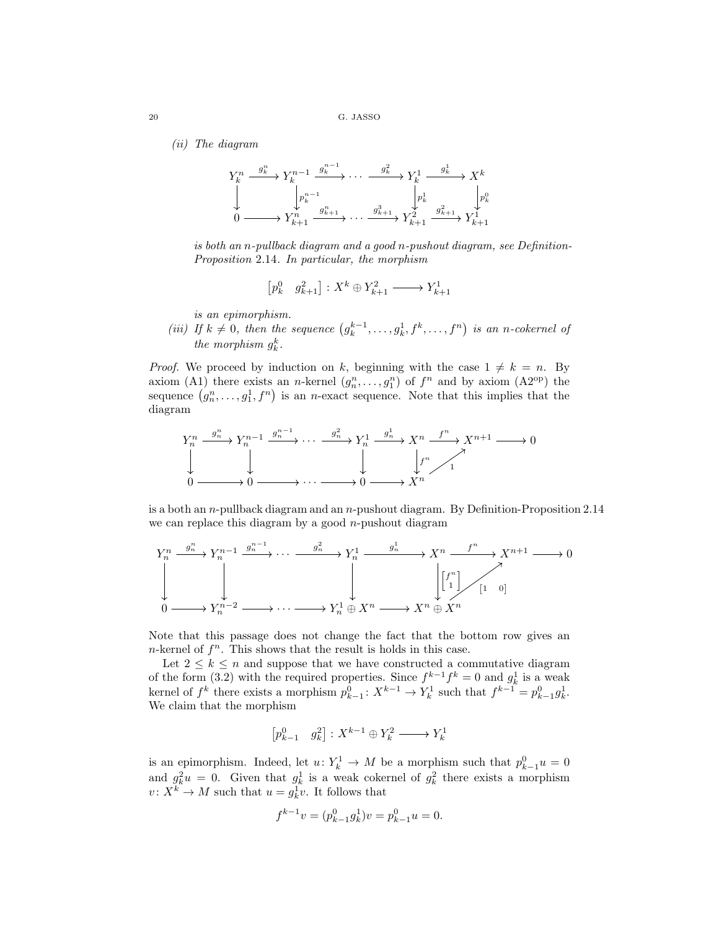*(ii) The diagram*



*is both an* n*-pullback diagram and a good* n*-pushout diagram, see Definition-Proposition* 2.14*. In particular, the morphism*

$$
\begin{bmatrix} p^0_k & g^2_{k+1} \end{bmatrix} : X^k \oplus Y^2_{k+1} \xrightarrow{\hspace*{1cm}} Y^1_{k+1}
$$

*is an epimorphism.*

*(iii)* If  $k \neq 0$ , then the sequence  $(g_k^{k-1}, \ldots, g_k^1, f^k, \ldots, f^n)$  is an n-cokernel of *the morphism*  $g_k^k$ .

*Proof.* We proceed by induction on k, beginning with the case  $1 \neq k = n$ . By axiom (A1) there exists an *n*-kernel  $(g_n^n, \ldots, g_1^n)$  of  $f^n$  and by axiom (A2<sup>op</sup>) the sequence  $(g_n^n, \ldots, g_1^1, f^n)$  is an *n*-exact sequence. Note that this implies that the diagram



is a both an  $n$ -pullback diagram and an  $n$ -pushout diagram. By Definition-Proposition 2.14 we can replace this diagram by a good  $n$ -pushout diagram



Note that this passage does not change the fact that the bottom row gives an  $n$ -kernel of  $f^n$ . This shows that the result is holds in this case.

Let  $2 \leq k \leq n$  and suppose that we have constructed a commutative diagram of the form (3.2) with the required properties. Since  $f^{k-1}f^k = 0$  and  $g_k^1$  is a weak kernel of  $f^k$  there exists a morphism  $p_{k-1}^0: X^{k-1} \to Y_k^1$  such that  $f^{k-1} = p_{k-1}^0 g_k^1$ . We claim that the morphism

$$
\begin{bmatrix}p_{k-1}^0 & g_k^2\end{bmatrix}:X^{k-1}\oplus Y_k^2\longrightarrow Y_k^1
$$

is an epimorphism. Indeed, let  $u: Y_k^1 \to M$  be a morphism such that  $p_{k-1}^0 u = 0$ and  $g_k^2 u = 0$ . Given that  $g_k^1$  is a weak cokernel of  $g_k^2$  there exists a morphism  $v: X^k \to M$  such that  $u = g_k^1 v$ . It follows that

$$
f^{k-1}v = (p_{k-1}^0 g_k^1)v = p_{k-1}^0 u = 0.
$$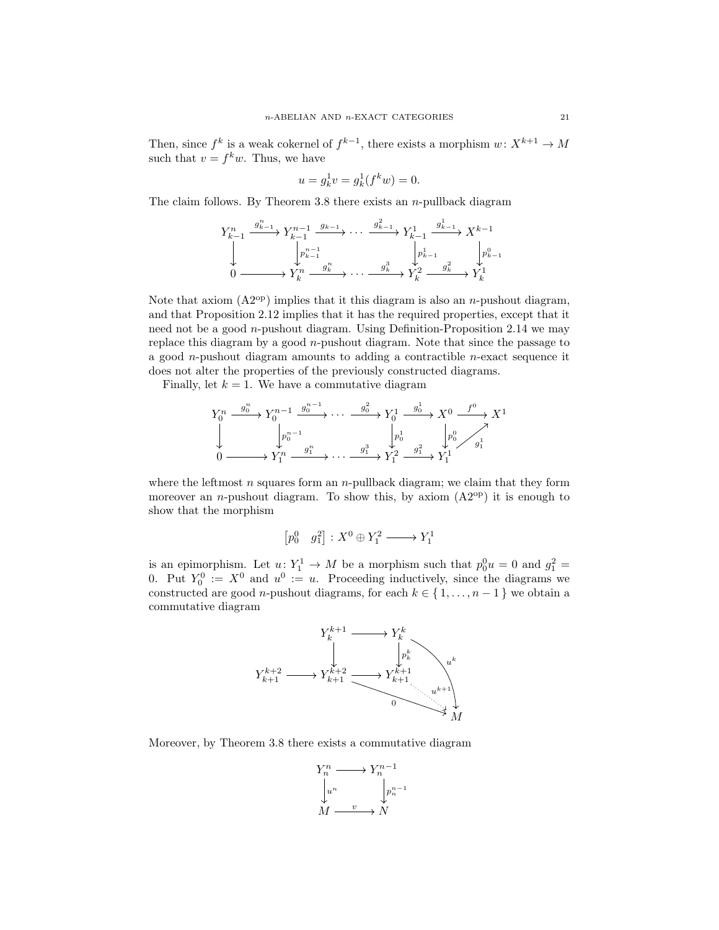Then, since  $f^k$  is a weak cokernel of  $f^{k-1}$ , there exists a morphism  $w: X^{k+1} \to M$ such that  $v = f^k w$ . Thus, we have

$$
u = g_k^1 v = g_k^1(f^k w) = 0.
$$

The claim follows. By Theorem 3.8 there exists an  $n$ -pullback diagram

$$
\begin{array}{ccc}\nY_{k-1}^n & \xrightarrow{g_{k-1}^n} Y_{k-1}^{n-1} & \xrightarrow{g_{k-1}} \cdots & \xrightarrow{g_{k-1}^2} Y_{k-1}^1 & \xrightarrow{g_{k-1}^1} X^{k-1} \\
\downarrow & \downarrow & \downarrow^{n-1} & \downarrow^{n-1} \\
0 & \xrightarrow{\qquad \qquad} Y_k^n & \xrightarrow{g_k^n} \cdots & \xrightarrow{g_k^3} Y_k^2 & \xrightarrow{g_k^2} Y_k^1\n\end{array}
$$

Note that axiom  $(A2^{op})$  implies that it this diagram is also an *n*-pushout diagram, and that Proposition 2.12 implies that it has the required properties, except that it need not be a good  $n$ -pushout diagram. Using Definition-Proposition 2.14 we may replace this diagram by a good  $n$ -pushout diagram. Note that since the passage to a good *n*-pushout diagram amounts to adding a contractible *n*-exact sequence it does not alter the properties of the previously constructed diagrams.

Finally, let  $k = 1$ . We have a commutative diagram

$$
Y_0^n \xrightarrow{g_0^n} Y_0^{n-1} \xrightarrow{g_0^{n-1}} \cdots \xrightarrow{g_0^2} Y_0^1 \xrightarrow{g_0^1} X^0 \xrightarrow{f^0} X^1
$$
  
\n
$$
\downarrow \qquad \qquad \downarrow p_0^{n-1} \qquad \qquad \downarrow p_0^1 \qquad \qquad \downarrow p_0^0
$$
  
\n
$$
0 \longrightarrow Y_1^n \xrightarrow{g_1^n} \cdots \xrightarrow{g_1^3} Y_1^2 \xrightarrow{g_1^2} Y_1^1
$$

where the leftmost  $n$  squares form an  $n$ -pullback diagram; we claim that they form moreover an *n*-pushout diagram. To show this, by axiom  $(A2^{op})$  it is enough to show that the morphism

$$
\begin{bmatrix}p_0^0&g_1^2\end{bmatrix}\colon X^0\oplus Y_1^2\longrightarrow Y_1^1
$$

is an epimorphism. Let  $u: Y_1^1 \to M$  be a morphism such that  $p_0^0 u = 0$  and  $q_1^2 =$ 0. Put  $Y_0^0 := X^0$  and  $u^0 := u$ . Proceeding inductively, since the diagrams we constructed are good *n*-pushout diagrams, for each  $k \in \{1, \ldots, n-1\}$  we obtain a commutative diagram



Moreover, by Theorem 3.8 there exists a commutative diagram

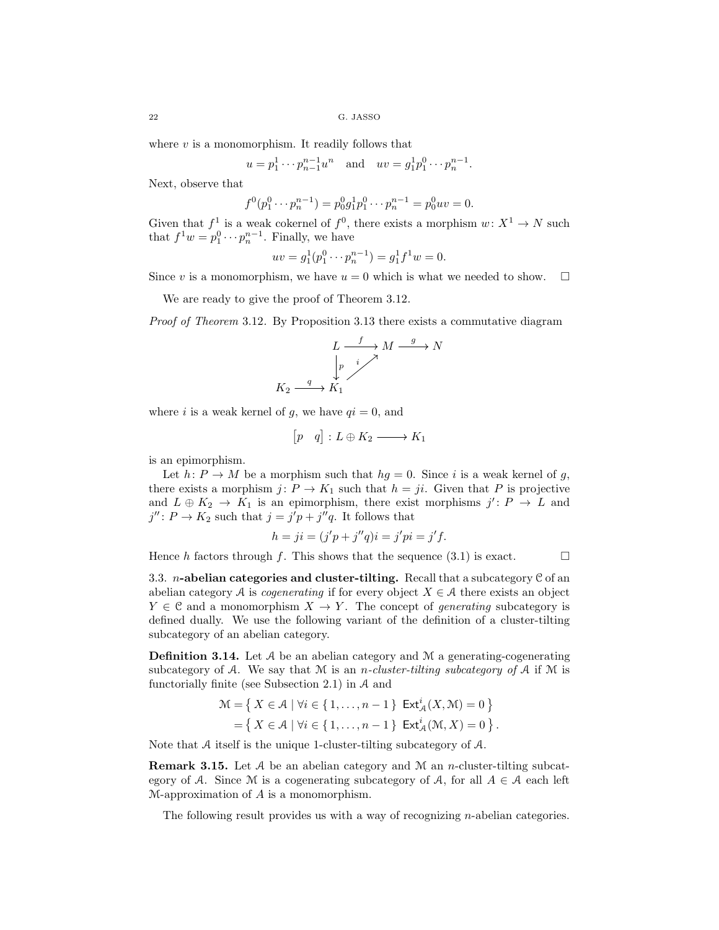where  $v$  is a monomorphism. It readily follows that

$$
u = p_1^1 \cdots p_{n-1}^{n-1} u^n
$$
 and  $uv = g_1^1 p_1^0 \cdots p_n^{n-1}$ .

Next, observe that

$$
f^{0}(p_1^{0} \cdots p_n^{n-1}) = p_0^{0} g_1^{1} p_1^{0} \cdots p_n^{n-1} = p_0^{0} uv = 0.
$$

Given that  $f^1$  is a weak cokernel of  $f^0$ , there exists a morphism  $w: X^1 \to N$  such that  $f^1 w = p_1^0 \cdots p_n^{n-1}$ . Finally, we have

$$
uv = g_1^1(p_1^0 \cdots p_n^{n-1}) = g_1^1 f^1 w = 0.
$$

Since v is a monomorphism, we have  $u = 0$  which is what we needed to show.  $\square$ 

We are ready to give the proof of Theorem 3.12.

*Proof of Theorem* 3.12*.* By Proposition 3.13 there exists a commutative diagram

$$
L \xrightarrow{f} M \xrightarrow{g} N
$$
  
\n
$$
\downarrow p \qquad i \nearrow
$$
  
\n
$$
K_2 \xrightarrow{g} K_1
$$

where i is a weak kernel of g, we have  $qi = 0$ , and

$$
\begin{bmatrix} p & q \end{bmatrix} : L \oplus K_2 \longrightarrow K_1
$$

is an epimorphism.

Let  $h: P \to M$  be a morphism such that  $hg = 0$ . Since i is a weak kernel of g, there exists a morphism  $j: P \to K_1$  such that  $h = ji$ . Given that P is projective and  $L \oplus K_2 \to K_1$  is an epimorphism, there exist morphisms  $j' : P \to L$  and  $j'' : P \to K_2$  such that  $j = j'p + j''q$ . It follows that

$$
h = ji = (j'p + j''q)i = j'pi = j'f.
$$

Hence h factors through f. This shows that the sequence (3.1) is exact.  $\Box$ 

3.3. *n*-abelian categories and cluster-tilting. Recall that a subcategory  $\mathcal C$  of an abelian category A is *cogenerating* if for every object  $X \in \mathcal{A}$  there exists an object  $Y \in \mathcal{C}$  and a monomorphism  $X \to Y$ . The concept of *generating* subcategory is defined dually. We use the following variant of the definition of a cluster-tilting subcategory of an abelian category.

**Definition 3.14.** Let  $A$  be an abelian category and  $M$  a generating-cogenerating subcategory of A. We say that M is an n*-cluster-tilting subcategory of* A if M is functorially finite (see Subsection 2.1) in A and

$$
\mathcal{M} = \left\{ \left. \begin{array}{l} X \in \mathcal{A} \mid \forall i \in \{1, \dots, n-1\} \quad \text{Ext}^i_{\mathcal{A}}(X, \mathcal{M}) = 0 \end{array} \right\} \\ = \left\{ \left. \begin{array}{l} X \in \mathcal{A} \mid \forall i \in \{1, \dots, n-1\} \quad \text{Ext}^i_{\mathcal{A}}(\mathcal{M}, X) = 0 \end{array} \right\} .\end{array}
$$

Note that A itself is the unique 1-cluster-tilting subcategory of A.

**Remark 3.15.** Let A be an abelian category and M an n-cluster-tilting subcategory of A. Since M is a cogenerating subcategory of A, for all  $A \in \mathcal{A}$  each left M-approximation of A is a monomorphism.

The following result provides us with a way of recognizing *n*-abelian categories.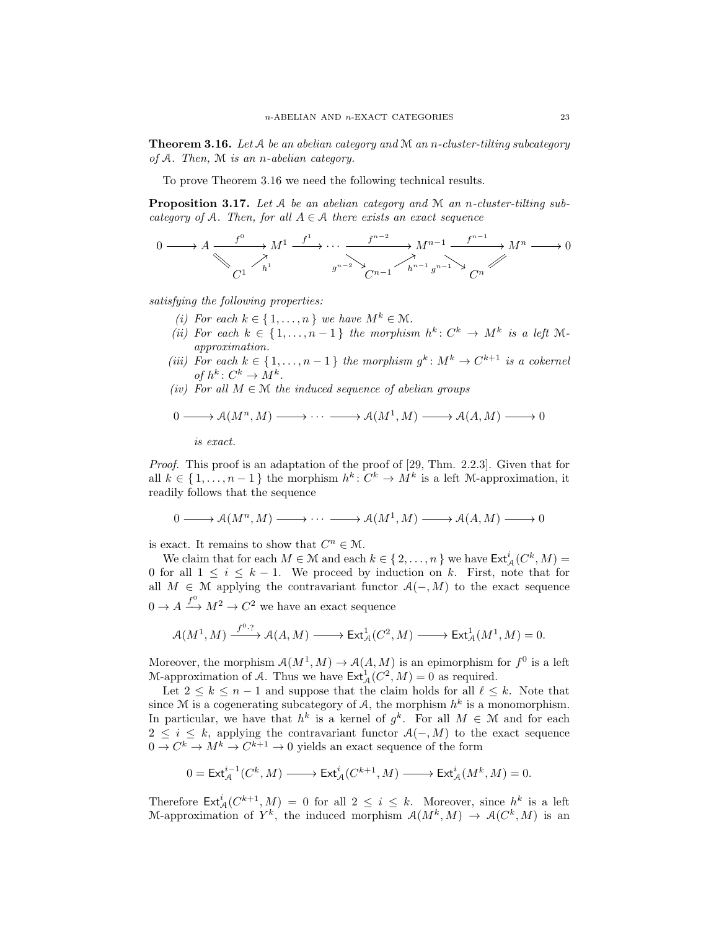Theorem 3.16. *Let* A *be an abelian category and* M *an* n*-cluster-tilting subcategory of* A*. Then,* M *is an* n*-abelian category.*

To prove Theorem 3.16 we need the following technical results.

Proposition 3.17. *Let* A *be an abelian category and* M *an* n*-cluster-tilting subcategory of*  $A$ *. Then, for all*  $A \in \mathcal{A}$  *there exists an exact sequence* 

$$
0 \longrightarrow A \xrightarrow{f^0} M^1 \xrightarrow{f^1} \cdots \xrightarrow{f^{n-2}} M^{n-1} \xrightarrow{f^{n-1}} M^n \longrightarrow 0
$$
  

$$
C^1 \xrightarrow{h^1} g^{n-2} \searrow \xrightarrow{h^{n-1}} g^{n-1} \searrow C^n
$$

*satisfying the following properties:*

- *(i)* For each  $k \in \{1, \ldots, n\}$  *we have*  $M^k \in \mathcal{M}$ .
- *(ii)* For each  $k \in \{1, \ldots, n-1\}$  the morphism  $h^k: C^k \to M^k$  is a left M*approximation.*
- (*iii*) For each  $k \in \{1, \ldots, n-1\}$  the morphism  $g^k \colon M^k \to C^{k+1}$  is a cokernel *of*  $h^k: C^k \to M^k$ .
- $(iv)$  *For all*  $M \in \mathcal{M}$  *the induced sequence of abelian groups*

$$
0 \longrightarrow \mathcal{A}(M^n, M) \longrightarrow \cdots \longrightarrow \mathcal{A}(M^1, M) \longrightarrow \mathcal{A}(A, M) \longrightarrow 0
$$

*is exact.*

*Proof.* This proof is an adaptation of the proof of [29, Thm. 2.2.3]. Given that for all  $k \in \{1, \ldots, n-1\}$  the morphism  $h^k: C^k \to M^k$  is a left M-approximation, it readily follows that the sequence

$$
0 \longrightarrow \mathcal{A}(M^n, M) \longrightarrow \cdots \longrightarrow \mathcal{A}(M^1, M) \longrightarrow \mathcal{A}(A, M) \longrightarrow 0
$$

is exact. It remains to show that  $C^n \in \mathcal{M}$ .

We claim that for each  $M \in \mathcal{M}$  and each  $k \in \{2, ..., n\}$  we have  $\mathsf{Ext}^i_{\mathcal{A}}(C^k, M) =$ 0 for all  $1 \leq i \leq k-1$ . We proceed by induction on k. First, note that for all  $M \in \mathcal{M}$  applying the contravariant functor  $\mathcal{A}(-, M)$  to the exact sequence  $0 \to A \xrightarrow{f^0} M^2 \to C^2$  we have an exact sequence

$$
\mathcal{A}(M^1, M) \xrightarrow{f^0 \cdot ?} \mathcal{A}(A, M) \longrightarrow \text{Ext}^1_{\mathcal{A}}(C^2, M) \longrightarrow \text{Ext}^1_{\mathcal{A}}(M^1, M) = 0.
$$

Moreover, the morphism  $\mathcal{A}(M^1, M) \to \mathcal{A}(A, M)$  is an epimorphism for  $f^0$  is a left M-approximation of A. Thus we have  $\mathsf{Ext}^1_{\mathcal{A}}(C^2, M) = 0$  as required.

Let  $2 \leq k \leq n-1$  and suppose that the claim holds for all  $\ell \leq k$ . Note that since M is a cogenerating subcategory of A, the morphism  $h^k$  is a monomorphism. In particular, we have that  $h^k$  is a kernel of  $g^k$ . For all  $M \in \mathcal{M}$  and for each  $2 \leq i \leq k$ , applying the contravariant functor  $\mathcal{A}(-, M)$  to the exact sequence  $0 \to C^k \to M^k \to C^{k+1} \to 0$  yields an exact sequence of the form

$$
0 = \text{Ext}_{\mathcal{A}}^{i-1}(C^k, M) \longrightarrow \text{Ext}_{\mathcal{A}}^{i}(C^{k+1}, M) \longrightarrow \text{Ext}_{\mathcal{A}}^{i}(M^k, M) = 0.
$$

Therefore  $\text{\rm Ext}^i_{\mathcal{A}}(C^{k+1},M) = 0$  for all  $2 \leq i \leq k$ . Moreover, since  $h^k$  is a left M-approximation of  $Y^k$ , the induced morphism  $\mathcal{A}(M^k,M) \to \mathcal{A}(C^k,M)$  is an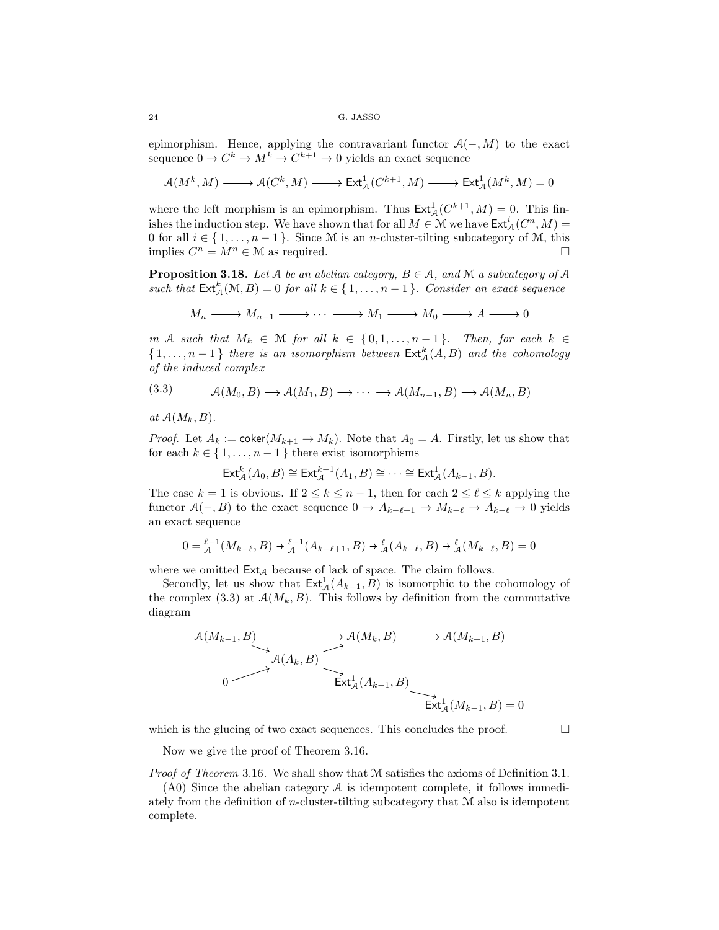epimorphism. Hence, applying the contravariant functor  $\mathcal{A}(-, M)$  to the exact sequence  $0 \to C^k \to M^k \to C^{k+1} \to 0$  yields an exact sequence

$$
\mathcal{A}(M^k,M)\xrightarrow{\qquad}\mathcal{A}(C^k,M)\xrightarrow{\qquad}\operatorname{Ext}^1_{\mathcal{A}}(C^{k+1},M)\xrightarrow{\qquad}\operatorname{Ext}^1_{\mathcal{A}}(M^k,M)=0
$$

where the left morphism is an epimorphism. Thus  $\text{Ext}_{\mathcal{A}}^{1}(C^{k+1}, M) = 0$ . This finishes the induction step. We have shown that for all  $M \in \mathcal{M}$  we have  $\mathsf{Ext}^i_{\mathcal{A}}(C^n, M) =$ 0 for all  $i \in \{1, \ldots, n-1\}$ . Since M is an *n*-cluster-tilting subcategory of M, this implies  $C^n = M^n \in \mathcal{M}$  as required.

**Proposition 3.18.** *Let*  $A$  *be an abelian category,*  $B \in A$ *, and*  $M$  *a subcategory of*  $A$ such that  $\text{Ext}_{\mathcal{A}}^{k}(\mathcal{M}, B) = 0$  *for all*  $k \in \{1, ..., n-1\}$ *. Consider an exact sequence* 

$$
M_n \longrightarrow M_{n-1} \longrightarrow \cdots \longrightarrow M_1 \longrightarrow M_0 \longrightarrow A \longrightarrow 0
$$

*in* A *such that*  $M_k \in \mathbb{M}$  *for all*  $k \in \{0, 1, \ldots, n-1\}$ *. Then, for each*  $k \in$  $\{1,\ldots,n-1\}$  *there is an isomorphism between*  $\mathsf{Ext}^k_{\mathcal{A}}(A,B)$  *and the cohomology of the induced complex*

(3.3) 
$$
\mathcal{A}(M_0, B) \longrightarrow \mathcal{A}(M_1, B) \longrightarrow \cdots \longrightarrow \mathcal{A}(M_{n-1}, B) \longrightarrow \mathcal{A}(M_n, B)
$$

at  $A(M_k, B)$ .

*Proof.* Let  $A_k := \text{coker}(M_{k+1} \to M_k)$ . Note that  $A_0 = A$ . Firstly, let us show that for each  $k \in \{1, \ldots, n-1\}$  there exist isomorphisms

$$
\mathsf{Ext}^k_{\mathcal{A}}(A_0, B) \cong \mathsf{Ext}^{k-1}_{\mathcal{A}}(A_1, B) \cong \cdots \cong \mathsf{Ext}^1_{\mathcal{A}}(A_{k-1}, B).
$$

The case  $k = 1$  is obvious. If  $2 \leq k \leq n-1$ , then for each  $2 \leq \ell \leq k$  applying the functor  $A(-, B)$  to the exact sequence  $0 \to A_{k-\ell+1} \to M_{k-\ell} \to A_{k-\ell} \to 0$  yields an exact sequence

$$
0 = \mathcal{L}^{-1}(M_{k-\ell}, B) \to \mathcal{L}^{-1}(A_{k-\ell+1}, B) \to \mathcal{L}(A_{k-\ell}, B) \to \mathcal{L}(M_{k-\ell}, B) = 0
$$

where we omitted  $\textsf{Ext}_{\mathcal{A}}$  because of lack of space. The claim follows.

Secondly, let us show that  $\text{Ext}_{\mathcal{A}}^1(A_{k-1}, B)$  is isomorphic to the cohomology of the complex (3.3) at  $A(M_k, B)$ . This follows by definition from the commutative diagram

$$
\mathcal{A}(M_{k-1}, B) \longrightarrow \mathcal{A}(M_k, B) \longrightarrow \mathcal{A}(M_{k+1}, B)
$$
\n
$$
\downarrow \mathcal{A}(A_k, B) \longrightarrow \mathcal{A}(M_{k+1}, B)
$$
\n
$$
\downarrow \qquad \downarrow \mathcal{A}(A_{k-1}, B) \longrightarrow \mathcal{A}(M_{k+1}, B) = 0
$$

which is the glueing of two exact sequences. This concludes the proof.  $\Box$ 

Now we give the proof of Theorem 3.16.

*Proof of Theorem* 3.16*.* We shall show that M satisfies the axioms of Definition 3.1.

(A0) Since the abelian category A is idempotent complete, it follows immediately from the definition of *n*-cluster-tilting subcategory that  $M$  also is idempotent complete.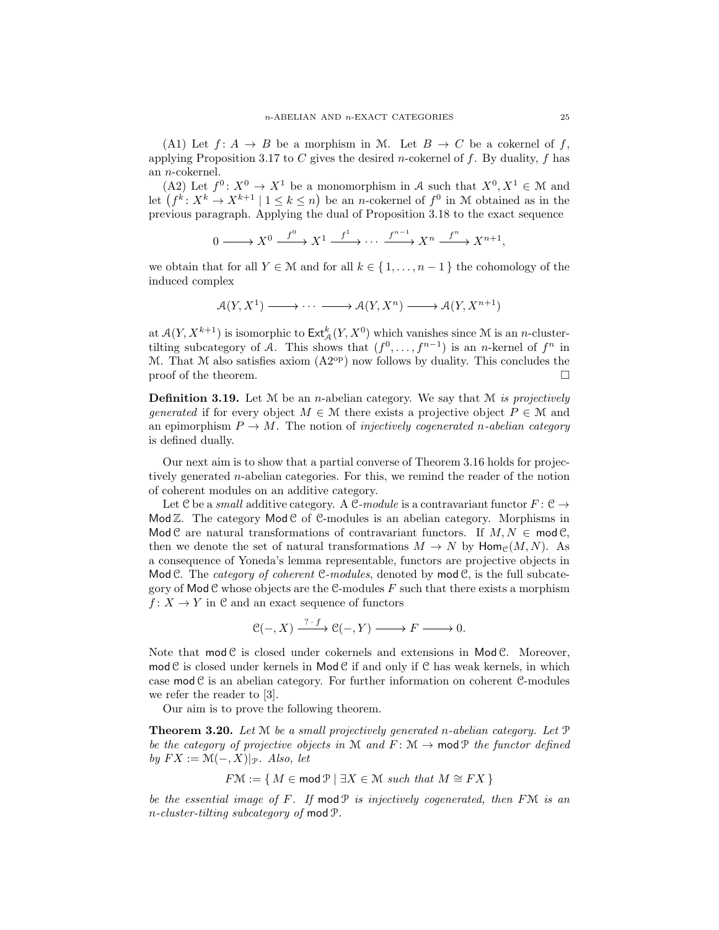(A1) Let  $f: A \rightarrow B$  be a morphism in M. Let  $B \rightarrow C$  be a cokernel of f, applying Proposition 3.17 to C gives the desired *n*-cokernel of f. By duality, f has an n-cokernel.

(A2) Let  $f^0: X^0 \to X^1$  be a monomorphism in A such that  $X^0, X^1 \in \mathcal{M}$  and let  $(f^k: X^k \to X^{k+1} \mid 1 \leq k \leq n)$  be an *n*-cokernel of  $f^0$  in M obtained as in the previous paragraph. Applying the dual of Proposition 3.18 to the exact sequence

$$
0 \longrightarrow X^0 \xrightarrow{f^0} X^1 \xrightarrow{f^1} \cdots \xrightarrow{f^{n-1}} X^n \xrightarrow{f^n} X^{n+1},
$$

we obtain that for all  $Y \in \mathcal{M}$  and for all  $k \in \{1, \ldots, n-1\}$  the cohomology of the induced complex

$$
\mathcal{A}(Y, X^1) \longrightarrow \cdots \longrightarrow \mathcal{A}(Y, X^n) \longrightarrow \mathcal{A}(Y, X^{n+1})
$$

at  $\mathcal{A}(Y, X^{k+1})$  is isomorphic to  $\mathsf{Ext}_{\mathcal{A}}^k(Y, X^0)$  which vanishes since M is an *n*-clustertilting subcategory of A. This shows that  $(f^0, \ldots, f^{n-1})$  is an *n*-kernel of  $f^n$  in M. That M also satisfies axiom  $(A2^{op})$  now follows by duality. This concludes the proof of the theorem.  $\Box$ 

Definition 3.19. Let M be an n-abelian category. We say that M *is projectively generated* if for every object  $M \in \mathcal{M}$  there exists a projective object  $P \in \mathcal{M}$  and an epimorphism  $P \to M$ . The notion of *injectively cogenerated* n-abelian category is defined dually.

Our next aim is to show that a partial converse of Theorem 3.16 holds for projectively generated n-abelian categories. For this, we remind the reader of the notion of coherent modules on an additive category.

Let C be a *small* additive category. A C-module is a contravariant functor  $F: \mathcal{C} \to$ Mod  $\mathbb{Z}$ . The category Mod  $\mathcal{C}$  of  $\mathcal{C}$ -modules is an abelian category. Morphisms in Mod C are natural transformations of contravariant functors. If  $M, N \in \text{mod}\,\mathcal{C}$ , then we denote the set of natural transformations  $M \to N$  by  $\text{Hom}_{\mathcal{C}}(M, N)$ . As a consequence of Yoneda's lemma representable, functors are projective objects in Mod C. The *category of coherent* C-modules, denoted by mod C, is the full subcategory of  $\mathsf{Mod}\mathcal{C}$  whose objects are the C-modules F such that there exists a morphism  $f: X \to Y$  in C and an exact sequence of functors

$$
\mathcal{C}(-, X) \xrightarrow{? \cdot f} \mathcal{C}(-, Y) \longrightarrow F \longrightarrow 0.
$$

Note that  $mod \mathcal{C}$  is closed under cokernels and extensions in  $Mod \mathcal{C}$ . Moreover, mod  $C$  is closed under kernels in Mod  $C$  if and only if  $C$  has weak kernels, in which case  $\text{mod } \mathcal{C}$  is an abelian category. For further information on coherent  $\mathcal{C}\text{-modules}$ we refer the reader to [3].

Our aim is to prove the following theorem.

Theorem 3.20. *Let* M *be a small projectively generated* n*-abelian category. Let* P *be the category of projective objects in* M *and*  $F: M \rightarrow \text{mod } P$  *the functor defined by*  $FX := \mathcal{M}(-, X)|_{\mathcal{P}}$ *. Also, let* 

$$
F\mathcal{M} := \{ M \in \text{mod } \mathcal{P} \mid \exists X \in \mathcal{M} \text{ such that } M \cong FX \}
$$

*be the essential image of* F*. If* mod P *is injectively cogenerated, then* FM *is an* n*-cluster-tilting subcategory of* mod P*.*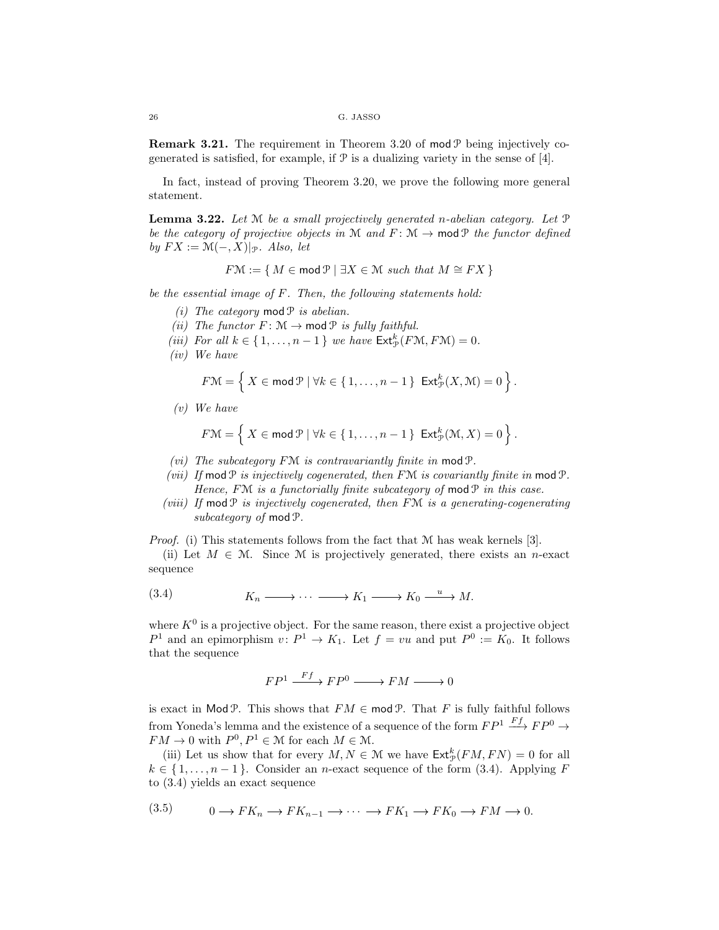**Remark 3.21.** The requirement in Theorem 3.20 of mod  $\mathcal{P}$  being injectively cogenerated is satisfied, for example, if  $\mathcal P$  is a dualizing variety in the sense of [4].

In fact, instead of proving Theorem 3.20, we prove the following more general statement.

Lemma 3.22. *Let* M *be a small projectively generated* n*-abelian category. Let* P *be the category of projective objects in* M *and*  $F: M \rightarrow \text{mod } P$  *the functor defined by*  $FX := \mathcal{M}(-, X)|_{\mathcal{P}}$ *. Also, let* 

$$
F\mathcal{M} := \{ M \in \text{mod } \mathcal{P} \mid \exists X \in \mathcal{M} \text{ such that } M \cong FX \}
$$

*be the essential image of* F*. Then, the following statements hold:*

- $(i)$  *The category* mod  $P$  *is abelian.*
- *(ii)* The functor  $F: \mathcal{M} \to \text{mod } \mathcal{P}$  *is fully faithful.*
- *(iii)* For all  $k \in \{1, \ldots, n-1\}$  *we have*  $\text{Ext}^k_{\mathcal{P}}(F\mathcal{M}, F\mathcal{M}) = 0$ *.*
- *(iv) We have*

$$
F\mathcal{M} = \left\{ X \in \mathsf{mod}\,\mathcal{P} \mid \forall k \in \{1,\ldots,n-1\} \; \mathsf{Ext}^k_{\mathcal{P}}(X,\mathcal{M}) = 0 \right\}.
$$

*(v) We have*

$$
F\mathcal{M} = \left\{ X \in \mathsf{mod}\,\mathcal{P} \mid \forall k \in \{1,\ldots,n-1\} \; \mathsf{Ext}^k_{\mathcal{P}}(\mathcal{M},X) = 0 \right\}.
$$

- *(vi) The subcategory* FM *is contravariantly finite in* mod P*.*
- *(vii) If* modP *is injectively cogenerated, then* FM *is covariantly finite in* modP*. Hence,* FM *is a functorially finite subcategory of* mod  $P$  *in this case.*
- *(viii) If* mod P *is injectively cogenerated, then* FM *is a generating-cogenerating subcategory of* modP*.*

*Proof.* (i) This statements follows from the fact that M has weak kernels [3].

(ii) Let  $M \in \mathcal{M}$ . Since M is projectively generated, there exists an n-exact sequence

$$
(3.4) \t K_n \longrightarrow \cdots \longrightarrow K_1 \longrightarrow K_0 \xrightarrow{u} M.
$$

where  $K^0$  is a projective object. For the same reason, there exist a projective object  $P^1$  and an epimorphism  $v \, : P^1 \to K_1$ . Let  $f = vu$  and put  $P^0 := K_0$ . It follows that the sequence

$$
FP^1 \xrightarrow{Ff} FP^0 \xrightarrow{~} FM \xrightarrow{~} 0
$$

is exact in Mod P. This shows that  $FM \in \text{mod } P$ . That F is fully faithful follows from Yoneda's lemma and the existence of a sequence of the form  $FP^1 \stackrel{Ff}{\longrightarrow} FP^0 \rightarrow$  $FM \to 0$  with  $P^0, P^1 \in \mathcal{M}$  for each  $M \in \mathcal{M}$ .

(iii) Let us show that for every  $M, N \in \mathcal{M}$  we have  $\mathsf{Ext}^k_{\mathcal{P}}(FM, FN) = 0$  for all  $k \in \{1, \ldots, n-1\}$ . Consider an *n*-exact sequence of the form (3.4). Applying F to (3.4) yields an exact sequence

$$
(3.5) \t 0 \t \to FK_n \t \to FK_{n-1} \t \to \cdots \t \to FK_1 \t \to FK_0 \t \to FM \t \to 0.
$$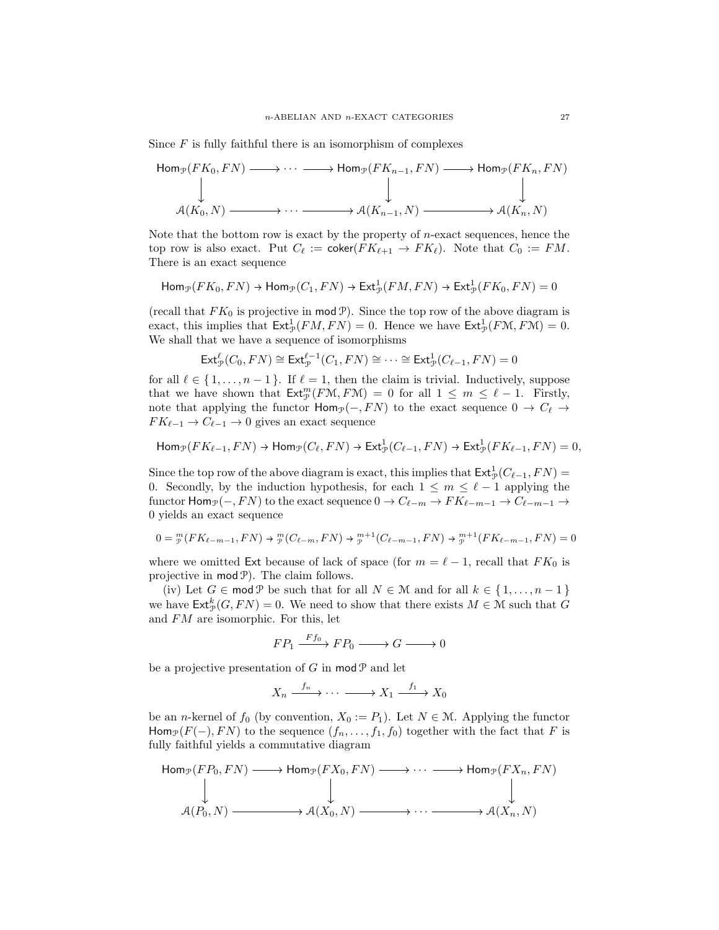Since  $F$  is fully faithful there is an isomorphism of complexes

$$
\begin{array}{ccc}\n\operatorname{Hom}_{\mathcal{P}}(FK_0, FN) & \longrightarrow \cdots & \longrightarrow \operatorname{Hom}_{\mathcal{P}}(FK_{n-1}, FN) \longrightarrow \operatorname{Hom}_{\mathcal{P}}(FK_n, FN) \\
\downarrow & & \downarrow & \downarrow \\
\mathcal{A}(K_0, N) & \longrightarrow \cdots & \longrightarrow \mathcal{A}(K_{n-1}, N) \longrightarrow \mathcal{A}(K_n, N)\n\end{array}
$$

Note that the bottom row is exact by the property of  $n$ -exact sequences, hence the top row is also exact. Put  $C_{\ell} := \text{coker}(FK_{\ell+1} \to FK_{\ell})$ . Note that  $C_0 := FM$ . There is an exact sequence

$$
\mathsf{Hom}_{\mathcal{P}}(FK_0, FN) \to \mathsf{Hom}_{\mathcal{P}}(C_1, FN) \to \mathsf{Ext}^1_{\mathcal{P}}(FM, FN) \to \mathsf{Ext}^1_{\mathcal{P}}(FK_0, FN) = 0
$$

(recall that  $FK_0$  is projective in mod  $\mathcal{P}$ ). Since the top row of the above diagram is exact, this implies that  $\text{Ext}^1_{\mathcal{P}}(FM, FN) = 0$ . Hence we have  $\text{Ext}^1_{\mathcal{P}}(FM, FM) = 0$ . We shall that we have a sequence of isomorphisms

$$
\mathsf{Ext}^{\ell}_{\mathcal{P}}(C_0, FN) \cong \mathsf{Ext}^{\ell-1}_{\mathcal{P}}(C_1, FN) \cong \cdots \cong \mathsf{Ext}^1_{\mathcal{P}}(C_{\ell-1}, FN) = 0
$$

for all  $\ell \in \{1, \ldots, n-1\}$ . If  $\ell = 1$ , then the claim is trivial. Inductively, suppose that we have shown that  $\text{Ext}_{\mathcal{P}}^m(F\mathcal{M}, F\mathcal{M}) = 0$  for all  $1 \leq m \leq \ell - 1$ . Firstly, note that applying the functor  $\text{Hom}_{\mathcal{P}}(-, FN)$  to the exact sequence  $0 \to C_{\ell} \to$  $FK_{\ell-1} \to C_{\ell-1} \to 0$  gives an exact sequence

$$
\mathsf{Hom}_{\mathcal{P}}(FK_{\ell-1}, FN) \to \mathsf{Hom}_{\mathcal{P}}(C_{\ell}, FN) \to \mathsf{Ext}^1_{\mathcal{P}}(C_{\ell-1}, FN) \to \mathsf{Ext}^1_{\mathcal{P}}(FK_{\ell-1}, FN) = 0,
$$

Since the top row of the above diagram is exact, this implies that  $\text{Ext}^1_{\mathcal{P}}(C_{\ell-1}, FN)$ 0. Secondly, by the induction hypothesis, for each  $1 \leq m \leq \ell - 1$  applying the functor  $\text{Hom}_{\mathcal{P}}(-, FN)$  to the exact sequence  $0 \to C_{\ell-m} \to FK_{\ell-m-1} \to C_{\ell-m-1} \to$ 0 yields an exact sequence

$$
0 = \frac{m}{p}(FK_{\ell-m-1}, FN) \to \frac{m}{p}(C_{\ell-m}, FN) \to \frac{m+1}{p}(C_{\ell-m-1}, FN) \to \frac{m+1}{p}(FK_{\ell-m-1}, FN) = 0
$$

where we omitted Ext because of lack of space (for  $m = \ell - 1$ , recall that  $FK_0$  is projective in  $mod \mathcal{P}$ . The claim follows.

(iv) Let  $G \in \text{mod } \mathcal{P}$  be such that for all  $N \in \mathcal{M}$  and for all  $k \in \{1, ..., n-1\}$ we have  $\mathsf{Ext}^k_{\mathcal{P}}(G, FN) = 0$ . We need to show that there exists  $M \in \mathcal{M}$  such that G and FM are isomorphic. For this, let

 $FP_1 \xrightarrow{Ff_0} FP_0 \longrightarrow G \longrightarrow 0$ 

be a projective presentation of G in  $mod \mathcal{P}$  and let

$$
X_n \xrightarrow{f_n} \cdots \xrightarrow{f_1} X_0
$$

be an *n*-kernel of  $f_0$  (by convention,  $X_0 := P_1$ ). Let  $N \in \mathcal{M}$ . Applying the functor Hom<sub>P</sub>(F(−), FN) to the sequence  $(f_n, \ldots, f_1, f_0)$  together with the fact that F is fully faithful yields a commutative diagram

$$
\begin{array}{ccc}\n\operatorname{Hom}_{\mathcal{P}}(FP_0, FN) & \longrightarrow \operatorname{Hom}_{\mathcal{P}}(FX_0, FN) & \longrightarrow \cdots & \longrightarrow \operatorname{Hom}_{\mathcal{P}}(FX_n, FN) \\
\downarrow & & \downarrow & \\
\mathcal{A}(P_0, N) & \longrightarrow \mathcal{A}(X_0, N) & \longrightarrow \cdots & \longrightarrow \mathcal{A}(X_n, N)\n\end{array}
$$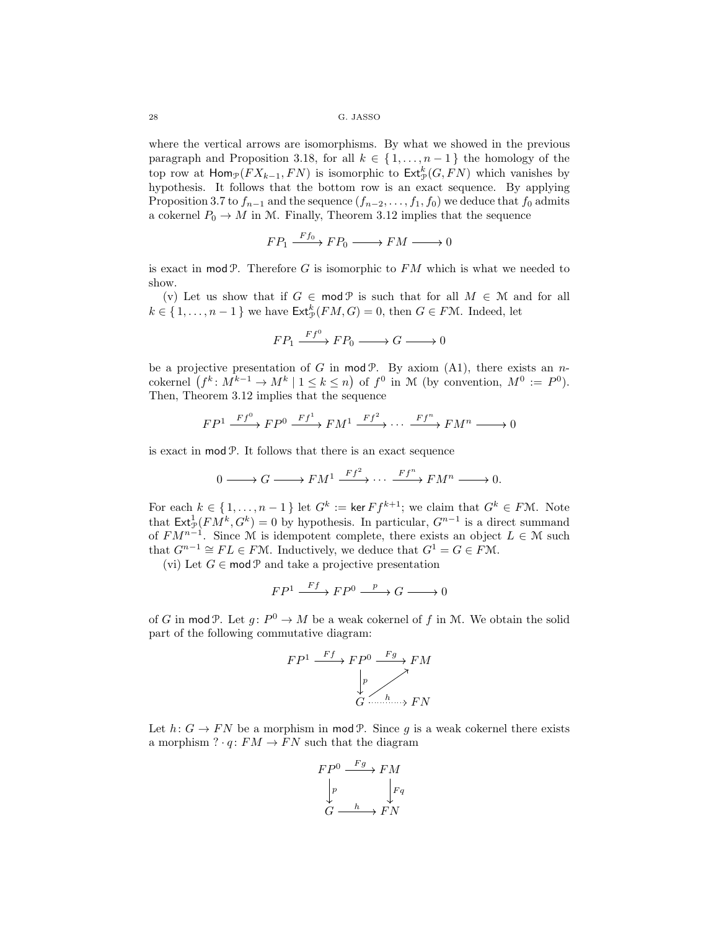where the vertical arrows are isomorphisms. By what we showed in the previous paragraph and Proposition 3.18, for all  $k \in \{1, ..., n-1\}$  the homology of the top row at  $\textsf{Hom}_{\mathcal{P}}(FX_{k-1}, FN)$  is isomorphic to  $\textsf{Ext}^k_{\mathcal{P}}(G, FN)$  which vanishes by hypothesis. It follows that the bottom row is an exact sequence. By applying Proposition 3.7 to  $f_{n-1}$  and the sequence  $(f_{n-2}, \ldots, f_1, f_0)$  we deduce that  $f_0$  admits a cokernel  $P_0 \to M$  in M. Finally, Theorem 3.12 implies that the sequence

$$
FP_1 \xrightarrow{Ff_0} FP_0 \xrightarrow{FM} M \xrightarrow{0}
$$

is exact in mod  $P$ . Therefore G is isomorphic to  $FM$  which is what we needed to show.

(v) Let us show that if  $G \in \text{mod } P$  is such that for all  $M \in \mathcal{M}$  and for all  $k \in \{1, \ldots, n-1\}$  we have  $\mathsf{Ext}^k_{\mathcal{P}}(FM, G) = 0$ , then  $G \in F\mathcal{M}$ . Indeed, let

$$
FP_1 \xrightarrow{Ff^0} FP_0 \xrightarrow{\qquad} G \xrightarrow{\qquad} 0
$$

be a projective presentation of G in mod  $P$ . By axiom (A1), there exists an ncokernel  $(f^k: M^{k-1} \to M^k \mid 1 \leq k \leq n)$  of  $f^0$  in M (by convention,  $M^0 := P^0$ ). Then, Theorem 3.12 implies that the sequence

$$
FP^{1} \xrightarrow{Ff^{0}} FP^{0} \xrightarrow{Ff^{1}} FM^{1} \xrightarrow{Ff^{2}} \cdots \xrightarrow{Ff^{n}} FM^{n} \longrightarrow 0
$$

is exact in mod P. It follows that there is an exact sequence

$$
0 \longrightarrow G \longrightarrow FM^{1} \xrightarrow{Ff^{2}} \cdots \xrightarrow{Ff^{n}} FM^{n} \longrightarrow 0.
$$

For each  $k \in \{1, \ldots, n-1\}$  let  $G^k := \ker F f^{k+1}$ ; we claim that  $G^k \in F M$ . Note that  $\text{Ext}^1_{\mathcal{P}}(FM^k, G^k) = 0$  by hypothesis. In particular,  $G^{n-1}$  is a direct summand of  $FM^{n-1}$ . Since M is idempotent complete, there exists an object  $L \in \mathcal{M}$  such that  $G^{n-1} \cong FL \in F\mathcal{M}$ . Inductively, we deduce that  $G^1 = G \in F\mathcal{M}$ .

(vi) Let  $G \in \mathsf{mod} \mathcal{P}$  and take a projective presentation

$$
FP^1 \xrightarrow{Ff} FP^0 \xrightarrow{p} G \longrightarrow 0
$$

of G in mod P. Let  $g: P^0 \to M$  be a weak cokernel of f in M. We obtain the solid part of the following commutative diagram:

$$
FP^{1} \xrightarrow{Ff} FP^{0} \xrightarrow{Fg} FM
$$
  
\n
$$
\downarrow_{P} \nearrow
$$
  
\n
$$
G \xrightarrow{h} FN
$$

Let  $h: G \to FN$  be a morphism in mod P. Since g is a weak cokernel there exists a morphism  $? \cdot q \colon FM \to FN$  such that the diagram

$$
FP^{0} \xrightarrow{Fg} FM
$$
  
\n
$$
\downarrow p \qquad \qquad \downarrow Fq
$$
  
\n
$$
G \xrightarrow{h} FN
$$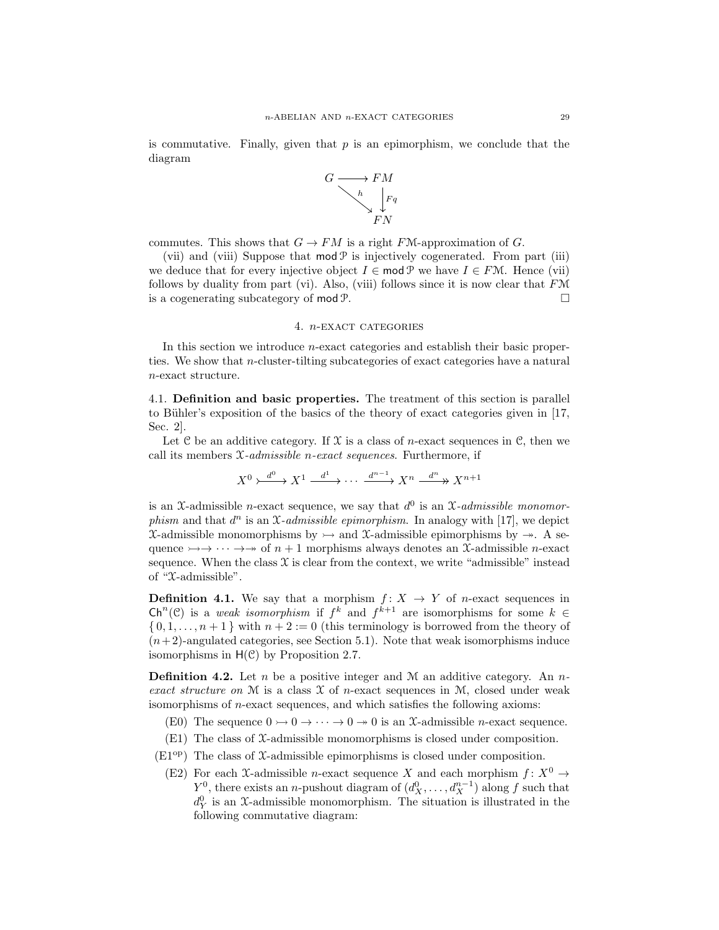is commutative. Finally, given that  $p$  is an epimorphism, we conclude that the diagram



commutes. This shows that  $G \to FM$  is a right FM-approximation of G.

(vii) and (viii) Suppose that  $mod \mathcal{P}$  is injectively cogenerated. From part (iii) we deduce that for every injective object  $I \in \text{mod } \mathcal{P}$  we have  $I \in F\mathcal{M}$ . Hence (vii) follows by duality from part (vi). Also, (viii) follows since it is now clear that  $F\mathcal{M}$ is a cogenerating subcategory of mod P.

## 4. n-exact categories

In this section we introduce *n*-exact categories and establish their basic properties. We show that n-cluster-tilting subcategories of exact categories have a natural n-exact structure.

4.1. Definition and basic properties. The treatment of this section is parallel to Bühler's exposition of the basics of the theory of exact categories given in  $[17,$ Sec. 2].

Let C be an additive category. If  $\mathcal X$  is a class of *n*-exact sequences in C, then we call its members X*-admissible* n*-exact sequences*. Furthermore, if

$$
X^{0} \xrightarrow{d^{0}} X^{1} \xrightarrow{d^{1}} \cdots \xrightarrow{d^{n-1}} X^{n} \xrightarrow{d^{n}} X^{n+1}
$$

is an X-admissible *n*-exact sequence, we say that  $d^0$  is an X-admissible monomor*phism* and that  $d^n$  is an  $\mathfrak{X}\text{-}admissible$  epimorphism. In analogy with [17], we depict  $\mathfrak{X}\text{-admissible monomorphisms by }\rightarrow \text{ and }\mathfrak{X}\text{-admissible epimorphisms by }\rightarrow \text{ A set }$ quence  $\rightarrow$   $\rightarrow$   $\rightarrow$   $\rightarrow$   $\rightarrow$  of  $n + 1$  morphisms always denotes an X-admissible *n*-exact sequence. When the class  $\mathfrak X$  is clear from the context, we write "admissible" instead of " $\mathcal{X}$ -admissible".

**Definition 4.1.** We say that a morphism  $f: X \rightarrow Y$  of *n*-exact sequences in  $\mathsf{Ch}^n(\mathcal{C})$  is a *weak isomorphism* if  $f^k$  and  $f^{k+1}$  are isomorphisms for some  $k \in$  $\{0, 1, \ldots, n+1\}$  with  $n+2 := 0$  (this terminology is borrowed from the theory of  $(n+2)$ -angulated categories, see Section 5.1). Note that weak isomorphisms induce isomorphisms in  $H(\mathcal{C})$  by Proposition 2.7.

Definition 4.2. Let n be a positive integer and M an additive category. An n*exact structure on* M is a class X of n-exact sequences in M, closed under weak isomorphisms of n-exact sequences, and which satisfies the following axioms:

- (E0) The sequence  $0 \rightarrow 0 \rightarrow \cdots \rightarrow 0 \rightarrow 0$  is an X-admissible *n*-exact sequence.
- $(E1)$  The class of  $\mathcal{X}$ -admissible monomorphisms is closed under composition.
- $(E1^{op})$  The class of X-admissible epimorphisms is closed under composition.
	- (E2) For each X-admissible *n*-exact sequence X and each morphism  $f: X^0 \to$  $Y^0$ , there exists an *n*-pushout diagram of  $(d_X^0, \ldots, d_X^{n-1})$  along f such that  $d_Y^0$  is an X-admissible monomorphism. The situation is illustrated in the following commutative diagram: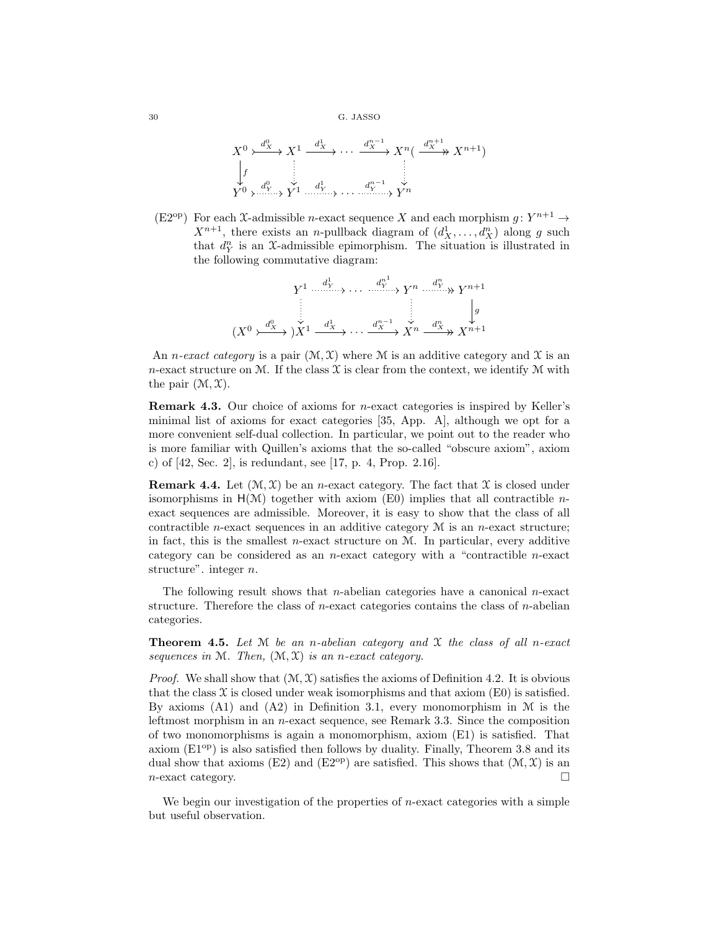$$
X^{0} \xrightarrow{d_{X}^{0}} X^{1} \xrightarrow{d_{X}^{1}} \cdots \xrightarrow{d_{X}^{n-1}} X^{n} \left( \xrightarrow{d_{X}^{n+1}} X^{n+1} \right)
$$
\n
$$
\downarrow f
$$
\n
$$
Y^{0} \rightarrow \xrightarrow{d_{Y}^{0}} Y^{1} \xrightarrow{d_{Y}^{1}} \cdots \xrightarrow{d_{Y}^{n-1}} Y^{n}
$$

(E2<sup>op</sup>) For each X-admissible *n*-exact sequence X and each morphism  $g: Y^{n+1} \to$  $X^{n+1}$ , there exists an *n*-pullback diagram of  $(d_X^1, \ldots, d_X^n)$  along g such that  $d_Y^n$  is an X-admissible epimorphism. The situation is illustrated in the following commutative diagram:

$$
(X^0 \xrightarrow{d_X^0} X^1 \xrightarrow{d_X^1} \cdots \xrightarrow{d_X^{n-1}} X^n \xrightarrow{d_X^n} X^{n+1}
$$
\n
$$
(X^0 \xrightarrow{d_X^0} X^1 \xrightarrow{d_X^1} \cdots \xrightarrow{d_X^{n-1}} X^n \xrightarrow{d_X^n} X^{n+1}
$$

An *n*-exact category is a pair  $(\mathcal{M}, \mathcal{X})$  where M is an additive category and X is an n-exact structure on M. If the class  $\mathfrak X$  is clear from the context, we identify M with the pair  $(\mathcal{M}, \mathcal{X})$ .

Remark 4.3. Our choice of axioms for n-exact categories is inspired by Keller's minimal list of axioms for exact categories [35, App. A], although we opt for a more convenient self-dual collection. In particular, we point out to the reader who is more familiar with Quillen's axioms that the so-called "obscure axiom", axiom c) of [42, Sec. 2], is redundant, see [17, p. 4, Prop. 2.16].

**Remark 4.4.** Let  $(\mathcal{M}, \mathcal{X})$  be an *n*-exact category. The fact that  $\mathcal{X}$  is closed under isomorphisms in  $H(\mathcal{M})$  together with axiom (E0) implies that all contractible *n*exact sequences are admissible. Moreover, it is easy to show that the class of all contractible *n*-exact sequences in an additive category  $M$  is an *n*-exact structure; in fact, this is the smallest *n*-exact structure on  $M$ . In particular, every additive category can be considered as an *n*-exact category with a "contractible *n*-exact structure". integer n.

The following result shows that *n*-abelian categories have a canonical *n*-exact structure. Therefore the class of  $n$ -exact categories contains the class of  $n$ -abelian categories.

Theorem 4.5. *Let* M *be an* n*-abelian category and* X *the class of all* n*-exact sequences in* M*. Then,* (M, X) *is an* n*-exact category.*

*Proof.* We shall show that  $(\mathcal{M}, \mathcal{X})$  satisfies the axioms of Definition 4.2. It is obvious that the class  $\mathfrak X$  is closed under weak isomorphisms and that axiom (E0) is satisfied. By axioms  $(A1)$  and  $(A2)$  in Definition 3.1, every monomorphism in M is the leftmost morphism in an n-exact sequence, see Remark 3.3. Since the composition of two monomorphisms is again a monomorphism, axiom (E1) is satisfied. That axiom  $(E1^{op})$  is also satisfied then follows by duality. Finally, Theorem 3.8 and its dual show that axioms (E2) and (E2<sup>op</sup>) are satisfied. This shows that  $(\mathcal{M}, \mathcal{X})$  is an  $n$ -exact category.

We begin our investigation of the properties of  $n$ -exact categories with a simple but useful observation.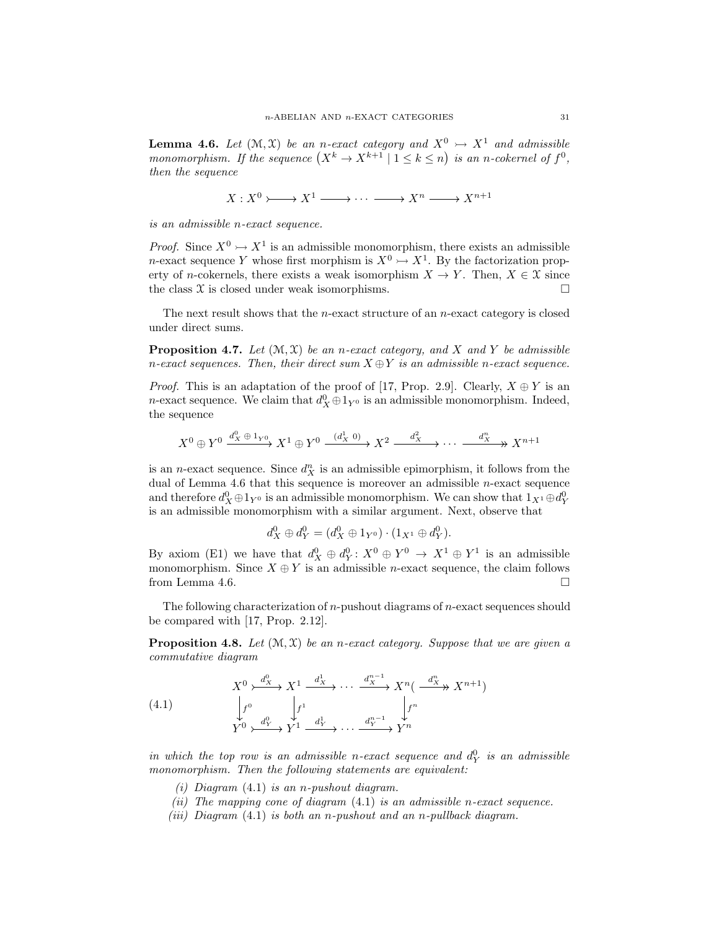**Lemma 4.6.** Let  $(\mathcal{M}, \mathcal{X})$  be an *n*-exact category and  $X^0 \rightarrow X^1$  and admissible *monomorphism.* If the sequence  $(X^k \to X^{k+1} \mid 1 \leq k \leq n)$  is an *n*-cokernel of  $f^0$ , *then the sequence*

$$
X: X^0 \rightarrow X^1 \longrightarrow \cdots \longrightarrow X^n \longrightarrow X^{n+1}
$$

*is an admissible* n*-exact sequence.*

*Proof.* Since  $X^0 \rightarrow X^1$  is an admissible monomorphism, there exists an admissible *n*-exact sequence Y whose first morphism is  $X^0 \rightarrowtail X^1$ . By the factorization property of n-cokernels, there exists a weak isomorphism  $X \to Y$ . Then,  $X \in \mathfrak{X}$  since the class  $X$  is closed under weak isomorphisms.

The next result shows that the *n*-exact structure of an *n*-exact category is closed under direct sums.

**Proposition 4.7.** Let  $(\mathcal{M}, \mathcal{X})$  *be an n-exact category, and* X and Y *be admissible* n-exact sequences. Then, their direct sum  $X \oplus Y$  is an admissible n-exact sequence.

*Proof.* This is an adaptation of the proof of [17, Prop. 2.9]. Clearly,  $X \oplus Y$  is an *n*-exact sequence. We claim that  $d_X^0 \oplus 1_{Y^0}$  is an admissible monomorphism. Indeed, the sequence

$$
X^{0} \oplus Y^{0} \xrightarrow{d_{X}^{0} \oplus 1_{Y^{0}}} X^{1} \oplus Y^{0} \xrightarrow{(d_{X}^{1} \ 0)} X^{2} \xrightarrow{d_{X}^{2}} \cdots \xrightarrow{d_{X}^{n}} X^{n+1}
$$

is an *n*-exact sequence. Since  $d_X^n$  is an admissible epimorphism, it follows from the dual of Lemma 4.6 that this sequence is moreover an admissible  $n$ -exact sequence and therefore  $d_X^0 \oplus 1_{Y^0}$  is an admissible monomorphism. We can show that  $1_{X^1} \oplus d_Y^0$ is an admissible monomorphism with a similar argument. Next, observe that

$$
d_X^0 \oplus d_Y^0 = (d_X^0 \oplus 1_{Y^0}) \cdot (1_{X^1} \oplus d_Y^0).
$$

By axiom (E1) we have that  $d_X^0 \oplus d_Y^0$ :  $X^0 \oplus Y^0 \to X^1 \oplus Y^1$  is an admissible monomorphism. Since  $X \oplus Y$  is an admissible *n*-exact sequence, the claim follows from Lemma 4.6.  $\Box$ 

The following characterization of  $n$ -pushout diagrams of  $n$ -exact sequences should be compared with [17, Prop. 2.12].

Proposition 4.8. *Let* (M, X) *be an* n*-exact category. Suppose that we are given a commutative diagram*

(4.1) 
$$
X^{0} \rightarrow Z^{1} \xrightarrow{d_{X}^{1}} X^{1} \xrightarrow{d_{X}^{1}} \cdots \xrightarrow{d_{X}^{n-1}} X^{n} \left( \xrightarrow{d_{X}^{n}} X^{n+1} \right)
$$

$$
\downarrow f^{0} \qquad \qquad \downarrow f^{1} \qquad \qquad \downarrow f^{n}
$$

$$
Y^{0} \rightarrow Z^{1} \xrightarrow{d_{Y}^{1}} Y^{1} \xrightarrow{d_{Y}^{1}} \cdots \xrightarrow{d_{Y}^{n-1}} Y^{n}
$$

*in which the top row is an admissible n-exact sequence and*  $d_Y^0$  *is an admissible monomorphism. Then the following statements are equivalent:*

- *(i) Diagram* (4.1) *is an* n*-pushout diagram.*
- *(ii) The mapping cone of diagram* (4.1) *is an admissible* n*-exact sequence.*
- *(iii) Diagram* (4.1) *is both an* n*-pushout and an* n*-pullback diagram.*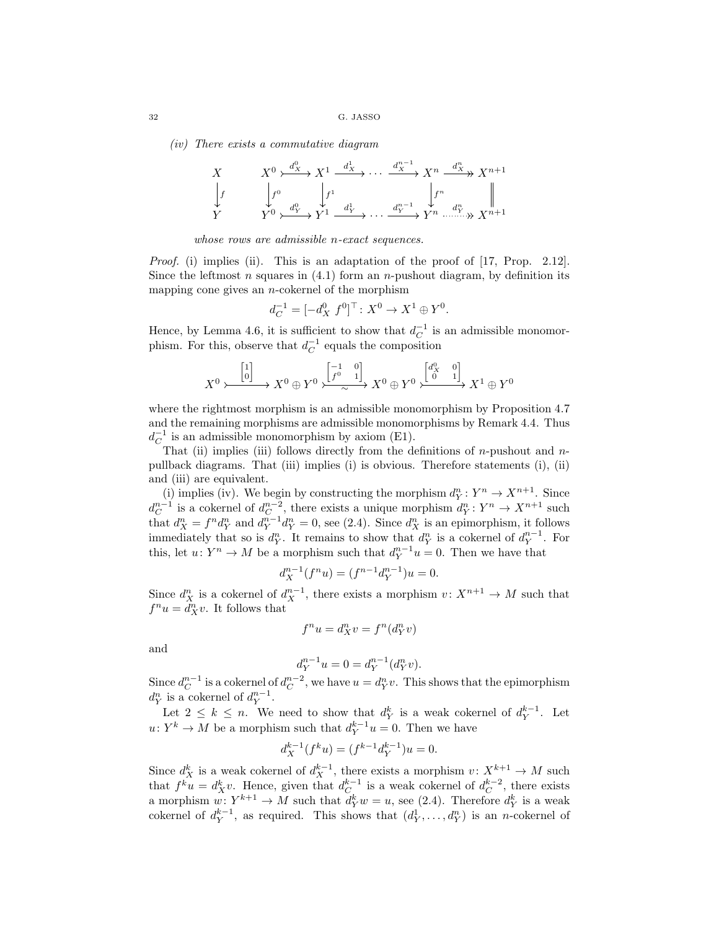*(iv) There exists a commutative diagram*

$$
\begin{array}{ccc}\nX & X^0 \rightarrow \xrightarrow{d_X^0} X^1 \xrightarrow{d_X^1} \cdots \xrightarrow{d_X^{n-1}} X^n \xrightarrow{d_X^n} X^{n+1} \\
\downarrow f & \downarrow f^0 & \downarrow f^1 & \downarrow f^n \\
Y & Y^0 \rightarrow \xrightarrow{d_Y^0} Y^1 \xrightarrow{d_Y^1} \cdots \xrightarrow{d_Y^{n-1}} Y^n \xrightarrow{d_Y^n} X^{n+1}\n\end{array}
$$

*whose rows are admissible* n*-exact sequences.*

*Proof.* (i) implies (ii). This is an adaptation of the proof of [17, Prop. 2.12]. Since the leftmost n squares in  $(4.1)$  form an n-pushout diagram, by definition its mapping cone gives an  $n$ -cokernel of the morphism

$$
d_C^{-1} = [-d_X^0 \ f^0]^\top \colon X^0 \to X^1 \oplus Y^0.
$$

Hence, by Lemma 4.6, it is sufficient to show that  $d_C^{-1}$  is an admissible monomorphism. For this, observe that  $d_C^{-1}$  equals the composition

$$
X^0 \rightarrowtail \xrightarrow{\begin{bmatrix} 1 \\ 0 \end{bmatrix}} X^0 \oplus Y^0 \rightarrowtail \xrightarrow{\begin{bmatrix} -1 & 0 \\ f^0 & 1 \end{bmatrix}} X^0 \oplus Y^0 \rightarrowtail \xrightarrow{\begin{bmatrix} d_X^0 & 0 \\ 0 & 1 \end{bmatrix}} X^1 \oplus Y^0
$$

where the rightmost morphism is an admissible monomorphism by Proposition 4.7 and the remaining morphisms are admissible monomorphisms by Remark 4.4. Thus  $d_C^{-1}$  is an admissible monomorphism by axiom (E1).

That (ii) implies (iii) follows directly from the definitions of  $n$ -pushout and  $n$ pullback diagrams. That (iii) implies (i) is obvious. Therefore statements (i), (ii) and (iii) are equivalent.

(i) implies (iv). We begin by constructing the morphism  $d_Y^n: Y^n \to X^{n+1}$ . Since  $d_C^{n-1}$  is a cokernel of  $d_C^{n-2}$ , there exists a unique morphism  $d_Y^n: Y^n \to X^{n+1}$  such that  $d_X^n = f^n d_Y^n$  and  $d_Y^{n-1} d_Y^n = 0$ , see (2.4). Since  $d_X^n$  is an epimorphism, it follows immediately that so is  $d_Y^n$ . It remains to show that  $d_Y^n$  is a cokernel of  $d_Y^{n-1}$ . For this, let  $u: Y^n \to M$  be a morphism such that  $d_Y^{n-1}u = 0$ . Then we have that

$$
d_X^{n-1}(f^n u) = (f^{n-1}d_Y^{n-1})u = 0.
$$

Since  $d_X^n$  is a cokernel of  $d_X^{n-1}$ , there exists a morphism  $v: X^{n+1} \to M$  such that  $f^n u = d_X^n v$ . It follows that

$$
f^n u = d_X^n v = f^n(d_Y^n v)
$$

and

$$
d_Y^{n-1}u = 0 = d_Y^{n-1}(d_Y^n v).
$$

Since  $d_C^{n-1}$  is a cokernel of  $d_C^{n-2}$ , we have  $u = d_Y^n v$ . This shows that the epimorphism  $d_Y^n$  is a cokernel of  $d_Y^{n-1}$ .

Let  $2 \leq k \leq n$ . We need to show that  $d_Y^k$  is a weak cokernel of  $d_Y^{k-1}$ . Let  $u: Y^k \to M$  be a morphism such that  $d_Y^{k-1}u = 0$ . Then we have

$$
d_X^{k-1}(f^k u) = (f^{k-1} d_Y^{k-1})u = 0.
$$

Since  $d_X^k$  is a weak cokernel of  $d_X^{k-1}$ , there exists a morphism  $v: X^{k+1} \to M$  such that  $f^k u = d^k_X v$ . Hence, given that  $d^{k-1}_C$  is a weak cokernel of  $d^{k-2}_C$ , there exists a morphism  $w: Y^{k+1} \to M$  such that  $d_Y^k w = u$ , see (2.4). Therefore  $d_Y^k$  is a weak cokernel of  $d_Y^{k-1}$ , as required. This shows that  $(d_Y^1, \ldots, d_Y^n)$  is an *n*-cokernel of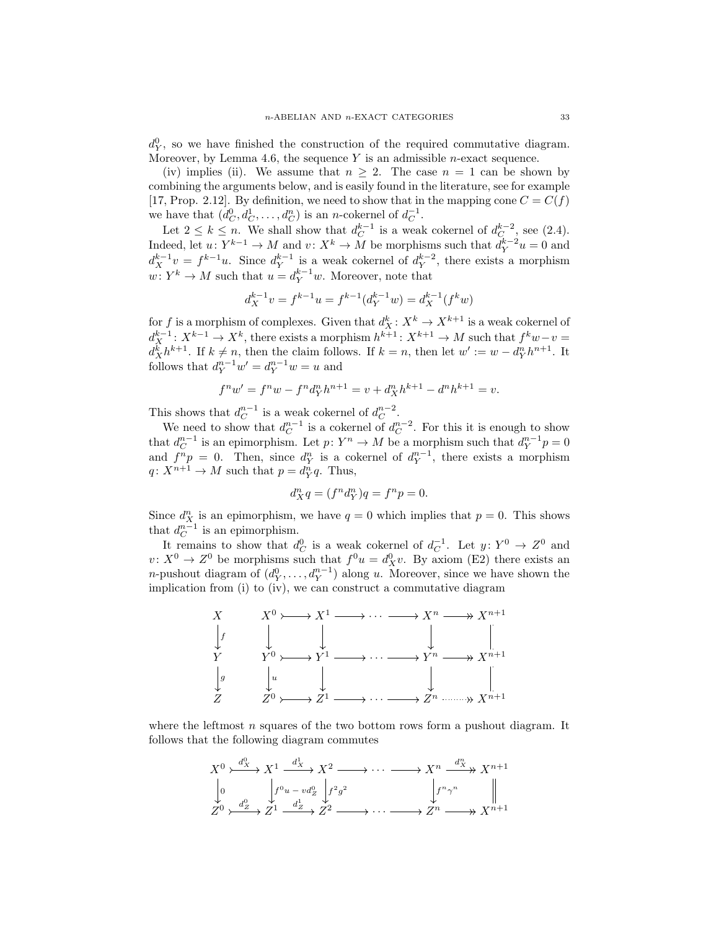$d_Y^0$ , so we have finished the construction of the required commutative diagram. Moreover, by Lemma 4.6, the sequence  $Y$  is an admissible *n*-exact sequence.

(iv) implies (ii). We assume that  $n \geq 2$ . The case  $n = 1$  can be shown by combining the arguments below, and is easily found in the literature, see for example [17, Prop. 2.12]. By definition, we need to show that in the mapping cone  $C = C(f)$ we have that  $(d_C^0, d_C^1, \ldots, d_C^n)$  is an *n*-cokernel of  $d_C^{-1}$ .

Let  $2 \leq k \leq n$ . We shall show that  $d_C^{k-1}$  is a weak cokernel of  $d_C^{k-2}$ , see (2.4). Indeed, let  $u: Y^{k-1} \to M$  and  $v: X^k \to M$  be morphisms such that  $d_Y^{k-2}u = 0$  and  $d_X^{k-1}v = f^{k-1}u$ . Since  $d_Y^{k-1}$  is a weak cokernel of  $d_Y^{k-2}$ , there exists a morphism  $w: Y^k \to M$  such that  $u = d_Y^{k-1}w$ . Moreover, note that

$$
d_X^{k-1}v = f^{k-1}u = f^{k-1}(d_Y^{k-1}w) = d_X^{k-1}(f^kw)
$$

for f is a morphism of complexes. Given that  $d_X^k: X^k \to X^{k+1}$  is a weak cokernel of  $d_X^{k-1}: X^{k-1} \to X^k$ , there exists a morphism  $h^{k+1}: X^{k+1} \to M$  such that  $f^k w - v =$  $d_{X}^{k}h^{k+1}$ . If  $k \neq n$ , then the claim follows. If  $k = n$ , then let  $w' := w - d_{Y}^{n}h^{n+1}$ . It follows that  $d_Y^{n-1}w' = d_Y^{n-1}w = u$  and

$$
f^n w' = f^n w - f^n d_Y^n h^{n+1} = v + d_X^n h^{k+1} - d^n h^{k+1} = v.
$$

This shows that  $d_C^{n-1}$  is a weak cokernel of  $d_C^{n-2}$ .

We need to show that  $d_C^{n-1}$  is a cokernel of  $d_C^{n-2}$ . For this it is enough to show that  $d_C^{n-1}$  is an epimorphism. Let  $p: Y^n \to M$  be a morphism such that  $d_Y^{n-1}p = 0$ and  $f^{n}p = 0$ . Then, since  $d_{Y}^{n}$  is a cokernel of  $d_{Y}^{n-1}$ , there exists a morphism  $q: X^{n+1} \to M$  such that  $p = d_Y^n q$ . Thus,

$$
d_X^n q = (f^n d_Y^n)q = f^n p = 0.
$$

Since  $d_{X_i}^n$  is an epimorphism, we have  $q=0$  which implies that  $p=0$ . This shows that  $d_C^{n-1}$  is an epimorphism.

It remains to show that  $d_C^0$  is a weak cokernel of  $d_C^{-1}$ . Let  $y: Y^0 \to Z^0$  and  $v: X^0 \to Z^0$  be morphisms such that  $f^0 u = d_X^0 v$ . By axiom (E2) there exists an *n*-pushout diagram of  $(d_Y^0, \ldots, d_Y^{n-1})$  along u. Moreover, since we have shown the implication from (i) to (iv), we can construct a commutative diagram



where the leftmost  $n$  squares of the two bottom rows form a pushout diagram. It follows that the following diagram commutes

$$
X^{0} \xrightarrow{d_{X}^{0}} X^{1} \xrightarrow{d_{X}^{1}} X^{2} \longrightarrow \cdots \longrightarrow X^{n} \xrightarrow{d_{X}^{n}} X^{n+1}
$$
  
\n
$$
\downarrow_{0} \qquad \qquad \downarrow f^{0} u - v d_{Z}^{0} \qquad \qquad \downarrow f^{2} g^{2} \qquad \qquad \downarrow f^{n} \gamma^{n} \qquad \qquad \parallel
$$
  
\n
$$
Z^{0} \xrightarrow{d_{Z}^{0}} Z^{1} \xrightarrow{d_{Z}^{1}} Z^{2} \longrightarrow \cdots \longrightarrow Z^{n} \longrightarrow X^{n+1}
$$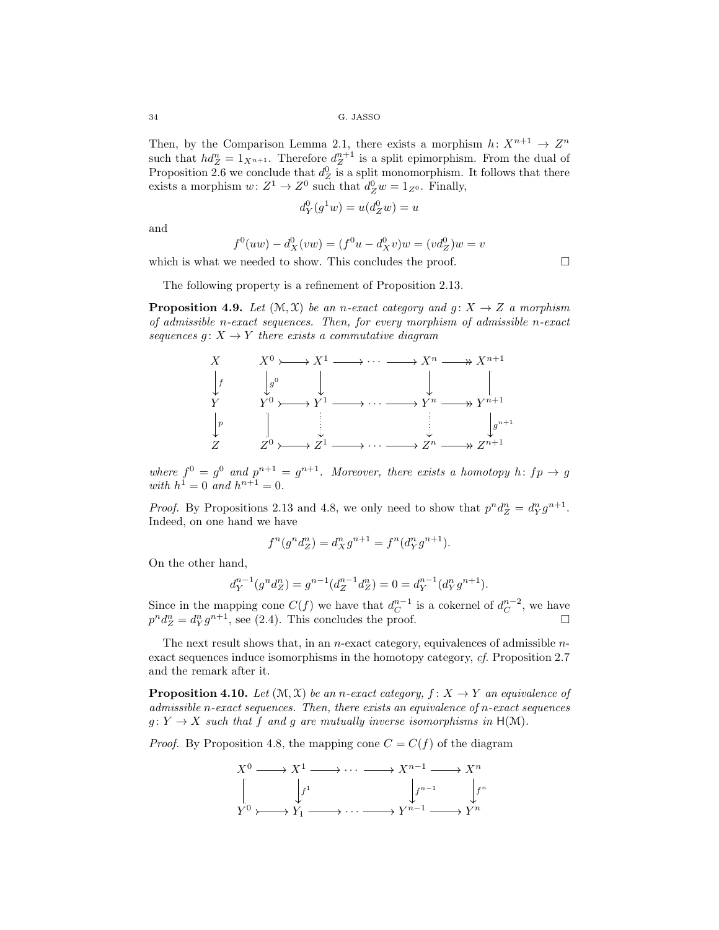Then, by the Comparison Lemma 2.1, there exists a morphism  $h: X^{n+1} \to Z^n$ such that  $hd_Z^n = 1_{X^{n+1}}$ . Therefore  $d_Z^{n+1}$  is a split epimorphism. From the dual of Proposition 2.6 we conclude that  $d_Z^0$  is a split monomorphism. It follows that there exists a morphism  $w: Z^1 \to Z^0$  such that  $d_Z^0 w = 1_{Z^0}$ . Finally,

$$
d_Y^0(g^1w) = u(d_Z^0w) = u
$$

and

$$
f^{0}(uw) - d_{X}^{0}(vw) = (f^{0}u - d_{X}^{0}v)w = (vd_{Z}^{0})w = v
$$

which is what we needed to show. This concludes the proof.  $\Box$ 

The following property is a refinement of Proposition 2.13.

**Proposition 4.9.** *Let*  $(\mathcal{M}, \mathcal{X})$  *be an n-exact category and g:*  $X \rightarrow Z$  *a morphism of admissible* n*-exact sequences. Then, for every morphism of admissible* n*-exact sequences*  $g: X \to Y$  *there exists a commutative diagram* 



where  $f^0 = g^0$  and  $p^{n+1} = g^{n+1}$ . Moreover, there exists a homotopy h:  $fp \rightarrow g$ *with*  $h^1 = 0$  *and*  $h^{n+1} = 0$ *.* 

*Proof.* By Propositions 2.13 and 4.8, we only need to show that  $p^n d_Z^n = d_Y^n g^{n+1}$ . Indeed, on one hand we have

$$
f^{n}(g^{n}d_{Z}^{n}) = d_{X}^{n}g^{n+1} = f^{n}(d_{Y}^{n}g^{n+1}).
$$

On the other hand,

$$
d_Y^{n-1}(g^n d_Z^n) = g^{n-1}(d_Z^{n-1} d_Z^n) = 0 = d_Y^{n-1}(d_Y^n g^{n+1}).
$$

Since in the mapping cone  $C(f)$  we have that  $d_C^{n-1}$  is a cokernel of  $d_C^{n-2}$ , we have  $p^n d_Z^n = d_Y^n g^{n+1}$ , see (2.4). This concludes the proof.

The next result shows that, in an *n*-exact category, equivalences of admissible *n*exact sequences induce isomorphisms in the homotopy category, *cf.* Proposition 2.7 and the remark after it.

**Proposition 4.10.** Let  $(\mathcal{M}, \mathcal{X})$  be an *n*-exact category,  $f: X \rightarrow Y$  an equivalence of *admissible* n*-exact sequences. Then, there exists an equivalence of* n*-exact sequences*  $g: Y \to X$  *such that* f *and* g are mutually inverse isomorphisms in H(M).

*Proof.* By Proposition 4.8, the mapping cone  $C = C(f)$  of the diagram

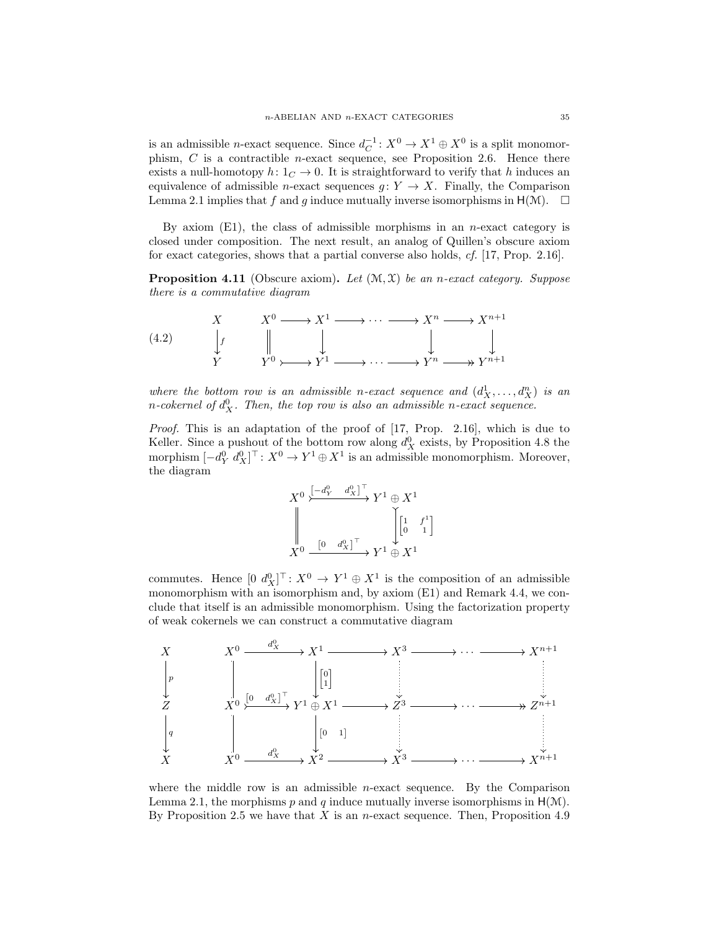is an admissible *n*-exact sequence. Since  $d_C^{-1}: X^0 \to X^1 \oplus X^0$  is a split monomorphism,  $C$  is a contractible *n*-exact sequence, see Proposition 2.6. Hence there exists a null-homotopy h:  $1<sub>C</sub> \rightarrow 0$ . It is straightforward to verify that h induces an equivalence of admissible *n*-exact sequences  $g: Y \to X$ . Finally, the Comparison Lemma 2.1 implies that f and g induce mutually inverse isomorphisms in  $H(\mathcal{M})$ .  $\square$ 

By axiom  $(E1)$ , the class of admissible morphisms in an *n*-exact category is closed under composition. The next result, an analog of Quillen's obscure axiom for exact categories, shows that a partial converse also holds, *cf.* [17, Prop. 2.16].

Proposition 4.11 (Obscure axiom). *Let* (M, X) *be an* n*-exact category. Suppose there is a commutative diagram*

(4.2) 
$$
\begin{array}{ccc}\nX & X^0 \longrightarrow X^1 \longrightarrow \cdots \longrightarrow X^n \longrightarrow X^{n+1} \\
\downarrow f & \parallel & \downarrow & \downarrow \\
Y & Y^0 \rightarrow Y^1 \longrightarrow \cdots \longrightarrow Y^n \longrightarrow Y^{n+1}\n\end{array}
$$

where the bottom row is an admissible n-exact sequence and  $(d_X^1, \ldots, d_X^n)$  is an *n*-cokernel of  $d_X^0$ . Then, the top row is also an admissible n-exact sequence.

*Proof.* This is an adaptation of the proof of [17, Prop. 2.16], which is due to Keller. Since a pushout of the bottom row along  $d_X^0$  exists, by Proposition 4.8 the morphism  $[-d_Y^0 d_X^0]^\top: X^0 \to Y^1 \oplus X^1$  is an admissible monomorphism. Moreover, the diagram

$$
X^{0} \xrightarrow{\begin{bmatrix} -d_{Y}^{0} & d_{X}^{0} \end{bmatrix}^{\top}} Y^{1} \oplus X^{1}
$$
  

$$
\downarrow \qquad \qquad \downarrow \qquad \qquad \downarrow \qquad \qquad \downarrow \qquad \downarrow \qquad \downarrow
$$
  

$$
X^{0} \xrightarrow{\begin{bmatrix} 0 & d_{X}^{0} \end{bmatrix}^{\top}} Y^{1} \oplus X^{1}
$$

commutes. Hence  $[0 \, d_X^0]^\top \colon X^0 \to Y^1 \oplus X^1$  is the composition of an admissible monomorphism with an isomorphism and, by axiom (E1) and Remark 4.4, we conclude that itself is an admissible monomorphism. Using the factorization property of weak cokernels we can construct a commutative diagram



where the middle row is an admissible  $n$ -exact sequence. By the Comparison Lemma 2.1, the morphisms p and q induce mutually inverse isomorphisms in  $H(\mathcal{M})$ . By Proposition 2.5 we have that  $X$  is an *n*-exact sequence. Then, Proposition 4.9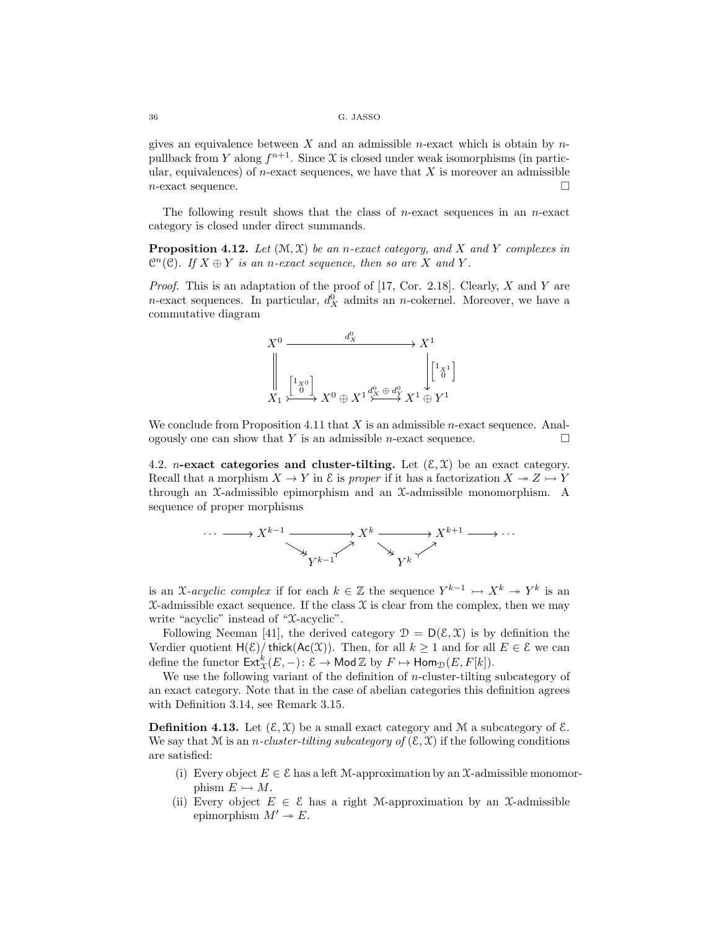gives an equivalence between  $X$  and an admissible *n*-exact which is obtain by  $n$ pullback from Y along  $f^{n+1}$ . Since X is closed under weak isomorphisms (in particular, equivalences) of *n*-exact sequences, we have that  $X$  is moreover an admissible  $n$ -exact sequence.

The following result shows that the class of  $n$ -exact sequences in an  $n$ -exact category is closed under direct summands.

**Proposition 4.12.** Let  $(\mathcal{M}, \mathcal{X})$  be an *n*-exact category, and X and Y complexes in  $\mathbb{C}^n(\mathcal{C})$ *.* If  $X \oplus Y$  is an n-exact sequence, then so are X and Y.

*Proof.* This is an adaptation of the proof of [17, Cor. 2.18]. Clearly, X and Y are *n*-exact sequences. In particular,  $d_X^0$  admits an *n*-cokernel. Moreover, we have a commutative diagram



We conclude from Proposition 4.11 that  $X$  is an admissible *n*-exact sequence. Analogously one can show that Y is an admissible *n*-exact sequence.  $\Box$ 

4.2. *n*-exact categories and cluster-tilting. Let  $(\mathcal{E}, \mathcal{X})$  be an exact category. Recall that a morphism  $X \to Y$  in  $\mathcal E$  is *proper* if it has a factorization  $X \to Z \to Y$ through an X-admissible epimorphism and an X-admissible monomorphism. A sequence of proper morphisms



is an X-acyclic complex if for each  $k \in \mathbb{Z}$  the sequence  $Y^{k-1} \rightarrowtail X^k \twoheadrightarrow Y^k$  is an  $X$ -admissible exact sequence. If the class  $X$  is clear from the complex, then we may write "acyclic" instead of "X-acyclic".

Following Neeman [41], the derived category  $\mathcal{D} = D(\mathcal{E}, \mathcal{X})$  is by definition the Verdier quotient  $H(\mathcal{E})/$  thick( $Ac(\mathcal{X})$ ). Then, for all  $k \geq 1$  and for all  $E \in \mathcal{E}$  we can define the functor  $\mathsf{Ext}^k_\mathfrak{X}(E,-)\colon \mathcal{E} \to \mathsf{Mod}\,\mathbb{Z}$  by  $F \mapsto \mathsf{Hom}_{\mathcal{D}}(E,F[k]).$ 

We use the following variant of the definition of  $n$ -cluster-tilting subcategory of an exact category. Note that in the case of abelian categories this definition agrees with Definition 3.14, see Remark 3.15.

**Definition 4.13.** Let  $(\mathcal{E}, \mathcal{X})$  be a small exact category and M a subcategory of  $\mathcal{E}$ . We say that M is an *n*-cluster-tilting subcategory of  $(\mathcal{E}, \mathcal{X})$  if the following conditions are satisfied:

- (i) Every object  $E \in \mathcal{E}$  has a left M-approximation by an X-admissible monomorphism  $E \rightarrow M$ .
- (ii) Every object  $E \in \mathcal{E}$  has a right M-approximation by an X-admissible epimorphism  $M' \rightarrow E$ .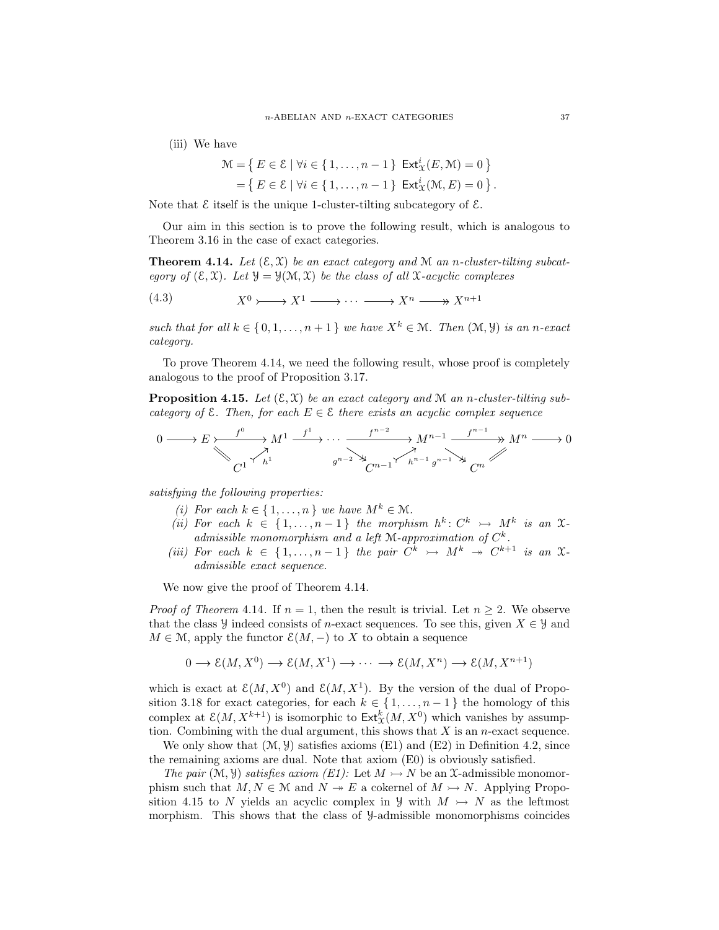(iii) We have

$$
\mathcal{M} = \left\{ E \in \mathcal{E} \mid \forall i \in \{1, \dots, n-1\} \right. \xrightarrow{\text{Ext}^i_{\mathcal{X}}(E, \mathcal{M}) = 0} \left\}
$$

$$
= \left\{ E \in \mathcal{E} \mid \forall i \in \{1, \dots, n-1\} \right. \xrightarrow{\text{Ext}^i_{\mathcal{X}}(\mathcal{M}, E) = 0} \left\}.
$$

Note that  $\mathcal E$  itself is the unique 1-cluster-tilting subcategory of  $\mathcal E$ .

Our aim in this section is to prove the following result, which is analogous to Theorem 3.16 in the case of exact categories.

**Theorem 4.14.** Let  $(\mathcal{E}, \mathcal{X})$  be an exact category and M an *n*-cluster-tilting subcat*egory of*  $(\mathcal{E}, \mathcal{X})$ *. Let*  $\mathcal{Y} = \mathcal{Y}(\mathcal{M}, \mathcal{X})$  *be the class of all*  $\mathcal{X}$ *-acyclic complexes* 

$$
(4.3) \t\t X^0 \rightarrow X^1 \rightarrow \cdots \rightarrow X^n \rightarrow X^{n+1}
$$

*such that for all*  $k \in \{0, 1, \ldots, n+1\}$  *we have*  $X^k \in \mathcal{M}$ *. Then*  $(\mathcal{M}, \mathcal{Y})$  *is an n-exact category.*

To prove Theorem 4.14, we need the following result, whose proof is completely analogous to the proof of Proposition 3.17.

**Proposition 4.15.** Let  $(\mathcal{E}, \mathcal{X})$  be an exact category and M an *n*-cluster-tilting sub*category of*  $\mathcal{E}$ *. Then, for each*  $E \in \mathcal{E}$  *there exists an acyclic complex sequence* 

$$
0 \longrightarrow E \longmapsto \begin{array}{c} f^{0} \longrightarrow M^{1} \xrightarrow{f^{1}} \cdots \xrightarrow{f^{n-2}} M^{n-1} \xrightarrow{f^{n-1}} M^{n} \longrightarrow M^{n} \longrightarrow 0 \\ \bigvee_{C^{1}} \uparrow^{h^{1}} \qquad \qquad g^{n-2} \searrow \qquad \qquad G^{n-1} \uparrow^{h^{n-1}} g^{n-1} \searrow \qquad G^{n} \end{array}
$$

*satisfying the following properties:*

- *(i)* For each  $k \in \{1, \ldots, n\}$  *we have*  $M^k \in \mathcal{M}$ *.*
- *(ii)* For each  $k \in \{1, ..., n-1\}$  the morphism  $h^k: C^k \rightarrow M^k$  is an  $\mathfrak{X}$ *admissible monomorphism and a left* M*-approximation of* C k *.*
- *(iii)* For each  $k \in \{1, \ldots, n-1\}$  the pair  $C^k \rightarrow M^k \rightarrow C^{k+1}$  is an  $\mathfrak{X}$ *admissible exact sequence.*

We now give the proof of Theorem 4.14.

*Proof of Theorem* 4.14. If  $n = 1$ , then the result is trivial. Let  $n \geq 2$ . We observe that the class y indeed consists of n-exact sequences. To see this, given  $X \in Y$  and  $M \in \mathcal{M}$ , apply the functor  $\mathcal{E}(M, -)$  to X to obtain a sequence

$$
0 \to \mathcal{E}(M, X^0) \to \mathcal{E}(M, X^1) \to \cdots \to \mathcal{E}(M, X^n) \to \mathcal{E}(M, X^{n+1})
$$

which is exact at  $\mathcal{E}(M, X^0)$  and  $\mathcal{E}(M, X^1)$ . By the version of the dual of Proposition 3.18 for exact categories, for each  $k \in \{1, \ldots, n-1\}$  the homology of this complex at  $\mathcal{E}(M, X^{k+1})$  is isomorphic to  $\mathsf{Ext}^k_{\mathfrak{X}}(M, X^0)$  which vanishes by assumption. Combining with the dual argument, this shows that  $X$  is an *n*-exact sequence.

We only show that  $(\mathcal{M}, \mathcal{Y})$  satisfies axioms (E1) and (E2) in Definition 4.2, since the remaining axioms are dual. Note that axiom (E0) is obviously satisfied.

*The pair*  $(\mathcal{M}, \mathcal{Y})$  *satisfies axiom (E1):* Let  $M \rightarrow N$  be an X-admissible monomorphism such that  $M, N \in \mathbb{M}$  and  $N \to E$  a cokernel of  $M \to N$ . Applying Proposition 4.15 to N yields an acyclic complex in  $\mathcal{Y}$  with  $M \rightarrow N$  as the leftmost morphism. This shows that the class of Y-admissible monomorphisms coincides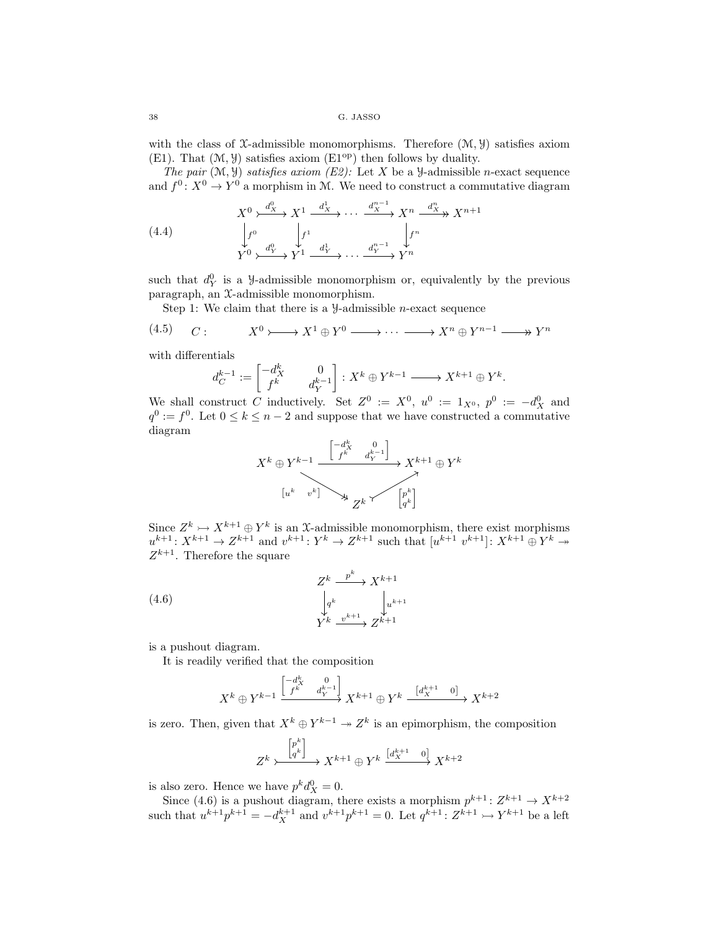with the class of X-admissible monomorphisms. Therefore  $(\mathcal{M}, \mathcal{Y})$  satisfies axiom  $(E1)$ . That  $(\mathcal{M}, \mathcal{Y})$  satisfies axiom  $(E1^{op})$  then follows by duality.

*The pair*  $(M, Y)$  *satisfies axiom (E2):* Let X be a *Y*-admissible *n*-exact sequence and  $f^0: X^0 \to Y^0$  a morphism in M. We need to construct a commutative diagram

(4.4) 
$$
X^{0} \xrightarrow{d_{X}^{0}} X^{1} \xrightarrow{d_{X}^{1}} \cdots \xrightarrow{d_{X}^{n-1}} X^{n} \xrightarrow{d_{X}^{n}} X^{n+1}
$$

$$
\downarrow f^{0} \qquad \qquad \downarrow f^{1} \qquad \qquad \downarrow f^{n}
$$

$$
Y^{0} \xrightarrow{d_{Y}^{0}} Y^{1} \xrightarrow{d_{Y}^{1}} \cdots \xrightarrow{d_{Y}^{n-1}} Y^{n}
$$

such that  $d_Y^0$  is a *y*-admissible monomorphism or, equivalently by the previous paragraph, an X-admissible monomorphism.

Step 1: We claim that there is a  $\mathcal{Y}$ -admissible *n*-exact sequence

$$
(4.5) \qquad C: \qquad X^0 \rightarrow X^1 \oplus Y^0 \longrightarrow \cdots \longrightarrow X^n \oplus Y^{n-1} \longrightarrow Y^n
$$

with differentials

$$
d_C^{k-1}:=\begin{bmatrix}-d_X^k&0\\f^k&d_Y^{k-1}\end{bmatrix}:X^k\oplus Y^{k-1}\xrightarrow{ }X^{k+1}\oplus Y^k.
$$

We shall construct C inductively. Set  $Z^0 := X^0$ ,  $u^0 := 1_{X^0}$ ,  $p^0 := -d_X^0$  and  $q^0 := f^0$ . Let  $0 \le k \le n-2$  and suppose that we have constructed a commutative diagram



Since  $Z^k \rightarrowtail X^{k+1} \oplus Y^k$  is an X-admissible monomorphism, there exist morphisms  $u^{k+1}: X^{k+1} \to Z^{k+1}$  and  $v^{k+1}: Y^k \to Z^{k+1}$  such that  $[u^{k+1}, v^{k+1}]$ :  $X^{k+1} \oplus Y^k \to Y^k$  $Z^{k+1}$ . Therefore the square

(4.6) 
$$
Z^{k} \xrightarrow{\quad p^{k}} X^{k+1}
$$

$$
\downarrow_{q^{k}} \qquad \downarrow_{u^{k+1}}
$$

$$
Y^{k} \xrightarrow{\quad v^{k+1}} Z^{k+1}
$$

is a pushout diagram.

It is readily verified that the composition

$$
X^k\oplus Y^{k-1} \xrightarrow{\begin{bmatrix} -d^k_X & 0 \\ f^k & d^{k-1}_Y \end{bmatrix}} X^{k+1} \oplus Y^k \xrightarrow{\begin{bmatrix} d^{k+1}_X & 0 \end{bmatrix}} X^{k+2}
$$

is zero. Then, given that  $X^k \oplus Y^{k-1} \to Z^k$  is an epimorphism, the composition

$$
Z^k \xrightarrow{\begin{bmatrix} p^k \\ q^k \end{bmatrix}} X^{k+1} \oplus Y^k \xrightarrow{\begin{bmatrix} d^{k+1} & 0 \end{bmatrix}} X^{k+2}
$$

is also zero. Hence we have  $p^k d_X^0 = 0$ .

Since (4.6) is a pushout diagram, there exists a morphism  $p^{k+1}$ :  $Z^{k+1} \to X^{k+2}$ such that  $u^{k+1}p^{k+1} = -d_X^{k+1}$  and  $v^{k+1}p^{k+1} = 0$ . Let  $q^{k+1} \colon Z^{k+1} \to Y^{k+1}$  be a left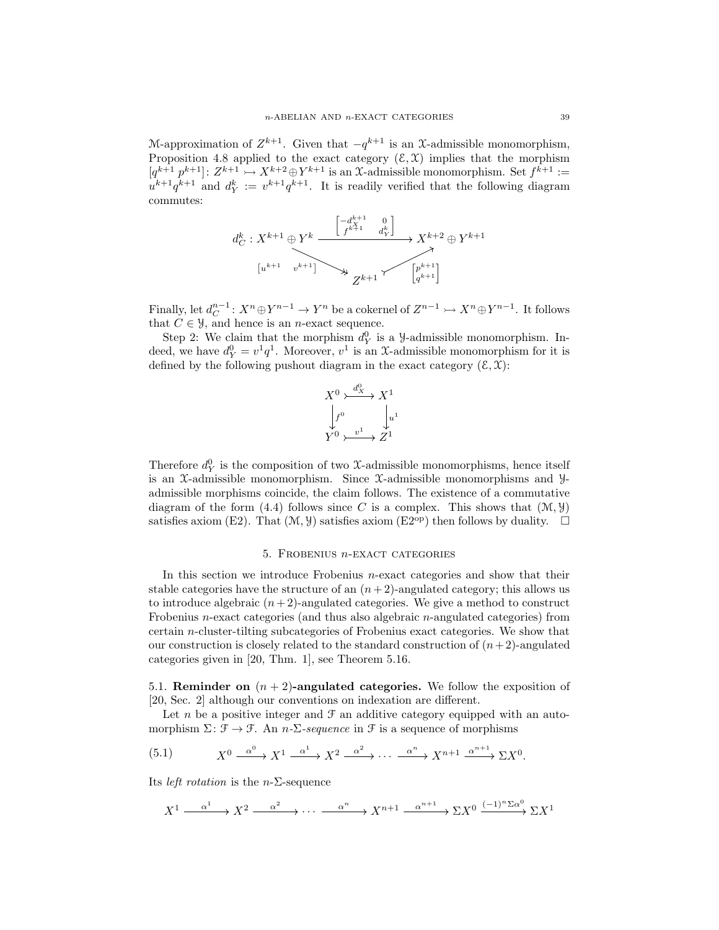M-approximation of  $Z^{k+1}$ . Given that  $-q^{k+1}$  is an X-admissible monomorphism, Proposition 4.8 applied to the exact category  $(\mathcal{E}, \mathcal{X})$  implies that the morphism  $[q^{k+1} \, p^{k+1}] \colon Z^{k+1} \rightarrow X^{k+2} \oplus Y^{k+1}$  is an X-admissible monomorphism. Set  $f^{k+1} :=$  $u^{k+1}q^{k+1}$  and  $d_Y^k := v^{k+1}q^{k+1}$ . It is readily verified that the following diagram commutes:

$$
d_C^k: X^{k+1} \oplus Y^k \xrightarrow{\begin{bmatrix} -d_X^{k+1} & 0 \\ f^{k+1} & d_Y^k \end{bmatrix}} X^{k+2} \oplus Y^{k+1}
$$

$$
u^{k+1} \longrightarrow X^{k+1} \longrightarrow Y^{k+1}
$$

$$
Z^{k+1} \longleftarrow \begin{bmatrix} p^{k+1} \\ q^{k+1} \end{bmatrix}
$$

Finally, let  $d_C^{n-1}: X^n \oplus Y^{n-1} \to Y^n$  be a cokernel of  $Z^{n-1} \to X^n \oplus Y^{n-1}$ . It follows that  $C \in \mathcal{Y}$ , and hence is an *n*-exact sequence.

Step 2: We claim that the morphism  $d_Y^0$  is a *y*-admissible monomorphism. Indeed, we have  $d_Y^0 = v^1 q^1$ . Moreover,  $v^1$  is an X-admissible monomorphism for it is defined by the following pushout diagram in the exact category  $(\mathcal{E}, \mathcal{X})$ :

$$
X^{0} \xrightarrow{d_{X}^{0}} X^{1}
$$
  

$$
\downarrow f^{0} \qquad \downarrow u^{1}
$$
  

$$
Y^{0} \xrightarrow{v^{1}} Z^{1}
$$

Therefore  $d_Y^0$  is the composition of two X-admissible monomorphisms, hence itself is an X-admissible monomorphism. Since X-admissible monomorphisms and Yadmissible morphisms coincide, the claim follows. The existence of a commutative diagram of the form (4.4) follows since C is a complex. This shows that  $(\mathcal{M}, \mathcal{Y})$ satisfies axiom (E2). That  $(\mathcal{M}, \mathcal{Y})$  satisfies axiom (E2<sup>op</sup>) then follows by duality.  $\Box$ 

### 5. Frobenius n-exact categories

In this section we introduce Frobenius  $n$ -exact categories and show that their stable categories have the structure of an  $(n+2)$ -angulated category; this allows us to introduce algebraic  $(n+2)$ -angulated categories. We give a method to construct Frobenius n-exact categories (and thus also algebraic n-angulated categories) from certain n-cluster-tilting subcategories of Frobenius exact categories. We show that our construction is closely related to the standard construction of  $(n+2)$ -angulated categories given in [20, Thm. 1], see Theorem 5.16.

5.1. **Reminder on**  $(n+2)$ -angulated categories. We follow the exposition of [20, Sec. 2] although our conventions on indexation are different.

Let n be a positive integer and  $\mathcal F$  an additive category equipped with an automorphism  $\Sigma: \mathcal{F} \to \mathcal{F}$ . An *n*- $\Sigma$ -sequence in  $\mathcal{F}$  is a sequence of morphisms

(5.1) 
$$
X^{0} \xrightarrow{\alpha^{0}} X^{1} \xrightarrow{\alpha^{1}} X^{2} \xrightarrow{\alpha^{2}} \cdots \xrightarrow{\alpha^{n}} X^{n+1} \xrightarrow{\alpha^{n+1}} \Sigma X^{0}.
$$

Its *left rotation* is the n-Σ-sequence

$$
X^{1} \xrightarrow{\alpha^{1}} X^{2} \xrightarrow{\alpha^{2}} \cdots \xrightarrow{\alpha^{n}} X^{n+1} \xrightarrow{\alpha^{n+1}} \Sigma X^{0} \xrightarrow{(-1)^{n} \Sigma \alpha^{0}} \Sigma X^{1}
$$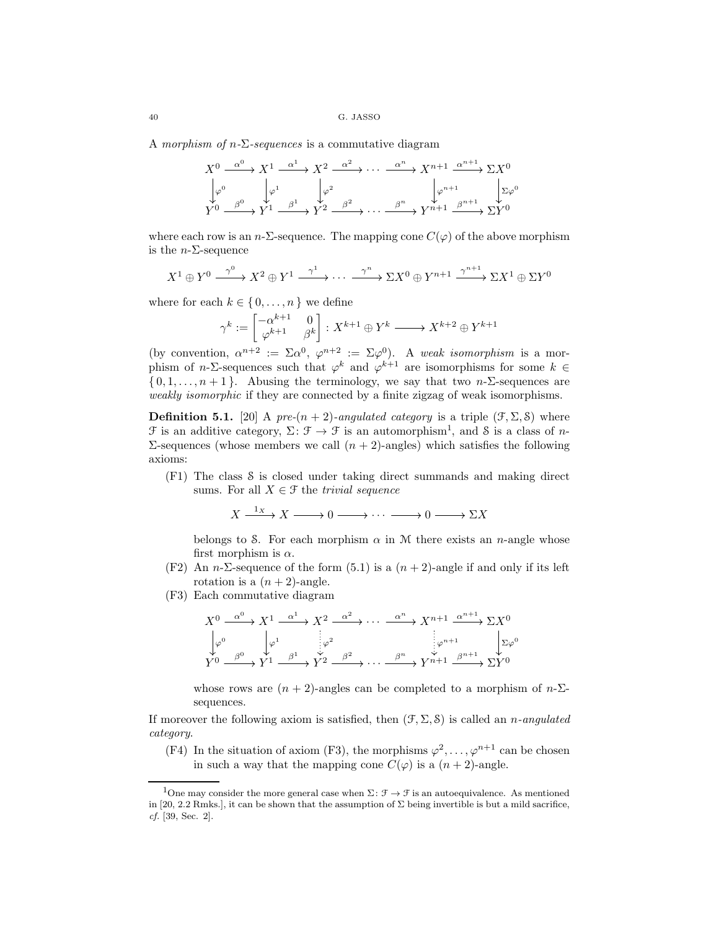A *morphism of* n*-*Σ*-sequences* is a commutative diagram

$$
X^{0} \xrightarrow{\alpha^{0}} X^{1} \xrightarrow{\alpha^{1}} X^{2} \xrightarrow{\alpha^{2}} \cdots \xrightarrow{\alpha^{n}} X^{n+1} \xrightarrow{\alpha^{n+1}} \Sigma X^{0}
$$

$$
\downarrow \varphi^{0} \qquad \downarrow \varphi^{1} \qquad \downarrow \varphi^{2} \qquad \downarrow \varphi^{n+1} \qquad \downarrow \Sigma \varphi^{0}
$$

$$
Y^{0} \xrightarrow{\beta^{0}} Y^{1} \xrightarrow{\beta^{1}} Y^{2} \xrightarrow{\beta^{2}} \cdots \xrightarrow{\beta^{n}} Y^{n+1} \xrightarrow{\beta^{n+1}} \Sigma Y^{0}
$$

where each row is an n- $\Sigma$ -sequence. The mapping cone  $C(\varphi)$  of the above morphism is the  $n$ - $\Sigma$ -sequence

$$
X^1 \oplus Y^0 \xrightarrow{\gamma^0} X^2 \oplus Y^1 \xrightarrow{\gamma^1} \cdots \xrightarrow{\gamma^n} \Sigma X^0 \oplus Y^{n+1} \xrightarrow{\gamma^{n+1}} \Sigma X^1 \oplus \Sigma Y^0
$$

where for each  $k \in \{0, \ldots, n\}$  we define

$$
\gamma^k:=\begin{bmatrix}-\alpha^{k+1}&0\\\varphi^{k+1}&\beta^k\end{bmatrix}:X^{k+1}\oplus Y^k\longrightarrow X^{k+2}\oplus Y^{k+1}
$$

(by convention,  $\alpha^{n+2} := \Sigma \alpha^0$ ,  $\varphi^{n+2} := \Sigma \varphi^0$ ). A *weak isomorphism* is a morphism of *n*- $\Sigma$ -sequences such that  $\varphi^k$  and  $\varphi^{k+1}$  are isomorphisms for some  $k \in$  $\{0, 1, \ldots, n+1\}$ . Abusing the terminology, we say that two n- $\Sigma$ -sequences are *weakly isomorphic* if they are connected by a finite zigzag of weak isomorphisms.

**Definition 5.1.** [20] A *pre-*( $n + 2$ )*-angulated category* is a triple ( $\mathcal{F}, \Sigma, \mathcal{S}$ ) where  $\mathcal F$  is an additive category,  $\Sigma \colon \mathcal F \to \mathcal F$  is an automorphism<sup>1</sup>, and  $\mathcal S$  is a class of *n*-Σ-sequences (whose members we call  $(n + 2)$ -angles) which satisfies the following axioms:

(F1) The class S is closed under taking direct summands and making direct sums. For all  $X \in \mathcal{F}$  the *trivial sequence* 

$$
X \xrightarrow{1_X} X \longrightarrow 0 \longrightarrow \cdots \longrightarrow 0 \longrightarrow \Sigma X
$$

belongs to S. For each morphism  $\alpha$  in M there exists an *n*-angle whose first morphism is  $\alpha$ .

- (F2) An n- $\Sigma$ -sequence of the form (5.1) is a  $(n+2)$ -angle if and only if its left rotation is a  $(n+2)$ -angle.
- (F3) Each commutative diagram

$$
X^{0} \xrightarrow{\alpha^{0}} X^{1} \xrightarrow{\alpha^{1}} X^{2} \xrightarrow{\alpha^{2}} \cdots \xrightarrow{\alpha^{n}} X^{n+1} \xrightarrow{\alpha^{n+1}} \Sigma X^{0}
$$
  

$$
\downarrow \varphi^{0} \qquad \downarrow \varphi^{1} \qquad \downarrow \varphi^{2}
$$
  

$$
Y^{0} \xrightarrow{\beta^{0}} Y^{1} \xrightarrow{\beta^{1}} Y^{2} \xrightarrow{\beta^{2}} \cdots \xrightarrow{\beta^{n}} Y^{n+1} \xrightarrow{\beta^{n+1}} \Sigma Y^{0}
$$

whose rows are  $(n + 2)$ -angles can be completed to a morphism of  $n-\Sigma$ sequences.

If moreover the following axiom is satisfied, then (F, Σ, S) is called an n*-angulated category*.

(F4) In the situation of axiom (F3), the morphisms  $\varphi^2, \ldots, \varphi^{n+1}$  can be chosen in such a way that the mapping cone  $C(\varphi)$  is a  $(n+2)$ -angle.

<sup>&</sup>lt;sup>1</sup>One may consider the more general case when  $\Sigma: \mathcal{F} \to \mathcal{F}$  is an autoequivalence. As mentioned in [20, 2.2 Rmks.], it can be shown that the assumption of  $\Sigma$  being invertible is but a mild sacrifice, *cf.* [39, Sec. 2].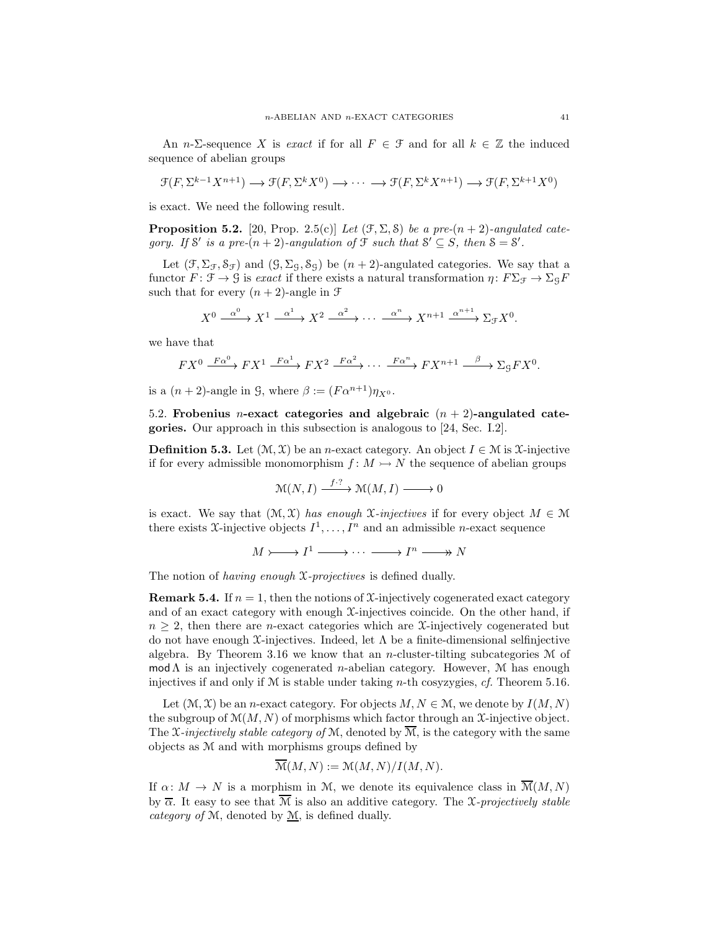An *n*- $\Sigma$ -sequence X is *exact* if for all  $F \in \mathcal{F}$  and for all  $k \in \mathbb{Z}$  the induced sequence of abelian groups

$$
\mathcal{F}(F, \Sigma^{k-1} X^{n+1}) \longrightarrow \mathcal{F}(F, \Sigma^k X^0) \longrightarrow \cdots \longrightarrow \mathcal{F}(F, \Sigma^k X^{n+1}) \longrightarrow \mathcal{F}(F, \Sigma^{k+1} X^0)
$$

is exact. We need the following result.

**Proposition 5.2.** [20, Prop. 2.5(c)] Let  $(\mathcal{F}, \Sigma, \mathcal{S})$  be a pre- $(n+2)$ -angulated cate*gory.* If S' is a pre- $(n+2)$ -angulation of  $\mathcal{F}$  such that  $S' \subseteq S$ , then  $S = S'$ .

Let  $(\mathcal{F}, \Sigma_{\mathcal{F}}, \mathcal{S}_{\mathcal{F}})$  and  $(\mathcal{G}, \Sigma_{\mathcal{G}}, \mathcal{S}_{\mathcal{G}})$  be  $(n+2)$ -angulated categories. We say that a functor  $F: \mathcal{F} \to \mathcal{G}$  is *exact* if there exists a natural transformation  $\eta: F\Sigma_{\mathcal{F}} \to \Sigma_{\mathcal{G}} F$ such that for every  $(n+2)$ -angle in  $\mathfrak F$ 

$$
X^{0} \xrightarrow{\alpha^{0}} X^{1} \xrightarrow{\alpha^{1}} X^{2} \xrightarrow{\alpha^{2}} \cdots \xrightarrow{\alpha^{n}} X^{n+1} \xrightarrow{\alpha^{n+1}} \Sigma_{\mathcal{F}} X^{0}.
$$

we have that

$$
FX^0 \xrightarrow{F\alpha^0} FX^1 \xrightarrow{F\alpha^1} FX^2 \xrightarrow{F\alpha^2} \cdots \xrightarrow{F\alpha^n} FX^{n+1} \xrightarrow{\beta} \Sigma_g FX^0.
$$

is a  $(n+2)$ -angle in G, where  $\beta := (F\alpha^{n+1})\eta_{X^0}$ .

5.2. Frobenius *n*-exact categories and algebraic  $(n + 2)$ -angulated categories. Our approach in this subsection is analogous to [24, Sec. I.2].

**Definition 5.3.** Let  $(\mathcal{M}, \mathcal{X})$  be an *n*-exact category. An object  $I \in \mathcal{M}$  is  $\mathcal{X}$ -injective if for every admissible monomorphism  $f: M \rightarrow N$  the sequence of abelian groups

$$
\mathcal{M}(N,I) \xrightarrow{f \cdot ?} \mathcal{M}(M,I) \longrightarrow 0
$$

is exact. We say that  $(\mathcal{M}, \mathcal{X})$  *has enough*  $\mathcal{X}$ *-injectives* if for every object  $M \in \mathcal{M}$ there exists X-injective objects  $I^1, \ldots, I^n$  and an admissible *n*-exact sequence

 $M \rightarrowtail I^1 \longrightarrow \cdots \longrightarrow I^n \longrightarrow N$ 

The notion of *having enough* X*-projectives* is defined dually.

**Remark 5.4.** If  $n = 1$ , then the notions of X-injectively cogenerated exact category and of an exact category with enough  $\mathfrak{X}\text{-}\mathrm{injectives}$  coincide. On the other hand, if  $n \geq 2$ , then there are *n*-exact categories which are *X*-injectively cogenerated but do not have enough  $\mathfrak{X}$ -injectives. Indeed, let  $\Lambda$  be a finite-dimensional selfinjective algebra. By Theorem 3.16 we know that an *n*-cluster-tilting subcategories  $M$  of mod  $\Lambda$  is an injectively cogenerated *n*-abelian category. However,  $\mathcal M$  has enough injectives if and only if M is stable under taking n-th cosyzygies, *cf.* Theorem 5.16.

Let  $(\mathcal{M}, \mathcal{X})$  be an *n*-exact category. For objects  $M, N \in \mathcal{M}$ , we denote by  $I(M, N)$ the subgroup of  $\mathcal{M}(M, N)$  of morphisms which factor through an  $\mathcal{X}$ -injective object. The  $\mathfrak{X}\text{-}\text{injectively stable category of }\mathfrak{M},$  denoted by  $\overline{\mathfrak{M}},$  is the category with the same objects as M and with morphisms groups defined by

$$
\overline{\mathcal{M}}(M,N) := \mathcal{M}(M,N)/I(M,N).
$$

If  $\alpha: M \to N$  is a morphism in M, we denote its equivalence class in  $\overline{\mathcal{M}}(M,N)$ by  $\overline{\alpha}$ . It easy to see that  $\overline{M}$  is also an additive category. The *X-projectively stable category of* M, denoted by M, is defined dually.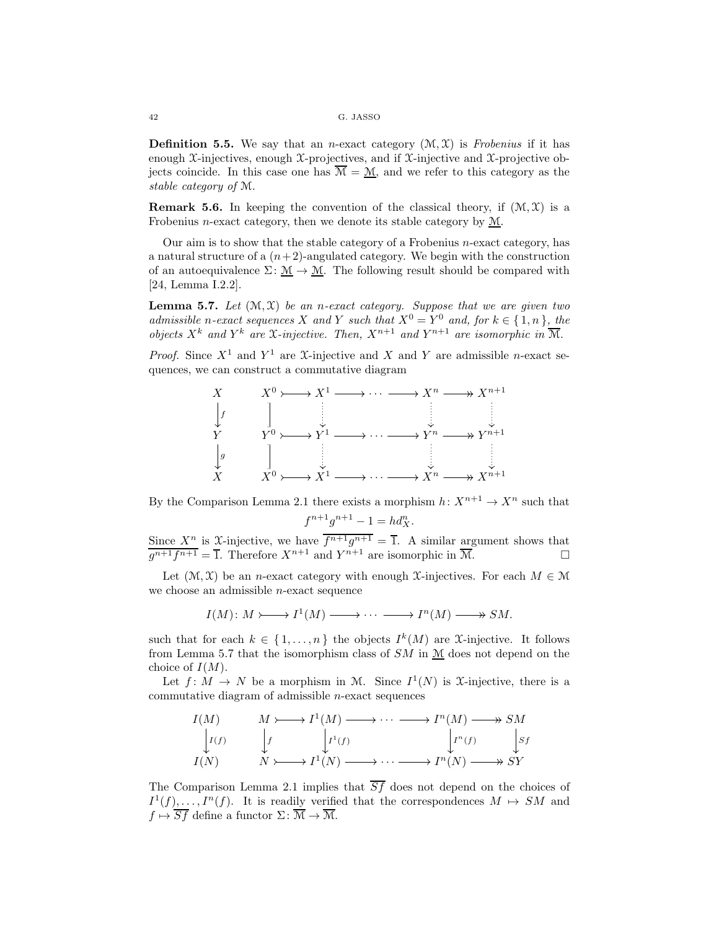**Definition 5.5.** We say that an *n*-exact category  $(\mathcal{M}, \mathcal{X})$  is *Frobenius* if it has enough X-injectives, enough X-projectives, and if  $\mathcal{X}$ -injective and  $\mathcal{X}$ -projective objects coincide. In this case one has  $\mathcal{M} = \mathcal{M}$ , and we refer to this category as the *stable category of* M.

**Remark 5.6.** In keeping the convention of the classical theory, if  $(\mathcal{M}, \mathcal{X})$  is a Frobenius n-exact category, then we denote its stable category by M.

Our aim is to show that the stable category of a Frobenius n-exact category, has a natural structure of a  $(n+2)$ -angulated category. We begin with the construction of an autoequivalence  $\Sigma: \mathcal{M} \to \mathcal{M}$ . The following result should be compared with [24, Lemma I.2.2].

Lemma 5.7. *Let* (M, X) *be an* n*-exact category. Suppose that we are given two admissible* n-exact sequences X and Y such that  $X^0 = Y^0$  and, for  $k \in \{1, n\}$ , the *objects*  $X^k$  *and*  $Y^k$  *are*  $\mathfrak{X}$ *-injective. Then,*  $X^{n+1}$  *and*  $Y^{n+1}$  *are isomorphic in*  $\overline{\mathcal{M}}$ *.* 

*Proof.* Since  $X^1$  and  $Y^1$  are X-injective and X and Y are admissible n-exact sequences, we can construct a commutative diagram



By the Comparison Lemma 2.1 there exists a morphism  $h: X^{n+1} \to X^n$  such that

$$
f^{n+1}g^{n+1} - 1 = hd_X^n.
$$

Since  $X^n$  is X-injective, we have  $\overline{f^{n+1}g^{n+1}} = \overline{1}$ . A similar argument shows that  $\overline{g^{n+1}f^{n+1}} = \overline{1}$ . Therefore  $X^{n+1}$  and  $Y^{n+1}$  are isomorphic in  $\overline{\mathcal{M}}$ .

Let  $(\mathcal{M}, \mathcal{X})$  be an n-exact category with enough X-injectives. For each  $M \in \mathcal{M}$ we choose an admissible n-exact sequence

$$
I(M): M \rightarrow \longrightarrow I^1(M) \longrightarrow \cdots \longrightarrow I^n(M) \longrightarrow SM.
$$

such that for each  $k \in \{1, \ldots, n\}$  the objects  $I^k(M)$  are X-injective. It follows from Lemma 5.7 that the isomorphism class of  $SM$  in  $M$  does not depend on the choice of  $I(M)$ .

Let  $f: M \to N$  be a morphism in M. Since  $I^1(N)$  is X-injective, there is a commutative diagram of admissible  $n$ -exact sequences

$$
I(M) \qquad M \rightarrow \longrightarrow I^{1}(M) \longrightarrow \cdots \longrightarrow I^{n}(M) \longrightarrow SM
$$
  
\n
$$
I(f) \qquad \downarrow f \qquad \downarrow I^{1}(f) \qquad \qquad \downarrow I^{n}(f) \qquad \downarrow Sf
$$
  
\n
$$
I(N) \qquad N \rightarrow \longrightarrow I^{1}(N) \longrightarrow \cdots \longrightarrow I^{n}(N) \longrightarrow \longrightarrow SY
$$

The Comparison Lemma 2.1 implies that  $\overline{Sf}$  does not depend on the choices of  $I^1(f), \ldots, I^n(f)$ . It is readily verified that the correspondences  $M \mapsto SM$  and  $f \mapsto \overline{Sf}$  define a functor  $\Sigma: \overline{\mathcal{M}} \to \overline{\mathcal{M}}$ .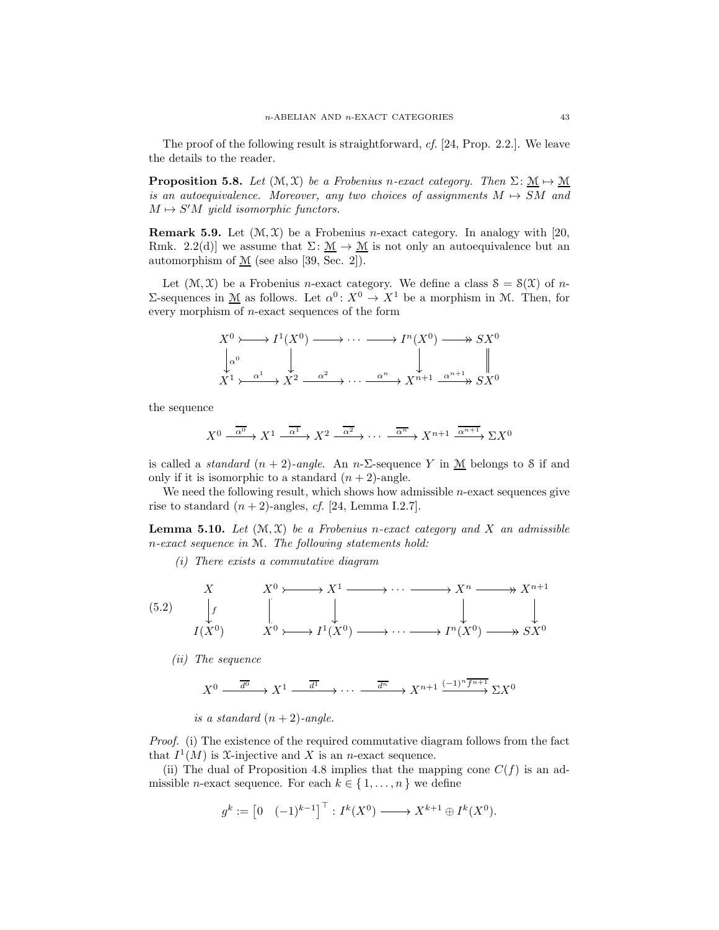The proof of the following result is straightforward, *cf.* [24, Prop. 2.2.]. We leave the details to the reader.

**Proposition 5.8.** *Let*  $(\mathcal{M}, \mathcal{X})$  *be a Frobenius n-exact category. Then*  $\Sigma: \mathcal{M} \to \mathcal{M}$ *is an autoequivalence. Moreover, any two choices of assignments*  $M \rightarrow SM$  *and*  $M \mapsto S'M$  yield isomorphic functors.

**Remark 5.9.** Let  $(\mathcal{M}, \mathcal{X})$  be a Frobenius *n*-exact category. In analogy with [20, Rmk. 2.2(d)] we assume that  $\Sigma: \mathcal{M} \to \mathcal{M}$  is not only an autoequivalence but an automorphism of  $M$  (see also [39, Sec. 2]).

Let  $(\mathcal{M}, \mathcal{X})$  be a Frobenius *n*-exact category. We define a class  $\mathcal{S} = \mathcal{S}(\mathcal{X})$  of *n*-Σ-sequences in <u>M</u> as follows. Let  $\alpha^0: X^0 \to X^1$  be a morphism in M. Then, for every morphism of n-exact sequences of the form

$$
X^{0} \longrightarrow I^{1}(X^{0}) \longrightarrow \cdots \longrightarrow I^{n}(X^{0}) \longrightarrow SX^{0}
$$
  
\n
$$
\downarrow \alpha^{0} \qquad \qquad \downarrow \qquad \qquad \downarrow
$$
  
\n
$$
X^{1} \longrightarrow \alpha^{1} \longrightarrow X^{2} \longrightarrow \cdots \longrightarrow \alpha^{n} \longrightarrow X^{n+1} \longrightarrow X^{n+1} \longrightarrow SX^{0}
$$

the sequence

$$
X^{0} \xrightarrow{\overline{\alpha^{0}}} X^{1} \xrightarrow{\overline{\alpha^{1}}} X^{2} \xrightarrow{\overline{\alpha^{2}}} \cdots \xrightarrow{\overline{\alpha^{n}}} X^{n+1} \xrightarrow{\overline{\alpha^{n+1}}} \Sigma X^{0}
$$

is called a *standard*  $(n + 2)$ *-angle*. An *n*- $\Sigma$ -sequence Y in  $\mathcal{M}$  belongs to S if and only if it is isomorphic to a standard  $(n+2)$ -angle.

We need the following result, which shows how admissible  $n$ -exact sequences give rise to standard  $(n + 2)$ -angles, *cf.* [24, Lemma I.2.7].

**Lemma 5.10.** Let  $(\mathcal{M}, \mathcal{X})$  be a Frobenius n-exact category and X an admissible n*-exact sequence in* M*. The following statements hold:*

*(i) There exists a commutative diagram*

(5.2) 
$$
\begin{array}{ccc}\nX & X^0 \rightarrow X^1 \rightarrow \cdots \rightarrow X^n \rightarrow X^{n+1} \\
\downarrow & \qquad \qquad \downarrow & \qquad \qquad \downarrow & \qquad \downarrow \\
I(X^0) & X^0 \rightarrow I^1(X^0) \rightarrow \cdots \rightarrow I^n(X^0) \rightarrow X^0\n\end{array}
$$

*(ii) The sequence*

$$
X^{0} \xrightarrow{\overline{d^{0}}} X^{1} \xrightarrow{\overline{d^{1}}} \cdots \xrightarrow{\overline{d^{n}}} X^{n+1} \xrightarrow{(-1)^{n} \overline{f^{n+1}}} \Sigma X^{0}
$$

*is a standard*  $(n+2)$ -angle.

*Proof.* (i) The existence of the required commutative diagram follows from the fact that  $I^1(M)$  is X-injective and X is an *n*-exact sequence.

(ii) The dual of Proposition 4.8 implies that the mapping cone  $C(f)$  is an admissible *n*-exact sequence. For each  $k \in \{1, ..., n\}$  we define

$$
g^k:=\begin{bmatrix}0 & (-1)^{k-1}\end{bmatrix}^\top: I^k(X^0)\xrightarrow{ } X^{k+1}\oplus I^k(X^0).
$$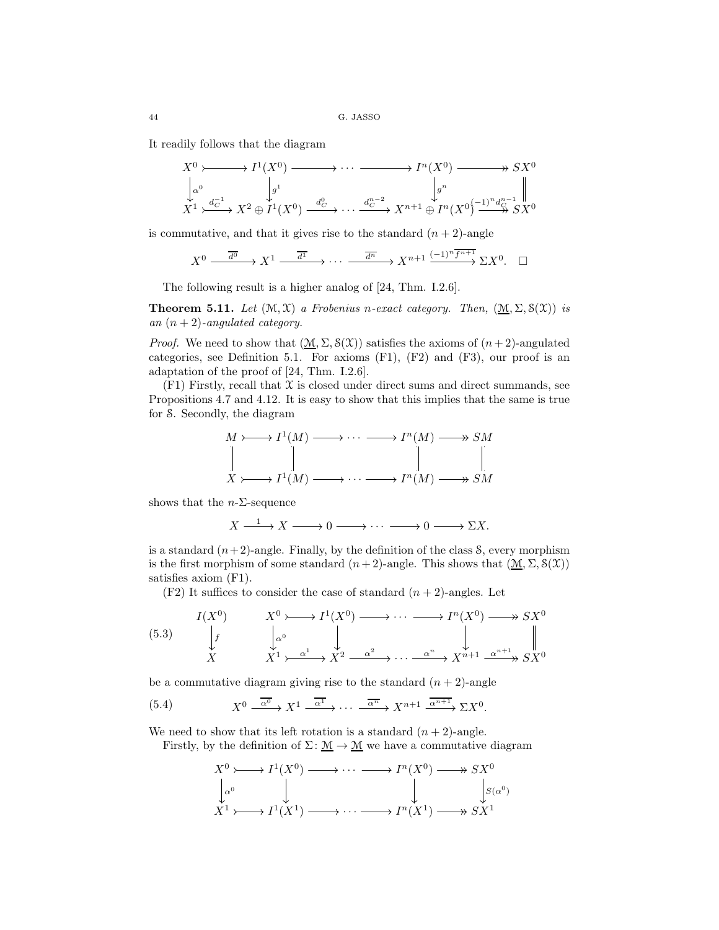It readily follows that the diagram

$$
X^{0} \longrightarrow I^{1}(X^{0}) \longrightarrow \cdots \longrightarrow I^{n}(X^{0}) \longrightarrow X^{0}
$$
  
\n
$$
\downarrow \alpha^{0} \qquad \qquad \downarrow \beta^{1}
$$
  
\n
$$
X^{1} \longrightarrow \cdots \longrightarrow I^{n}(X^{0}) \longrightarrow X^{0}
$$
  
\n
$$
\downarrow \beta^{n}
$$
  
\n
$$
\downarrow \beta^{n}
$$
  
\n
$$
\downarrow \beta^{n}
$$
  
\n
$$
\downarrow \beta^{n}
$$
  
\n
$$
\downarrow \beta^{n}
$$
  
\n
$$
\downarrow \beta^{n}
$$
  
\n
$$
\downarrow \beta^{n}
$$
  
\n
$$
\downarrow \beta^{n}
$$
  
\n
$$
\downarrow \beta^{n}
$$
  
\n
$$
\downarrow \beta^{n}
$$
  
\n
$$
\downarrow \beta^{n}
$$
  
\n
$$
\downarrow \beta^{n}
$$
  
\n
$$
\downarrow \beta^{n}
$$
  
\n
$$
\downarrow \beta^{n}
$$
  
\n
$$
\downarrow \beta^{n}
$$
  
\n
$$
\downarrow \beta^{n}
$$
  
\n
$$
\downarrow \beta^{n}
$$
  
\n
$$
\downarrow \beta^{n}
$$
  
\n
$$
\downarrow \beta^{n}
$$
  
\n
$$
\downarrow \beta^{n}
$$
  
\n
$$
\downarrow \beta^{n}
$$
  
\n
$$
\downarrow \beta^{n}
$$
  
\n
$$
\downarrow \beta^{n}
$$
  
\n
$$
\downarrow \beta^{n}
$$

is commutative, and that it gives rise to the standard  $(n + 2)$ -angle

$$
X^{0} \xrightarrow{\overline{d^{0}}} X^{1} \xrightarrow{\overline{d^{1}}} \cdots \xrightarrow{\overline{d^{n}}} X^{n+1} \xrightarrow{(-1)^{n} f^{n+1}} \Sigma X^{0}.
$$

The following result is a higher analog of [24, Thm. I.2.6].

**Theorem 5.11.** Let  $(\mathcal{M}, \mathcal{X})$  *a Frobenius n-exact category. Then,*  $(\underline{\mathcal{M}}, \Sigma, \mathcal{S}(\mathcal{X}))$  *is an*  $(n+2)$ *-angulated category.* 

*Proof.* We need to show that  $(\underline{\mathcal{M}}, \Sigma, \mathcal{S}(\mathcal{X}))$  satisfies the axioms of  $(n+2)$ -angulated categories, see Definition 5.1. For axioms  $(F1)$ ,  $(F2)$  and  $(F3)$ , our proof is an adaptation of the proof of [24, Thm. I.2.6].

 $(F1)$  Firstly, recall that  $X$  is closed under direct sums and direct summands, see Propositions 4.7 and 4.12. It is easy to show that this implies that the same is true for S. Secondly, the diagram

$$
M \rightarrowtail I^{1}(M) \longrightarrow \cdots \longrightarrow I^{n}(M) \longrightarrow SM
$$
  
\n
$$
\parallel \qquad \qquad \parallel \qquad \qquad \parallel
$$
  
\n
$$
X \rightarrowtail I^{1}(M) \longrightarrow \cdots \longrightarrow I^{n}(M) \longrightarrow SM
$$

shows that the  $n$ - $\Sigma$ -sequence

$$
X \xrightarrow{1} X \xrightarrow{1} 0 \xrightarrow{1} 0 \xrightarrow{1} 0 \xrightarrow{1} \Sigma X.
$$

is a standard  $(n+2)$ -angle. Finally, by the definition of the class S, every morphism is the first morphism of some standard  $(n+2)$ -angle. This shows that  $(\underline{\mathcal{M}}, \Sigma, \mathcal{S}(\mathcal{X}))$ satisfies axiom (F1).

 $(F2)$  It suffices to consider the case of standard  $(n + 2)$ -angles. Let

(5.3) 
$$
\begin{array}{ccc}\nI(X^{0}) & X^{0} \longrightarrow I^{1}(X^{0}) & \longrightarrow \cdots \longrightarrow I^{n}(X^{0}) \longrightarrow S X^{0} \\
\downarrow f & \downarrow \alpha^{0} & \downarrow & \downarrow \\
X & X^{1} \rightarrow \alpha^{1} & X^{2} \rightarrow \cdots \rightarrow \alpha^{n} & X^{n+1} \rightarrow \alpha^{n+1} \rightarrow S X^{0}\n\end{array}
$$

be a commutative diagram giving rise to the standard  $(n + 2)$ -angle

(5.4) 
$$
X^0 \xrightarrow{\overline{\alpha^0}} X^1 \xrightarrow{\overline{\alpha^1}} \cdots \xrightarrow{\overline{\alpha^n}} X^{n+1} \xrightarrow{\overline{\alpha^{n+1}}} \Sigma X^0
$$
.

We need to show that its left rotation is a standard  $(n + 2)$ -angle.

Firstly, by the definition of  $\Sigma: \mathcal{M} \to \mathcal{M}$  we have a commutative diagram

$$
X^{0} \longrightarrow I^{1}(X^{0}) \longrightarrow \cdots \longrightarrow I^{n}(X^{0}) \longrightarrow SX^{0}
$$
  
\n
$$
\downarrow^{\alpha^{0}} \qquad \qquad \downarrow \qquad \qquad \downarrow^{\beta(\alpha^{0})}
$$
  
\n
$$
X^{1} \longrightarrow I^{1}(X^{1}) \longrightarrow \cdots \longrightarrow I^{n}(X^{1}) \longrightarrow SX^{1}
$$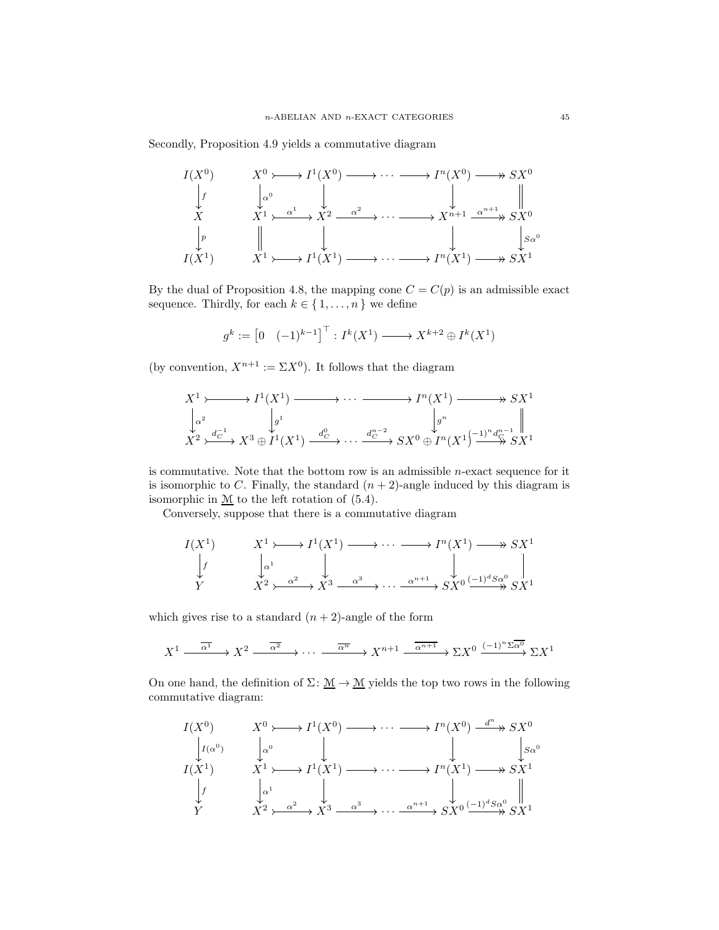Secondly, Proposition 4.9 yields a commutative diagram



By the dual of Proposition 4.8, the mapping cone  $C = C(p)$  is an admissible exact sequence. Thirdly, for each  $k \in \{1, \ldots, n\}$  we define

$$
g^k := \begin{bmatrix} 0 & (-1)^{k-1} \end{bmatrix}^\top : I^k(X^1) \longrightarrow X^{k+2} \oplus I^k(X^1)
$$

(by convention,  $X^{n+1} := \Sigma X^0$ ). It follows that the diagram

$$
X^{1} \rightarrow \longrightarrow I^{1}(X^{1}) \longrightarrow \cdots \longrightarrow \longrightarrow I^{n}(X^{1}) \longrightarrow S X^{1}
$$
  
\n
$$
\downarrow \alpha^{2} \qquad \qquad \downarrow g^{1}
$$
  
\n
$$
X^{2} \rightarrow \stackrel{d_{C}^{-1}}{\rightarrow} X^{3} \oplus I^{1}(X^{1}) \xrightarrow{d_{C}^{0}} \cdots \xrightarrow{d_{C}^{n-2}} S X^{0} \oplus I^{n}(X^{1}) \xrightarrow{1)^{n} d_{C}^{n-1}} S X^{1}
$$

is commutative. Note that the bottom row is an admissible  $n$ -exact sequence for it is isomorphic to C. Finally, the standard  $(n + 2)$ -angle induced by this diagram is isomorphic in M to the left rotation of (5.4).

Conversely, suppose that there is a commutative diagram

$$
I(X1) \longrightarrow X1 \longrightarrow I1(X1) \longrightarrow \cdots \longrightarrow In(X1) \longrightarrow S X1
$$
  
\n
$$
\downarrow f \qquad \qquad \downarrow \qquad \qquad \downarrow f
$$
  
\n
$$
Y \qquad \qquad X2 \longrightarrow \frac{\alpha^{2}}{X^{3}} \longrightarrow \frac{\alpha^{3}}{X^{3}} \longrightarrow \cdots \longrightarrow \frac{\alpha^{n+1}}{S X^{0}} \xrightarrow{(-1)^{d} S \alpha^{0}} S X^{1}
$$

which gives rise to a standard  $(n+2)$ -angle of the form

$$
X^1 \xrightarrow{\overline{\alpha^1}} X^2 \xrightarrow{\overline{\alpha^2}} \cdots \xrightarrow{\overline{\alpha^n}} X^{n+1} \xrightarrow{\overline{\alpha^{n+1}}} \Sigma X^0 \xrightarrow{(-1)^n \Sigma \overline{\alpha^0}} \Sigma X^1
$$

On one hand, the definition of  $\Sigma: \mathcal{M} \to \mathcal{M}$  yields the top two rows in the following commutative diagram:

$$
I(X^{0}) \qquad X^{0} \rightarrowtail I^{1}(X^{0}) \longrightarrow \cdots \longrightarrow I^{n}(X^{0}) \xrightarrow{d^{n}} SX^{0}
$$
\n
$$
\downarrow I(X^{1}) \qquad X^{1} \rightarrowtail I^{1}(X^{1}) \longrightarrow \cdots \longrightarrow I^{n}(X^{1}) \longrightarrow S X^{1}
$$
\n
$$
\downarrow f \qquad \downarrow \alpha^{1} \qquad \qquad \downarrow \qquad \downarrow
$$
\n
$$
Y \qquad X^{2} \rightarrowtail X^{3} \xrightarrow{\alpha^{3}} \cdots \xrightarrow{\alpha^{n+1}} SX^{0} \xrightarrow{(-1)^{d} S \alpha^{0}} SX^{1}
$$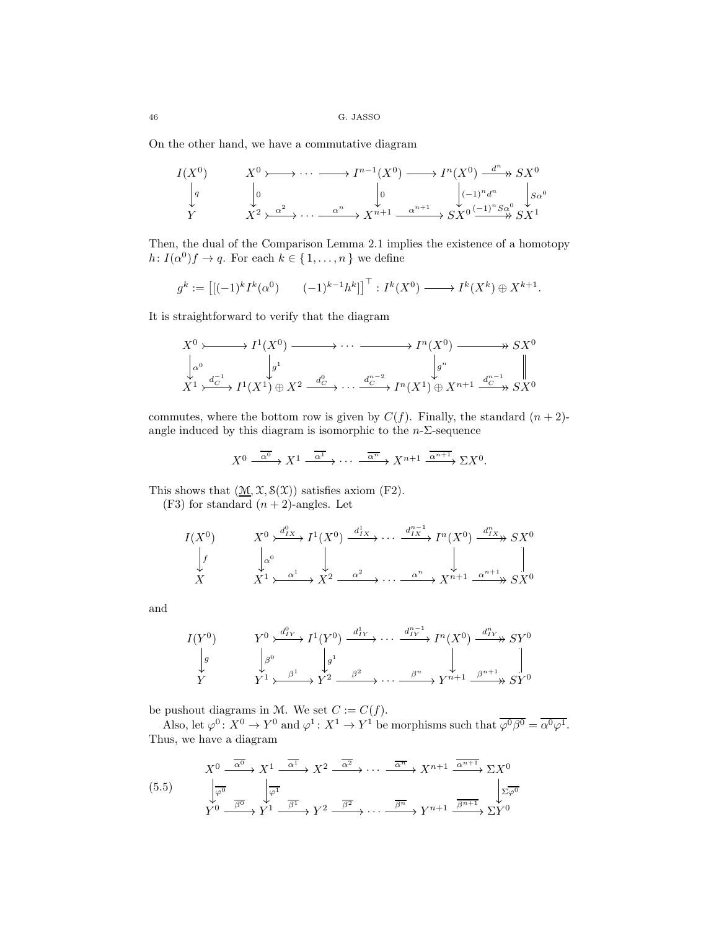On the other hand, we have a commutative diagram

$$
I(X^{0}) \longrightarrow X^{0} \longrightarrow \cdots \longrightarrow I^{n-1}(X^{0}) \longrightarrow I^{n}(X^{0}) \longrightarrow X^{n} \longrightarrow SX^{0}
$$
  
\n
$$
\downarrow q \qquad \qquad \downarrow 0 \qquad \qquad \downarrow q \qquad \qquad \downarrow \downarrow \downarrow
$$
  
\n
$$
Y \qquad \qquad X^{2} \rightarrow \xrightarrow{\alpha^{2}} \cdots \xrightarrow{\alpha^{n}} X^{n+1} \xrightarrow{\alpha^{n+1}} SX^{0} \xrightarrow{(-1)^{n}S_{\alpha^{0}}} SX^{1}
$$

Then, the dual of the Comparison Lemma 2.1 implies the existence of a homotopy  $h: I(\alpha^0)f \to q$ . For each  $k \in \{1, \ldots, n\}$  we define

$$
g^k := \left[ \left[ (-1)^k I^k(\alpha^0) \right] (-1)^{k-1} h^k \right]^\top : I^k(X^0) \longrightarrow I^k(X^k) \oplus X^{k+1}.
$$

It is straightforward to verify that the diagram

$$
X^{0} \rightarrowtail I^{1}(X^{0}) \longrightarrow \cdots \longrightarrow I^{n}(X^{0}) \longrightarrow S X^{0}
$$
  
\n
$$
\downarrow_{\alpha^{0}} \qquad \qquad \downarrow g^{1}
$$
  
\n
$$
X^{1} \rightarrowtail \stackrel{d_{C}^{-1}}{\rightarrow} I^{1}(X^{1}) \oplus X^{2} \xrightarrow{d_{C}^{0}} \cdots \xrightarrow{d_{C}^{n-2}} I^{n}(X^{1}) \oplus X^{n+1} \xrightarrow{d_{C}^{n-1}} S X^{0}
$$

commutes, where the bottom row is given by  $C(f)$ . Finally, the standard  $(n + 2)$ angle induced by this diagram is isomorphic to the  $n-\Sigma$ -sequence

$$
X^{0} \xrightarrow{\overline{\alpha^{0}}} X^{1} \xrightarrow{\overline{\alpha^{1}}} \cdots \xrightarrow{\overline{\alpha^{n}}} X^{n+1} \xrightarrow{\overline{\alpha^{n+1}}} \Sigma X^{0}.
$$

This shows that  $(\underline{\mathcal{M}}, \mathcal{X}, \mathcal{S}(\mathcal{X}))$  satisfies axiom (F2).

 $(F3)$  for standard  $(n + 2)$ -angles. Let

$$
I(X^{0}) \qquad X^{0} \xrightarrow{\langle d_{IX}^{0} \rangle} I^{1}(X^{0}) \xrightarrow{d_{IX}^{1}} \cdots \xrightarrow{d_{IX}^{n-1}} I^{n}(X^{0}) \xrightarrow{d_{IX}^{n}} SX^{0}
$$
  
\n
$$
\downarrow f \qquad \qquad \downarrow \qquad \qquad \downarrow f
$$
  
\n
$$
X \qquad X^{1} \xleftarrow{\alpha^{1}} X^{2} \xrightarrow{\alpha^{2}} \cdots \xrightarrow{\alpha^{n}} X^{n+1} \xrightarrow{\alpha^{n+1}} SX^{0}
$$

and

$$
I(Y^{0}) \qquad Y^{0} \xrightarrow{\mathcal{A}_{IY}^{0}} I^{1}(Y^{0}) \xrightarrow{d_{IY}^{1}} \cdots \xrightarrow{d_{IY}^{n-1}} I^{n}(X^{0}) \xrightarrow{d_{IY}^{n}} SY^{0}
$$
  
\n
$$
\downarrow g
$$
\n
$$
Y^{1} \xrightarrow{\beta^{1}} Y^{2} \xrightarrow{\beta^{2}} \cdots \xrightarrow{\beta^{n}} Y^{n+1} \xrightarrow{\beta^{n+1}} SY^{0}
$$

be pushout diagrams in M. We set  $C := C(f)$ .

Also, let  $\varphi^0: X^0 \to Y^0$  and  $\varphi^1: X^1 \to Y^1$  be morphisms such that  $\overline{\varphi^0 \beta^0} = \overline{\alpha^0 \varphi^1}$ . Thus, we have a diagram

$$
(5.5) \qquad \begin{aligned}\n X^0 & \xrightarrow{\overline{\alpha^0}} X^1 \xrightarrow{\overline{\alpha^1}} X^2 \xrightarrow{\overline{\alpha^2}} \cdots \xrightarrow{\overline{\alpha^n}} X^{n+1} \xrightarrow{\overline{\alpha^{n+1}}} \Sigma X^0 \\
 \downarrow{\overline{\varphi^0}} \\
 Y^0 & \xrightarrow{\overline{\beta^0}} Y^1 \xrightarrow{\overline{\beta^1}} Y^2 \xrightarrow{\overline{\beta^2}} \cdots \xrightarrow{\overline{\beta^n}} Y^{n+1} \xrightarrow{\overline{\beta^{n+1}}} \Sigma Y^0\n \end{aligned}
$$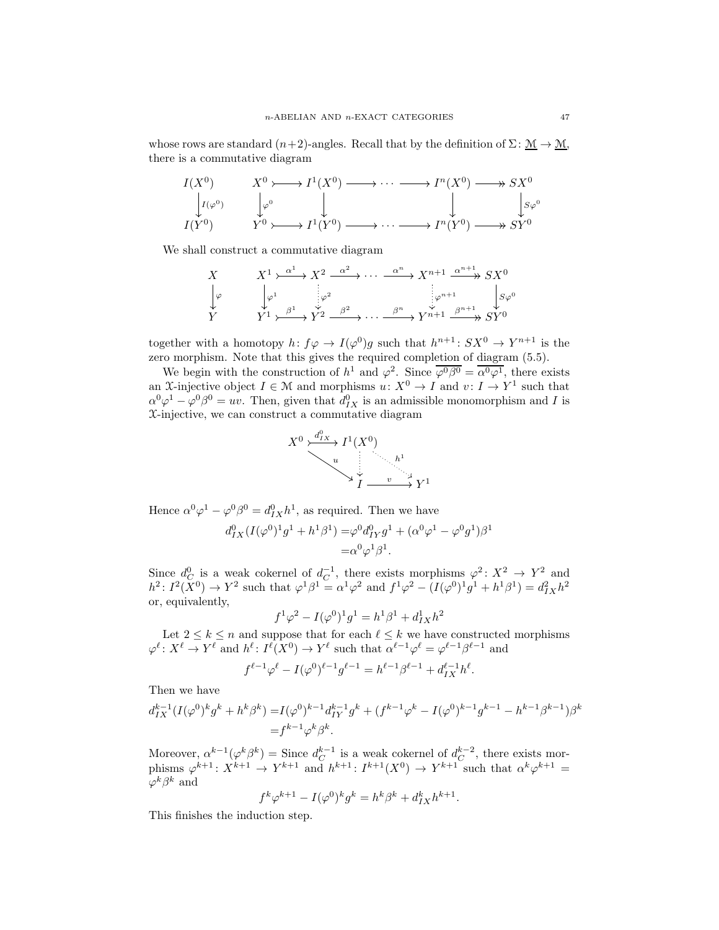whose rows are standard  $(n+2)$ -angles. Recall that by the definition of  $\Sigma: \mathcal{M} \to \mathcal{M}$ , there is a commutative diagram

$$
I(X^0) \longrightarrow X^0 \longrightarrow I^1(X^0) \longrightarrow \cdots \longrightarrow I^n(X^0) \longrightarrow SX^0
$$
  
\n
$$
\downarrow I(Y^0) \longrightarrow Y^0 \longrightarrow I^1(Y^0) \longrightarrow \cdots \longrightarrow I^n(Y^0) \longrightarrow SY^0
$$
  
\n
$$
I(Y^0) \longrightarrow I^1(Y^0) \longrightarrow \cdots \longrightarrow I^n(Y^0) \longrightarrow SY^0
$$

We shall construct a commutative diagram

$$
\begin{array}{ccc}\nX & X^1 \rightarrow^{\alpha^1} X^2 \rightarrow^{\alpha^2} \cdots \rightarrow^{\alpha^n} X^{n+1} \rightarrow^{\alpha^{n+1}} X^N \\
\downarrow \varphi & \downarrow \varphi^1 & \downarrow \varphi^2 & \downarrow \varphi^{n+1} & \downarrow \varphi^0 \\
Y & Y^1 \rightarrow^{\beta^1} X^2 \rightarrow^{\beta^2} \cdots \rightarrow^{\beta^n} X^{n+1} \rightarrow^{\beta^{n+1}} X^N\n\end{array}
$$

together with a homotopy  $h: f\varphi \to I(\varphi^0)g$  such that  $h^{n+1}: SX^0 \to Y^{n+1}$  is the zero morphism. Note that this gives the required completion of diagram (5.5).

We begin with the construction of  $h^1$  and  $\varphi^2$ . Since  $\overline{\varphi^0\beta^0} = \overline{\alpha^0\varphi^1}$ , there exists an X-injective object  $I \in \mathcal{M}$  and morphisms  $u: X^0 \to I$  and  $v: I \to Y^1$  such that  $\alpha^0 \varphi^1 - \varphi^0 \beta^0 = uv$ . Then, given that  $d_{IX}^0$  is an admissible monomorphism and I is X-injective, we can construct a commutative diagram



Hence  $\alpha^0 \varphi^1 - \varphi^0 \beta^0 = d_{IX}^0 h^1$ , as required. Then we have

$$
\begin{split} d^0_{IX}(I(\varphi^0)^1g^1+h^1\beta^1)=&\varphi^0d^0_{IY}g^1+(\alpha^0\varphi^1-\varphi^0g^1)\beta^1\\=&\alpha^0\varphi^1\beta^1. \end{split}
$$

Since  $d_C^0$  is a weak cokernel of  $d_C^{-1}$ , there exists morphisms  $\varphi^2\colon X^2 \to Y^2$  and  $h^2: I^2(X^0) \to Y^2$  such that  $\varphi^1 \beta^1 = \alpha^1 \varphi^2$  and  $f^1 \varphi^2 - (I(\varphi^0)^1 g^1 + h^1 \beta^1) = d_{IX}^2 h^2$ or, equivalently,

$$
f^{1}\varphi^{2} - I(\varphi^{0})^{1}g^{1} = h^{1}\beta^{1} + d_{IX}^{1}h^{2}
$$

Let  $2 \leq k \leq n$  and suppose that for each  $\ell \leq k$  we have constructed morphisms  $\varphi^{\ell} \colon X^{\ell} \to Y^{\ell}$  and  $h^{\ell} \colon I^{\ell}(X^0) \to Y^{\ell}$  such that  $\alpha^{\ell-1}\varphi^{\ell} = \varphi^{\ell-1}\beta^{\ell-1}$  and

$$
f^{\ell-1}\varphi^{\ell} - I(\varphi^0)^{\ell-1}g^{\ell-1} = h^{\ell-1}\beta^{\ell-1} + d_{IX}^{\ell-1}h^{\ell}.
$$

Then we have

$$
d_{IX}^{k-1}(I(\varphi^0)^k g^k + h^k \beta^k) = I(\varphi^0)^{k-1} d_{IY}^{k-1} g^k + (f^{k-1} \varphi^k - I(\varphi^0)^{k-1} g^{k-1} - h^{k-1} \beta^{k-1}) \beta^k
$$
  
=  $f^{k-1} \varphi^k \beta^k$ .

Moreover,  $\alpha^{k-1}(\varphi^k \beta^k) =$  Since  $d_C^{k-1}$  is a weak cokernel of  $d_C^{k-2}$ , there exists morphisms  $\varphi^{k+1} : X^{k+1} \to Y^{k+1}$  and  $h^{k+1} : I^{k+1}(X^0) \to Y^{k+1}$  such that  $\alpha^k \varphi^{k+1} =$  $\varphi^k \beta^k$  and

$$
f^k \varphi^{k+1} - I(\varphi^0)^k g^k = h^k \beta^k + d_{IX}^k h^{k+1}.
$$

This finishes the induction step.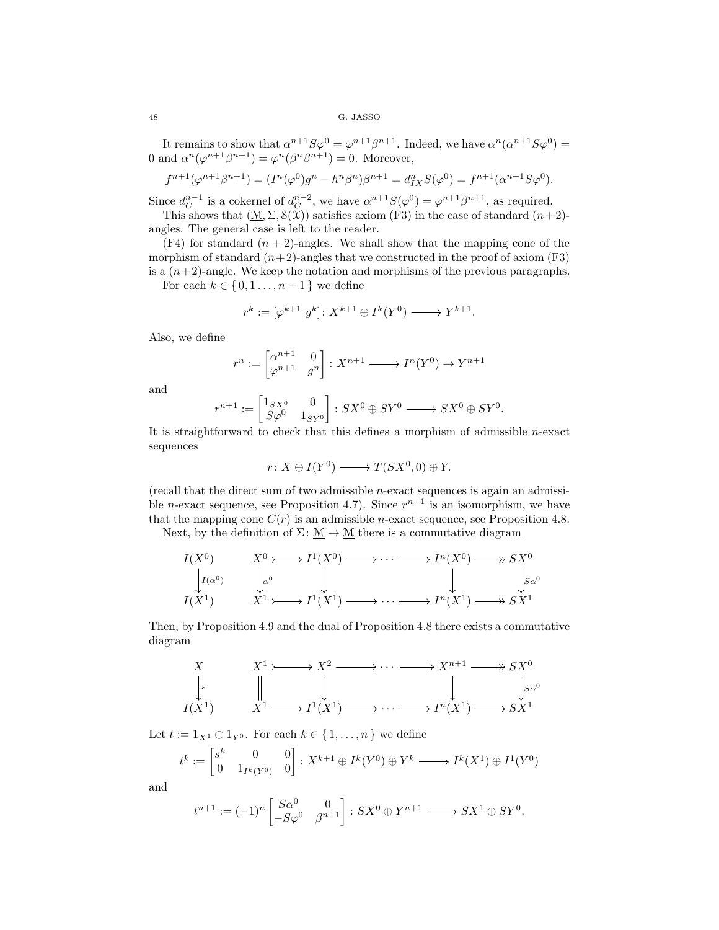It remains to show that  $\alpha^{n+1}S\varphi^0 = \varphi^{n+1}\beta^{n+1}$ . Indeed, we have  $\alpha^n(\alpha^{n+1}S\varphi^0) =$ 0 and  $\alpha^n(\varphi^{n+1}\beta^{n+1}) = \varphi^n(\beta^n\beta^{n+1}) = 0$ . Moreover,

$$
f^{n+1}(\varphi^{n+1}\beta^{n+1}) = (I^n(\varphi^0)g^n - h^n\beta^n)\beta^{n+1} = d_{IX}^n S(\varphi^0) = f^{n+1}(\alpha^{n+1}S\varphi^0).
$$

Since  $d_C^{n-1}$  is a cokernel of  $d_C^{n-2}$ , we have  $\alpha^{n+1}S(\varphi^0) = \varphi^{n+1}\beta^{n+1}$ , as required.

This shows that  $(M, \Sigma, \mathcal{S}(\mathfrak{X}))$  satisfies axiom (F3) in the case of standard  $(n+2)$ angles. The general case is left to the reader.

 $(F4)$  for standard  $(n + 2)$ -angles. We shall show that the mapping cone of the morphism of standard  $(n+2)$ -angles that we constructed in the proof of axiom (F3) is a  $(n+2)$ -angle. We keep the notation and morphisms of the previous paragraphs.

For each  $k \in \{0, 1, \ldots, n-1\}$  we define

$$
r^k := [\varphi^{k+1} \ g^k] \colon X^{k+1} \oplus I^k(Y^0) \longrightarrow Y^{k+1}.
$$

Also, we define

$$
r^n := \begin{bmatrix} \alpha^{n+1} & 0 \\ \varphi^{n+1} & g^n \end{bmatrix} : X^{n+1} \longrightarrow I^n(Y^0) \longrightarrow Y^{n+1}
$$

and

$$
r^{n+1} := \begin{bmatrix} 1_{SX^0} & 0 \\ S\varphi^0 & 1_{SY^0} \end{bmatrix} : SX^0 \oplus SY^0 \longrightarrow SX^0 \oplus SY^0.
$$

It is straightforward to check that this defines a morphism of admissible n-exact sequences

$$
r: X \oplus I(Y^0) \longrightarrow T(SX^0, 0) \oplus Y.
$$

(recall that the direct sum of two admissible n-exact sequences is again an admissible *n*-exact sequence, see Proposition 4.7). Since  $r^{n+1}$  is an isomorphism, we have that the mapping cone  $C(r)$  is an admissible *n*-exact sequence, see Proposition 4.8.

Next, by the definition of  $\Sigma: \mathcal{M} \to \mathcal{M}$  there is a commutative diagram

$$
I(X^{0}) \qquad X^{0} \longrightarrow I^{1}(X^{0}) \longrightarrow \cdots \longrightarrow I^{n}(X^{0}) \longrightarrow SX^{0}
$$
  
\n
$$
I(\alpha^{0}) \qquad \downarrow \alpha^{0} \qquad \qquad \downarrow \qquad \qquad \downarrow \qquad \downarrow SX^{0}
$$
  
\n
$$
I(X^{1}) \qquad X^{1} \longrightarrow I^{1}(X^{1}) \longrightarrow \cdots \longrightarrow I^{n}(X^{1}) \longrightarrow SX^{1}
$$

Then, by Proposition 4.9 and the dual of Proposition 4.8 there exists a commutative diagram

$$
\begin{array}{ccc}\nX & X^1 \rightarrow & X^2 \rightarrow & \cdots & \rightarrow & X^{n+1} \rightarrow & S X^0 \\
\downarrow s & & \parallel & & \downarrow & & \downarrow & & S X^0 \\
I(X^1) & & X^1 \rightarrow & I^1(X^1) \rightarrow & \cdots & \rightarrow & I^n(X^1) \rightarrow & S X^1\n\end{array}
$$

Let  $t := 1_{X^1} \oplus 1_{Y^0}$ . For each  $k \in \{1, \ldots, n\}$  we define

$$
t^k := \begin{bmatrix} s^k & 0 & 0\\ 0 & 1_{I^k(Y^0)} & 0 \end{bmatrix} : X^{k+1} \oplus I^k(Y^0) \oplus Y^k \longrightarrow I^k(X^1) \oplus I^1(Y^0)
$$

and

$$
t^{n+1} := (-1)^n \begin{bmatrix} S\alpha^0 & 0 \\ -S\varphi^0 & \beta^{n+1} \end{bmatrix} : SX^0 \oplus Y^{n+1} \longrightarrow SX^1 \oplus SY^0.
$$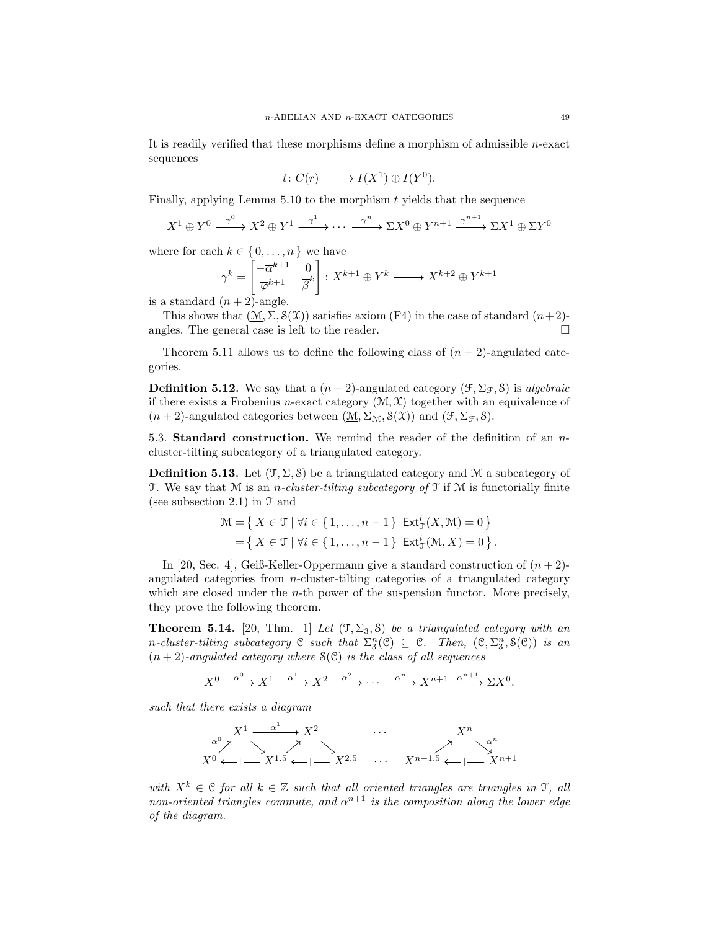It is readily verified that these morphisms define a morphism of admissible n-exact sequences

$$
t\colon C(r)\longrightarrow I(X^1)\oplus I(Y^0).
$$

Finally, applying Lemma  $5.10$  to the morphism  $t$  yields that the sequence

$$
X^{1} \oplus Y^{0} \xrightarrow{\gamma^{0}} X^{2} \oplus Y^{1} \xrightarrow{\gamma^{1}} \cdots \xrightarrow{\gamma^{n}} \Sigma X^{0} \oplus Y^{n+1} \xrightarrow{\gamma^{n+1}} \Sigma X^{1} \oplus \Sigma Y^{0}
$$

where for each  $k \in \{0, \ldots, n\}$  we have

$$
\gamma^k = \begin{bmatrix} -\overline{\alpha}^{k+1} & 0\\ \overline{\varphi}^{k+1} & \overline{\beta}^k \end{bmatrix} : X^{k+1} \oplus Y^k \longrightarrow X^{k+2} \oplus Y^{k+1}
$$

is a standard  $(n+2)$ -angle.

This shows that  $(\underline{\mathcal{M}}, \Sigma, \mathcal{S}(\mathcal{X}))$  satisfies axiom (F4) in the case of standard  $(n+2)$ angles. The general case is left to the reader.

Theorem 5.11 allows us to define the following class of  $(n + 2)$ -angulated categories.

**Definition 5.12.** We say that a  $(n+2)$ -angulated category  $(\mathcal{F}, \Sigma_{\mathcal{F}}, \mathcal{S})$  is *algebraic* if there exists a Frobenius *n*-exact category  $(\mathcal{M}, \mathcal{X})$  together with an equivalence of  $(n+2)$ -angulated categories between  $(\underline{M}, \Sigma_{\mathcal{M}}, \mathcal{S}(\mathcal{X}))$  and  $(\mathcal{F}, \Sigma_{\mathcal{F}}, \mathcal{S})$ .

5.3. Standard construction. We remind the reader of the definition of an ncluster-tilting subcategory of a triangulated category.

**Definition 5.13.** Let  $(\mathcal{T}, \Sigma, \mathcal{S})$  be a triangulated category and M a subcategory of T. We say that  $M$  is an *n-cluster-tilting subcategory of*  $T$  if  $M$  is functorially finite (see subsection 2.1) in  $\mathcal T$  and

$$
\mathcal{M} = \left\{ \left. \begin{array}{l} X \in \mathcal{T} \mid \forall i \in \{1, \dots, n-1\} \quad \text{Ext}^i_{\mathcal{T}}(X, \mathcal{M}) = 0 \end{array} \right\} \\ = \left\{ \left. \begin{array}{l} X \in \mathcal{T} \mid \forall i \in \{1, \dots, n-1\} \quad \text{Ext}^i_{\mathcal{T}}(\mathcal{M}, X) = 0 \end{array} \right\}.
$$

In [20, Sec. 4], Geiß-Keller-Oppermann give a standard construction of  $(n + 2)$ angulated categories from n-cluster-tilting categories of a triangulated category which are closed under the *n*-th power of the suspension functor. More precisely, they prove the following theorem.

**Theorem 5.14.** [20, Thm. 1] *Let*  $(\mathcal{T}, \Sigma_3, \mathcal{S})$  *be a triangulated category with an* n-cluster-tilting subcategory  $C$  such that  $\Sigma_3^n(C) \subseteq C$ . Then,  $(C, \Sigma_3^n, S(C))$  is an  $(n+2)$ -angulated category where  $\mathcal{S}(\mathcal{C})$  *is the class of all sequences* 

$$
X^{0} \xrightarrow{\alpha^{0}} X^{1} \xrightarrow{\alpha^{1}} X^{2} \xrightarrow{\alpha^{2}} \cdots \xrightarrow{\alpha^{n}} X^{n+1} \xrightarrow{\alpha^{n+1}} \Sigma X^{0}.
$$

*such that there exists a diagram*



*with*  $X^k \in \mathcal{C}$  *for all*  $k \in \mathbb{Z}$  *such that all oriented triangles are triangles in*  $\mathcal{T}$ *, all non-oriented triangles commute, and*  $\alpha^{n+1}$  *is the composition along the lower edge of the diagram.*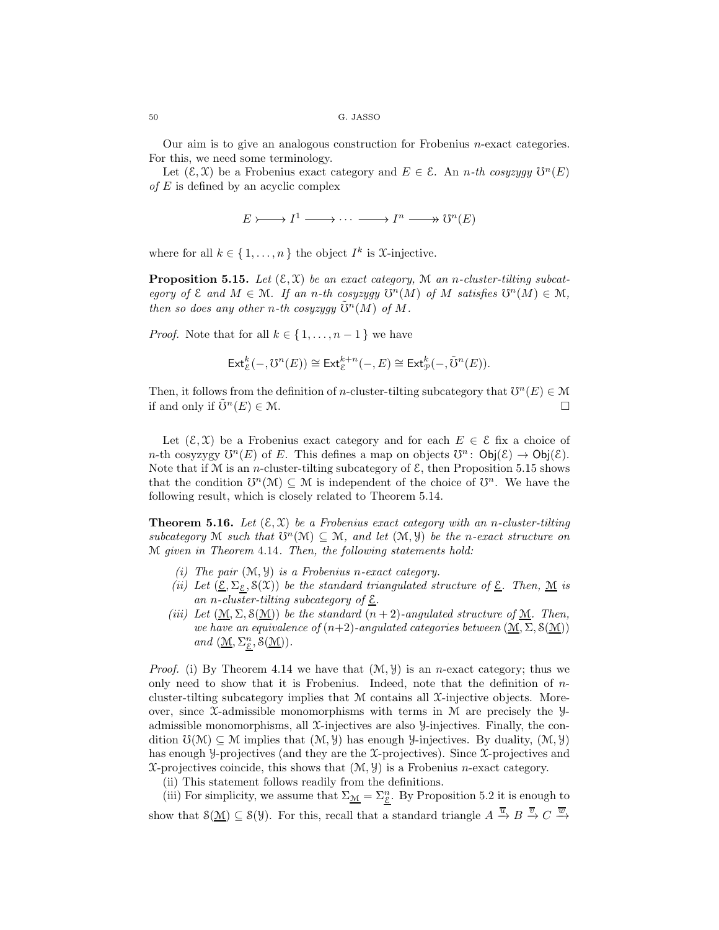Our aim is to give an analogous construction for Frobenius n-exact categories. For this, we need some terminology.

Let  $(\mathcal{E}, \mathcal{X})$  be a Frobenius exact category and  $E \in \mathcal{E}$ . An *n*-th cosyzygy  $\mathcal{U}^n(E)$ *of* E is defined by an acyclic complex

$$
E \rightarrowtail I^1 \longrightarrow \cdots \longrightarrow I^n \longrightarrow U^n(E)
$$

where for all  $k \in \{1, ..., n\}$  the object  $I^k$  is X-injective.

**Proposition 5.15.** Let  $(\mathcal{E}, \mathcal{X})$  be an exact category, M an *n*-cluster-tilting subcat*egory of*  $\mathcal{E}$  *and*  $M \in \mathcal{M}$ *. If an n-th cosyzygy*  $\mathcal{V}^n(M)$  *of*  $M$  *satisfies*  $\mathcal{U}^n(M) \in \mathcal{M}$ *, then so does any other n-th cosyzygy*  $\mathbb{S}^n(M)$  *of* M.

*Proof.* Note that for all  $k \in \{1, \ldots, n-1\}$  we have

$$
\operatorname{Ext}_{\mathcal{E}}^k(-, \mathcal{O}^n(E)) \cong \operatorname{Ext}_{\mathcal{E}}^{k+n}(-, E) \cong \operatorname{Ext}_{\mathcal{P}}^k(-, \tilde{\mathcal{O}}^n(E)).
$$

Then, it follows from the definition of n-cluster-tilting subcategory that  $\mathfrak{O}^n(E) \in \mathcal{M}$ if and only if  $\tilde{\mathrm{U}}^n(E) \in \mathcal{M}$ .

Let  $(\mathcal{E}, \mathcal{X})$  be a Frobenius exact category and for each  $E \in \mathcal{E}$  fix a choice of *n*-th cosyzygy  $\mathcal{U}^n(E)$  of E. This defines a map on objects  $\mathcal{U}^n$ :  $\mathsf{Obj}(\mathcal{E}) \to \mathsf{Obj}(\mathcal{E})$ . Note that if  $M$  is an *n*-cluster-tilting subcategory of  $\mathcal{E}$ , then Proposition 5.15 shows that the condition  $\mathbb{O}^n(\mathcal{M}) \subseteq \mathcal{M}$  is independent of the choice of  $\mathbb{O}^n$ . We have the following result, which is closely related to Theorem 5.14.

**Theorem 5.16.** Let  $(\mathcal{E}, \mathcal{X})$  be a Frobenius exact category with an *n*-cluster-tilting  $subcategory \mathcal{M}$  such that  $\mathcal{O}^n(\mathcal{M}) \subseteq \mathcal{M}$ , and let  $(\mathcal{M}, \mathcal{Y})$  be the *n*-exact structure on M *given in Theorem* 4.14*. Then, the following statements hold:*

- *(i) The pair* (M, Y) *is a Frobenius* n*-exact category.*
- *(ii)* Let  $(\underline{\mathcal{E}}, \Sigma_{\varepsilon}, \mathcal{S}(\mathcal{X}))$  *be the standard triangulated structure of*  $\underline{\mathcal{E}}$ *. Then,*  $\underline{\mathcal{M}}$  *is an* n*-cluster-tilting subcategory of* E*.*
- *(iii)* Let  $(\underline{M}, \Sigma, \mathcal{S}(\underline{M}))$  *be the standard*  $(n+2)$ *-angulated structure of*  $\underline{M}$ *. Then, we have an equivalence of*  $(n+2)$ *-angulated categories between*  $(\mathcal{M}, \Sigma, \mathcal{S}(\mathcal{M}))$  $and \ (\underline{\mathcal{M}}, \Sigma^n_{\underline{\mathcal{E}}}, \mathcal{S}(\underline{\mathcal{M}})).$

*Proof.* (i) By Theorem 4.14 we have that  $(\mathcal{M}, \mathcal{Y})$  is an *n*-exact category; thus we only need to show that it is Frobenius. Indeed, note that the definition of  $n$ cluster-tilting subcategory implies that M contains all X-injective objects. Moreover, since  $\mathfrak{X}\text{-admissible monomorphisms with terms in }\mathfrak{M}$  are precisely the Yadmissible monomorphisms, all  $\mathfrak X$ -injectives are also  $\mathcal Y$ -injectives. Finally, the condition  $\mathcal{O}(\mathcal{M}) \subseteq \mathcal{M}$  implies that  $(\mathcal{M}, \mathcal{Y})$  has enough *y*-injectives. By duality,  $(\mathcal{M}, \mathcal{Y})$ has enough *y*-projectives (and they are the *X*-projectives). Since *X*-projectives and  $\mathfrak{X}\text{-projectives coincide, this shows that }(\mathcal{M}, \mathcal{Y})$  is a Frobenius *n*-exact category.

(ii) This statement follows readily from the definitions.

(iii) For simplicity, we assume that  $\Sigma_{\mathcal{M}} = \Sigma_{\mathcal{E}}^n$ . By Proposition 5.2 it is enough to show that  $S(\mathcal{M}) \subseteq S(\mathcal{Y})$ . For this, recall that a standard triangle  $A \stackrel{\overline{u}}{\rightarrow} B \stackrel{\overline{v}}{\rightarrow} C \stackrel{\overline{w}}{\rightarrow}$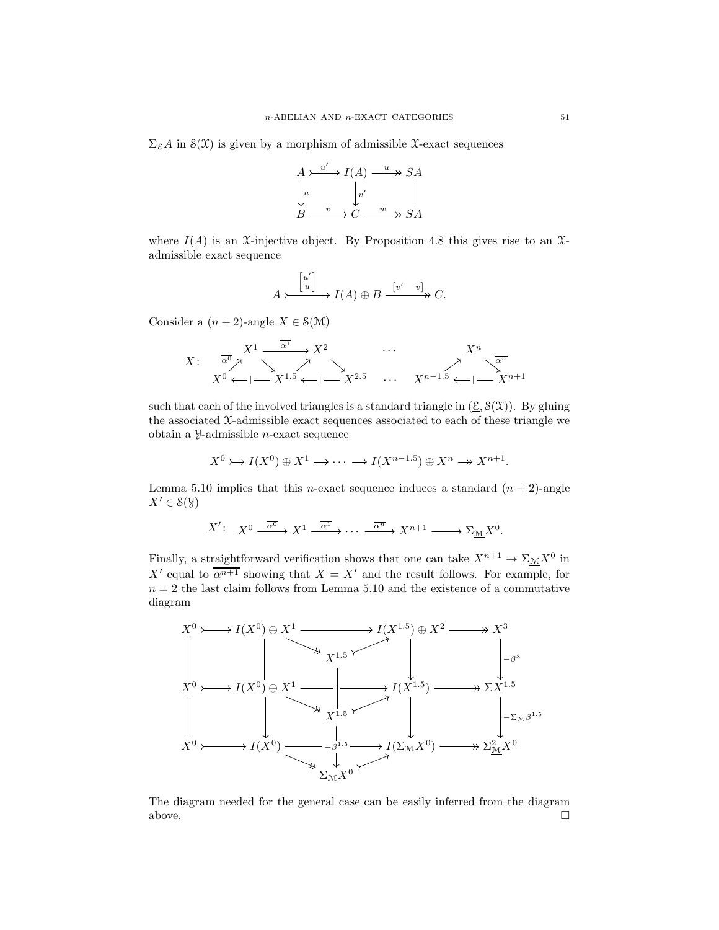$\Sigma_{\mathcal{E}} A$  in  $\mathcal{S}(\mathfrak{X})$  is given by a morphism of admissible X-exact sequences



where  $I(A)$  is an X-injective object. By Proposition 4.8 this gives rise to an Xadmissible exact sequence

$$
A \rightarrow \begin{bmatrix} u' \\ u \end{bmatrix} \rightarrow I(A) \oplus B \xrightarrow{\begin{bmatrix} v' & v \end{bmatrix}} C.
$$

Consider a  $(n+2)$ -angle  $X \in \mathcal{S}(\mathcal{M})$ 

$$
X: \begin{array}{c} X^1 \xrightarrow{\overline{\alpha^1}} X^2 \qquad \cdots \qquad \qquad X^n \\ \hline X^0 \longleftarrow |X^{1.5} \longleftarrow |X^{2.5} \qquad \cdots \qquad X^{n-1.5} \longleftarrow |X^{n+1} \end{array}
$$

such that each of the involved triangles is a standard triangle in  $(\underline{\mathcal{E}}, \mathcal{S}(\mathcal{X}))$ . By gluing the associated X-admissible exact sequences associated to each of these triangle we obtain a Y-admissible n-exact sequence

$$
X^{0} \rightarrowtail I(X^{0}) \oplus X^{1} \longrightarrow \cdots \longrightarrow I(X^{n-1.5}) \oplus X^{n} \longrightarrow X^{n+1}.
$$

Lemma 5.10 implies that this *n*-exact sequence induces a standard  $(n + 2)$ -angle  $X' \in \mathcal{S}(\mathcal{Y})$ 

$$
X' \colon X^0 \xrightarrow{\overline{\alpha^0}} X^1 \xrightarrow{\overline{\alpha^1}} \cdots \xrightarrow{\overline{\alpha^n}} X^{n+1} \xrightarrow{\overline{\Delta}} \Sigma_{\underline{M}} X^0.
$$

Finally, a straightforward verification shows that one can take  $X^{n+1} \to \Sigma_{\mathcal{M}} X^0$  in X' equal to  $\overline{\alpha^{n+1}}$  showing that  $X = X'$  and the result follows. For example, for  $n = 2$  the last claim follows from Lemma 5.10 and the existence of a commutative diagram



The diagram needed for the general case can be easily inferred from the diagram above.  $\hfill \square$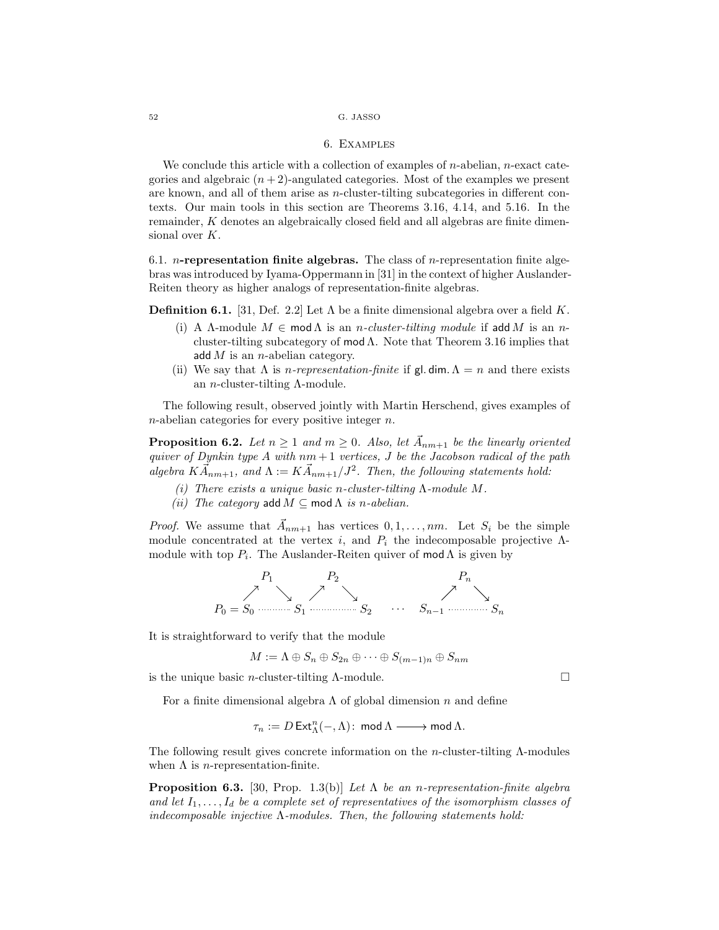### 6. Examples

We conclude this article with a collection of examples of  $n$ -abelian,  $n$ -exact categories and algebraic  $(n+2)$ -angulated categories. Most of the examples we present are known, and all of them arise as  $n$ -cluster-tilting subcategories in different contexts. Our main tools in this section are Theorems 3.16, 4.14, and 5.16. In the remainder, K denotes an algebraically closed field and all algebras are finite dimensional over K.

6.1. *n*-representation finite algebras. The class of *n*-representation finite algebras was introduced by Iyama-Oppermann in [31] in the context of higher Auslander-Reiten theory as higher analogs of representation-finite algebras.

**Definition 6.1.** [31, Def. 2.2] Let  $\Lambda$  be a finite dimensional algebra over a field K.

- (i) A Λ-module  $M \in \text{mod }\Lambda$  is an *n*-cluster-tilting module if add M is an *n*cluster-tilting subcategory of mod  $\Lambda$ . Note that Theorem 3.16 implies that add  $M$  is an *n*-abelian category.
- (ii) We say that  $\Lambda$  is *n-representation-finite* if gl. dim.  $\Lambda = n$  and there exists an *n*-cluster-tilting  $\Lambda$ -module.

The following result, observed jointly with Martin Herschend, gives examples of  $n$ -abelian categories for every positive integer  $n$ .

**Proposition 6.2.** Let  $n \geq 1$  and  $m \geq 0$ . Also, let  $\vec{A}_{nm+1}$  be the linearly oriented *quiver of Dynkin type* A *with* nm + 1 *vertices,* J *be the Jacobson radical of the path*  $algebra$   $K\vec{A}_{nm+1}$ , and  $\Lambda := K\vec{A}_{nm+1}/J^2$ . Then, the following statements hold:

- *(i) There exists a unique basic* n*-cluster-tilting* Λ*-module* M*.*
- *(ii)* The category add  $M \subseteq \text{mod } \Lambda$  *is n-abelian.*

*Proof.* We assume that  $\vec{A}_{nm+1}$  has vertices  $0, 1, \ldots, nm$ . Let  $S_i$  be the simple module concentrated at the vertex i, and  $P_i$  the indecomposable projective  $\Lambda$ module with top  $P_i$ . The Auslander-Reiten quiver of mod  $\Lambda$  is given by



It is straightforward to verify that the module

$$
M := \Lambda \oplus S_n \oplus S_{2n} \oplus \cdots \oplus S_{(m-1)n} \oplus S_{nm}
$$

is the unique basic *n*-cluster-tilting  $\Lambda$ -module.

For a finite dimensional algebra  $\Lambda$  of global dimension n and define

$$
\tau_n:=D\operatorname{Ext}\nolimits^n_{\Lambda}(-,\Lambda)\colon \operatorname{\mathsf{mod}}\nolimits\Lambda\longrightarrow \operatorname{\mathsf{mod}}\nolimits\Lambda.
$$

The following result gives concrete information on the n-cluster-tilting Λ-modules when  $\Lambda$  is *n*-representation-finite.

Proposition 6.3. [30, Prop. 1.3(b)] *Let* Λ *be an* n*-representation-finite algebra* and let  $I_1, \ldots, I_d$  be a complete set of representatives of the isomorphism classes of *indecomposable injective* Λ*-modules. Then, the following statements hold:*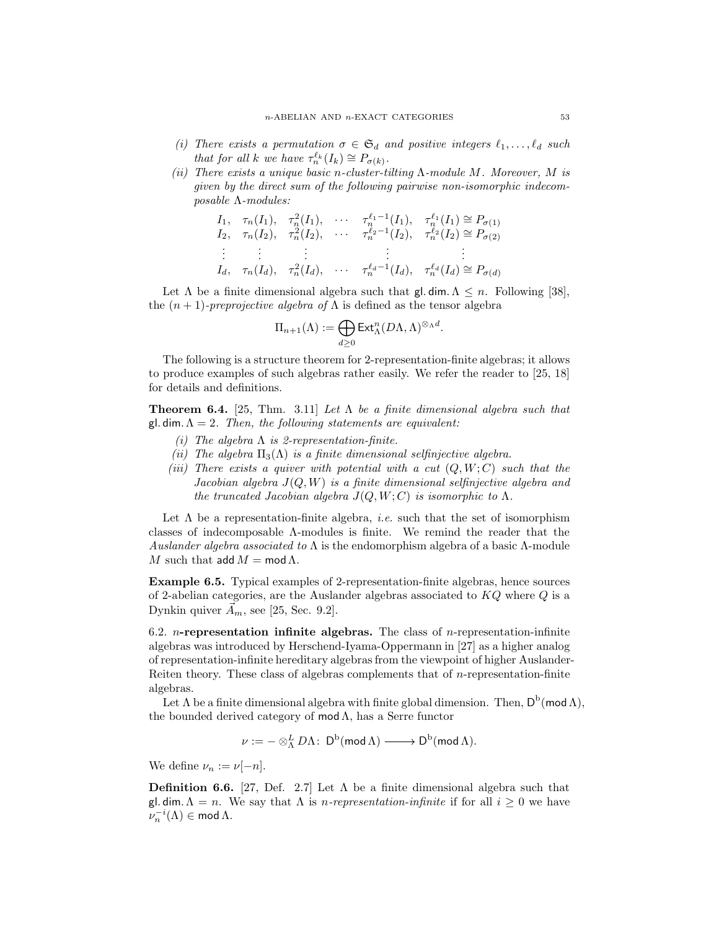- *(i)* There exists a permutation  $\sigma \in \mathfrak{S}_d$  and positive integers  $\ell_1, \ldots, \ell_d$  such *that for all k we have*  $\tau_n^{\ell_k}(I_k) \cong P_{\sigma(k)}$ *.*
- *(ii) There exists a unique basic* n*-cluster-tilting* Λ*-module* M*. Moreover,* M *is given by the direct sum of the following pairwise non-isomorphic indecomposable* Λ*-modules:*

$$
I_1, \quad \tau_n(I_1), \quad \tau_n^2(I_1), \quad \cdots \quad \tau_n^{\ell_1-1}(I_1), \quad \tau_n^{\ell_1}(I_1) \cong P_{\sigma(1)}
$$
\n
$$
I_2, \quad \tau_n(I_2), \quad \tau_n^2(I_2), \quad \cdots \quad \tau_n^{\ell_2-1}(I_2), \quad \tau_n^{\ell_2}(I_2) \cong P_{\sigma(2)}
$$
\n
$$
\vdots \quad \vdots \quad \vdots \quad \vdots
$$
\n
$$
I_d, \quad \tau_n(I_d), \quad \tau_n^2(I_d), \quad \cdots \quad \tau_n^{\ell_d-1}(I_d), \quad \tau_n^{\ell_d}(I_d) \cong P_{\sigma(d)}
$$

Let  $\Lambda$  be a finite dimensional algebra such that gl. dim.  $\Lambda \leq n$ . Following [38], the  $(n + 1)$ *-preprojective algebra of*  $\Lambda$  is defined as the tensor algebra

$$
\Pi_{n+1}(\Lambda) := \bigoplus_{d \geq 0} \operatorname{Ext}_{\Lambda}^{n}(D\Lambda, \Lambda)^{\otimes_{\Lambda} d}.
$$

The following is a structure theorem for 2-representation-finite algebras; it allows to produce examples of such algebras rather easily. We refer the reader to [25, 18] for details and definitions.

Theorem 6.4. [25, Thm. 3.11] *Let* Λ *be a finite dimensional algebra such that* gl. dim.Λ = 2*. Then, the following statements are equivalent:*

- *(i) The algebra* Λ *is 2-representation-finite.*
- *(ii)* The algebra  $\Pi_3(\Lambda)$  *is a finite dimensional selfinjective algebra.*
- *(iii) There exists a quiver with potential with a cut* (Q, W; C) *such that the Jacobian algebra* J(Q, W) *is a finite dimensional selfinjective algebra and the truncated Jacobian algebra*  $J(Q, W; C)$  *is isomorphic to*  $\Lambda$ *.*

Let  $\Lambda$  be a representation-finite algebra, *i.e.* such that the set of isomorphism classes of indecomposable Λ-modules is finite. We remind the reader that the *Auslander algebra associated to* Λ is the endomorphism algebra of a basic Λ-module M such that  $\mathsf{add}\,M = \mathsf{mod}\,\Lambda$ .

Example 6.5. Typical examples of 2-representation-finite algebras, hence sources of 2-abelian categories, are the Auslander algebras associated to  $KQ$  where  $Q$  is a Dynkin quiver  $A_m$ , see [25, Sec. 9.2].

6.2. *n*-representation infinite algebras. The class of *n*-representation-infinite algebras was introduced by Herschend-Iyama-Oppermann in [27] as a higher analog of representation-infinite hereditary algebras from the viewpoint of higher Auslander-Reiten theory. These class of algebras complements that of  $n$ -representation-finite algebras.

Let  $\Lambda$  be a finite dimensional algebra with finite global dimension. Then,  $\mathsf{D}^{\mathrm{b}}(\mathsf{mod}\,\Lambda),$ the bounded derived category of  $mod \Lambda$ , has a Serre functor

 $\nu:=-\otimes^L_{\Lambda} D\Lambda\colon\operatorname{\sf D}^{\rm b}(\operatorname{\mathsf{mod}}\Lambda)\longrightarrow\operatorname{\sf D}^{\rm b}(\operatorname{\mathsf{mod}}\Lambda).$ 

We define  $\nu_n := \nu[-n]$ .

**Definition 6.6.** [27, Def. 2.7] Let  $\Lambda$  be a finite dimensional algebra such that gl. dim.  $\Lambda = n$ . We say that  $\Lambda$  is *n-representation-infinite* if for all  $i \geq 0$  we have  $\nu_n^{-i}(\Lambda) \in \text{mod } \Lambda.$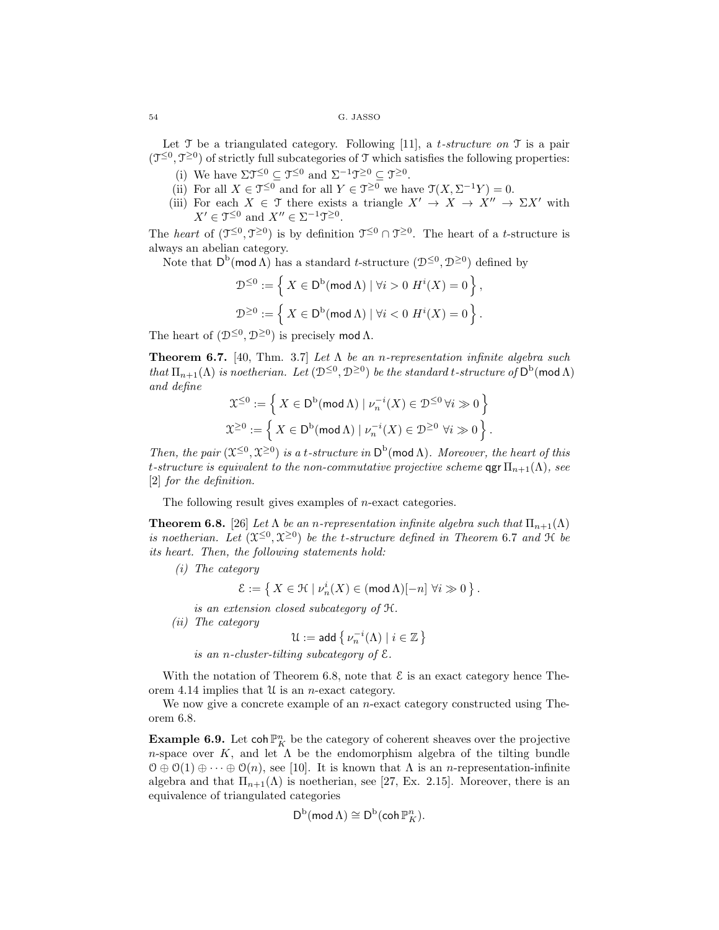Let T be a triangulated category. Following [11], a t*-structure on* T is a pair  $(\mathcal{T}^{\leq 0}, \mathcal{T}^{\geq 0})$  of strictly full subcategories of  $\mathcal T$  which satisfies the following properties:

- (i) We have  $\Sigma \mathfrak{T}^{\leq 0} \subseteq \mathfrak{T}^{\leq 0}$  and  $\Sigma^{-1} \mathfrak{T}^{\geq 0} \subseteq \mathfrak{T}^{\geq 0}$ .
- (ii) For all  $X \in \mathfrak{T}^{\leq 0}$  and for all  $Y \in \mathfrak{T}^{\geq 0}$  we have  $\mathfrak{T}(X, \Sigma^{-1}Y) = 0$ .
- (iii) For each  $X \in \mathcal{T}$  there exists a triangle  $X' \to X \to X'' \to \Sigma X'$  with  $X' \in \mathfrak{I}^{\leq 0}$  and  $X'' \in \Sigma^{-1} \mathfrak{I}^{\geq 0}$ .

The *heart* of  $(\mathcal{T}^{\leq 0}, \mathcal{T}^{\geq 0})$  is by definition  $\mathcal{T}^{\leq 0} \cap \mathcal{T}^{\geq 0}$ . The heart of a *t*-structure is always an abelian category.

Note that  $D^b(\text{mod }\Lambda)$  has a standard t-structure  $(\mathcal{D}^{\leq 0}, \mathcal{D}^{\geq 0})$  defined by

$$
\mathcal{D}^{\leq 0} := \left\{ \left. X \in \mathsf{D}^{\mathrm{b}}(\mathsf{mod}\,\Lambda) \mid \forall i > 0 \ H^i(X) = 0 \right. \right\},
$$
  

$$
\mathcal{D}^{\geq 0} := \left\{ \left. X \in \mathsf{D}^{\mathrm{b}}(\mathsf{mod}\,\Lambda) \mid \forall i < 0 \ H^i(X) = 0 \right. \right\}.
$$

The heart of  $(\mathcal{D}^{\leq 0}, \mathcal{D}^{\geq 0})$  is precisely mod  $\Lambda$ .

Theorem 6.7. [40, Thm. 3.7] *Let* Λ *be an* n*-representation infinite algebra such that*  $\Pi_{n+1}(\Lambda)$  *is noetherian.* Let  $(\mathcal{D}^{\leq 0}, \mathcal{D}^{\geq 0})$  *be the standard t-structure of*  $D^b$ (mod  $\Lambda$ ) *and define*

$$
\mathcal{X}^{\leq 0} := \left\{ X \in \mathsf{D}^{\mathrm{b}}(\mathsf{mod}\,\Lambda) \mid \nu_n^{-i}(X) \in \mathcal{D}^{\leq 0} \,\forall i \gg 0 \right\}
$$
  

$$
\mathcal{X}^{\geq 0} := \left\{ X \in \mathsf{D}^{\mathrm{b}}(\mathsf{mod}\,\Lambda) \mid \nu_n^{-i}(X) \in \mathcal{D}^{\geq 0} \,\forall i \gg 0 \right\}.
$$

*Then, the pair*  $(\mathfrak{X}^{\leq 0}, \mathfrak{X}^{\geq 0})$  *is a t-structure in*  $D^b(\text{mod }\Lambda)$ *. Moreover, the heart of this* t-structure is equivalent to the non-commutative projective scheme  $\operatorname{qgr} \Pi_{n+1}(\Lambda)$ , see [2] *for the definition.*

The following result gives examples of n-exact categories.

**Theorem 6.8.** [26] *Let*  $\Lambda$  *be an n-representation infinite algebra such that*  $\Pi_{n+1}(\Lambda)$ is noetherian. Let  $(\mathfrak{X}^{\leq 0}, \mathfrak{X}^{\geq 0})$  be the *t*-structure defined in Theorem 6.7 and  $\mathfrak{H}$  be *its heart. Then, the following statements hold:*

*(i) The category*

 $\mathcal{E}:=\left\{\,X\in\mathcal{H}\mid\nu_n^i(X)\in(\operatorname{\mathsf{mod}}\Lambda)[-n]\,\,\forall i\gg0\,\right\}.$ 

*is an extension closed subcategory of* H*.*

*(ii) The category*

$$
\mathfrak{U}:=\mathsf{add}\,\big\{\,\nu_n^{-i}(\Lambda)\mid i\in\mathbb{Z}\,\big\}
$$

*is an* n*-cluster-tilting subcategory of* E*.*

With the notation of Theorem 6.8, note that  $\mathcal E$  is an exact category hence Theorem 4.14 implies that  $\mathcal U$  is an *n*-exact category.

We now give a concrete example of an  $n$ -exact category constructed using Theorem 6.8.

**Example 6.9.** Let  $\text{coh }\mathbb{P}^n$  be the category of coherent sheaves over the projective n-space over K, and let  $\Lambda$  be the endomorphism algebra of the tilting bundle  $\mathcal{O} \oplus \mathcal{O}(1) \oplus \cdots \oplus \mathcal{O}(n)$ , see [10]. It is known that  $\Lambda$  is an *n*-representation-infinite algebra and that  $\Pi_{n+1}(\Lambda)$  is noetherian, see [27, Ex. 2.15]. Moreover, there is an equivalence of triangulated categories

$$
\mathsf{D}^{\mathrm{b}}(\operatorname{mod} \Lambda) \cong \mathsf{D}^{\mathrm{b}}(\operatorname{coh} \mathbb{P}^n_K).
$$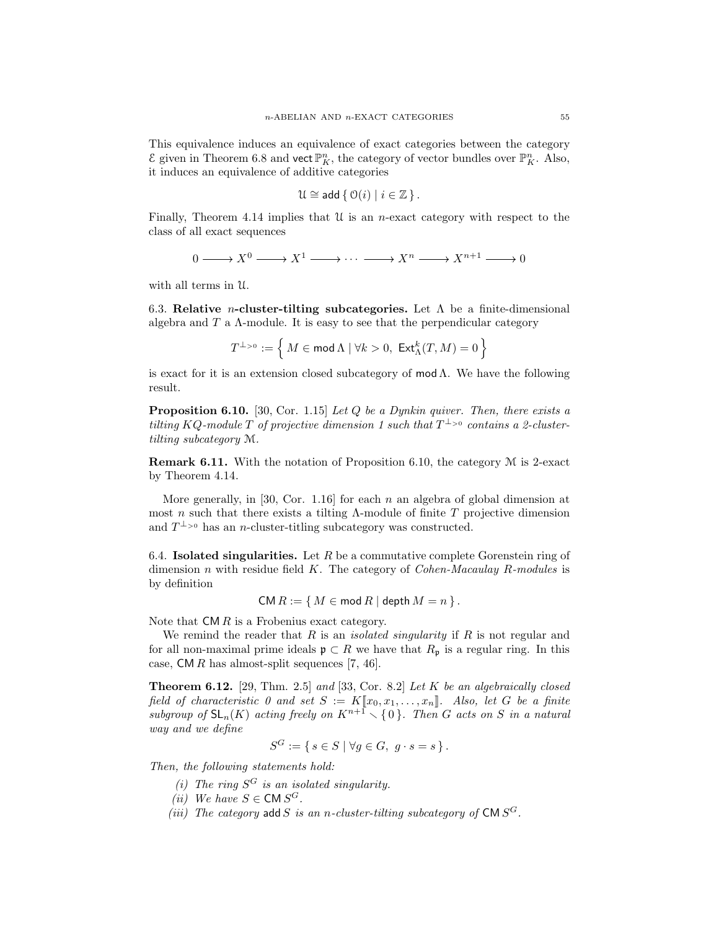This equivalence induces an equivalence of exact categories between the category  $\mathcal E$  given in Theorem 6.8 and vect  $\mathbb P^n_K$ , the category of vector bundles over  $\mathbb P^n_K$ . Also, it induces an equivalence of additive categories

$$
\mathfrak{U} \cong \mathsf{add} \{ \mathcal{O}(i) \mid i \in \mathbb{Z} \}.
$$

Finally, Theorem 4.14 implies that  $\mathcal U$  is an *n*-exact category with respect to the class of all exact sequences

$$
0 \longrightarrow X^0 \longrightarrow X^1 \longrightarrow \cdots \longrightarrow X^n \longrightarrow X^{n+1} \longrightarrow 0
$$

with all terms in U.

6.3. Relative *n*-cluster-tilting subcategories. Let  $\Lambda$  be a finite-dimensional algebra and  $T$  a  $\Lambda$ -module. It is easy to see that the perpendicular category

$$
T^{\perp_{>0}}:=\Big\{\,M\in\operatorname{\mathsf{mod}}\nolimits\Lambda\mid\forall k>0,\;\operatorname{\mathsf{Ext}}\nolimits_{\Lambda}^k(T,M)=0\,\Big\}
$$

is exact for it is an extension closed subcategory of mod $\Lambda$ . We have the following result.

Proposition 6.10. [30, Cor. 1.15] *Let* Q *be a Dynkin quiver. Then, there exists a tilting*  $KQ$ -module  $T$  of projective dimension 1 such that  $T^{\perp_{>0}}$  contains a 2-cluster*tilting subcategory* M*.*

**Remark 6.11.** With the notation of Proposition 6.10, the category  $M$  is 2-exact by Theorem 4.14.

More generally, in [30, Cor. 1.16] for each n an algebra of global dimension at most n such that there exists a tilting  $\Lambda$ -module of finite T projective dimension and  $T^{\perp_{>0}}$  has an *n*-cluster-titling subcategory was constructed.

6.4. **Isolated singularities.** Let  $R$  be a commutative complete Gorenstein ring of dimension n with residue field K. The category of *Cohen-Macaulay* R*-modules* is by definition

$$
CM R := \{ M \in \text{mod } R \mid \text{depth } M = n \}.
$$

Note that  $\mathsf{CM} R$  is a Frobenius exact category.

We remind the reader that R is an *isolated singularity* if R is not regular and for all non-maximal prime ideals  $\mathfrak{p} \subset R$  we have that  $R_{\mathfrak{p}}$  is a regular ring. In this case,  $CM R$  has almost-split sequences [7, 46].

Theorem 6.12. [29, Thm. 2.5] *and* [33, Cor. 8.2] *Let* K *be an algebraically closed field of characteristic 0 and set*  $S := K[\![x_0, x_1, \ldots, x_n]\!]$ . Also, let G be a finite *subgroup of*  $SL_n(K)$  *acting freely on*  $K^{n+1} \setminus \{0\}$ *. Then* G *acts on* S *in a natural way and we define*

$$
S^G := \{ s \in S \mid \forall g \in G, \ g \cdot s = s \}.
$$

*Then, the following statements hold:*

- *(i) The ring* S <sup>G</sup> *is an isolated singularity.*
- (*ii*) We have  $S \in \text{CM } S^G$ .
- (*iii*) The category  $\text{add } S$  *is an n-cluster-tilting subcategory of*  $\text{CM } S^G$ .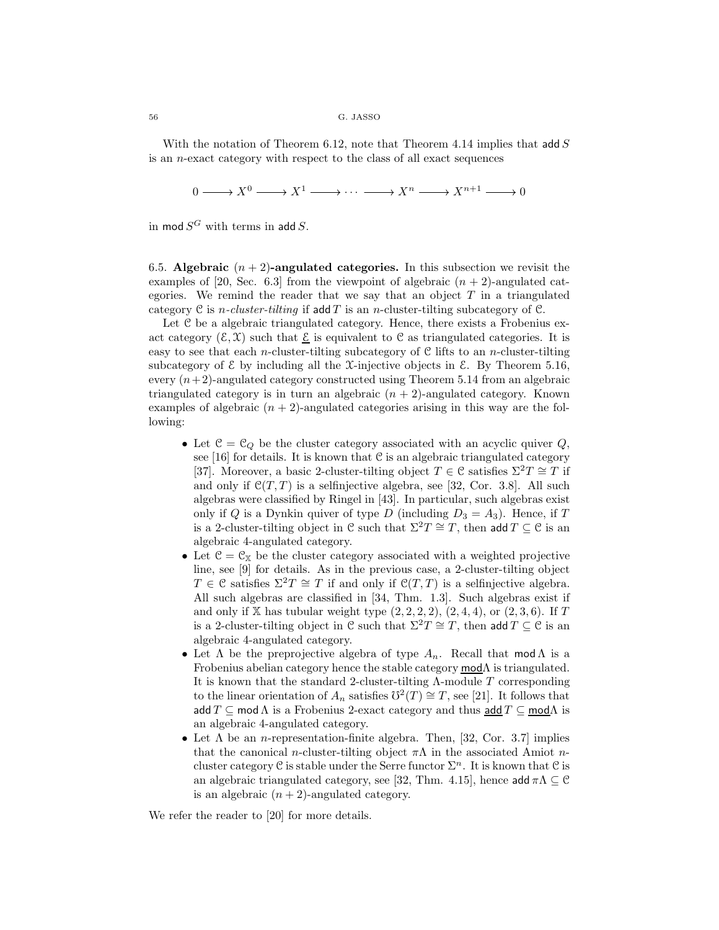With the notation of Theorem 6.12, note that Theorem 4.14 implies that add  $S$ is an n-exact category with respect to the class of all exact sequences

 $0 \longrightarrow X^0 \longrightarrow X^1 \longrightarrow \cdots \longrightarrow X^n \longrightarrow X^{n+1} \longrightarrow 0$ 

in mod  $S^G$  with terms in add  $S$ .

6.5. Algebraic  $(n+2)$ -angulated categories. In this subsection we revisit the examples of [20, Sec. 6.3] from the viewpoint of algebraic  $(n + 2)$ -angulated categories. We remind the reader that we say that an object  $T$  in a triangulated category  $C$  is *n-cluster-tilting* if add  $T$  is an *n*-cluster-tilting subcategory of  $C$ .

Let C be a algebraic triangulated category. Hence, there exists a Frobenius exact category  $(\mathcal{E}, \mathcal{X})$  such that  $\mathcal E$  is equivalent to C as triangulated categories. It is easy to see that each *n*-cluster-tilting subcategory of  $C$  lifts to an *n*-cluster-tilting subcategory of  $\mathcal E$  by including all the X-injective objects in  $\mathcal E$ . By Theorem 5.16, every  $(n+2)$ -angulated category constructed using Theorem 5.14 from an algebraic triangulated category is in turn an algebraic  $(n + 2)$ -angulated category. Known examples of algebraic  $(n + 2)$ -angulated categories arising in this way are the following:

- Let  $\mathcal{C} = \mathcal{C}_Q$  be the cluster category associated with an acyclic quiver  $Q$ , see [16] for details. It is known that  $C$  is an algebraic triangulated category [37]. Moreover, a basic 2-cluster-tilting object  $T \in \mathcal{C}$  satisfies  $\Sigma^2 T \cong T$  if and only if  $\mathcal{C}(T,T)$  is a selfinjective algebra, see [32, Cor. 3.8]. All such algebras were classified by Ringel in [43]. In particular, such algebras exist only if Q is a Dynkin quiver of type D (including  $D_3 = A_3$ ). Hence, if T is a 2-cluster-tilting object in C such that  $\Sigma^2 T \cong T$ , then add  $T \subseteq \mathcal{C}$  is an algebraic 4-angulated category.
- Let  $C = C_X$  be the cluster category associated with a weighted projective line, see [9] for details. As in the previous case, a 2-cluster-tilting object  $T \in \mathcal{C}$  satisfies  $\Sigma^2 T \cong T$  if and only if  $\mathcal{C}(T,T)$  is a selfinjective algebra. All such algebras are classified in [34, Thm. 1.3]. Such algebras exist if and only if  $X$  has tubular weight type  $(2, 2, 2, 2), (2, 4, 4),$  or  $(2, 3, 6)$ . If T is a 2-cluster-tilting object in C such that  $\Sigma^2 T \cong T$ , then add  $T \subseteq \mathcal{C}$  is an algebraic 4-angulated category.
- Let  $\Lambda$  be the preprojective algebra of type  $A_n$ . Recall that mod  $\Lambda$  is a Frobenius abelian category hence the stable category  $\mathsf{mod}\Lambda$  is triangulated. It is known that the standard 2-cluster-tilting  $\Lambda$ -module  $T$  corresponding to the linear orientation of  $A_n$  satisfies  $\mathbb{O}^2(T) \cong T$ , see [21]. It follows that add  $T \subseteq \text{mod }\Lambda$  is a Frobenius 2-exact category and thus  $\text{add } T \subseteq \text{mod }\Lambda$  is an algebraic 4-angulated category.
- Let  $\Lambda$  be an *n*-representation-finite algebra. Then, [32, Cor. 3.7] implies that the canonical *n*-cluster-tilting object  $\pi\Lambda$  in the associated Amiot *n*cluster category C is stable under the Serre functor  $\Sigma<sup>n</sup>$ . It is known that C is an algebraic triangulated category, see [32, Thm. 4.15], hence add  $\pi \Lambda \subseteq \mathcal{C}$ is an algebraic  $(n + 2)$ -angulated category.

We refer the reader to [20] for more details.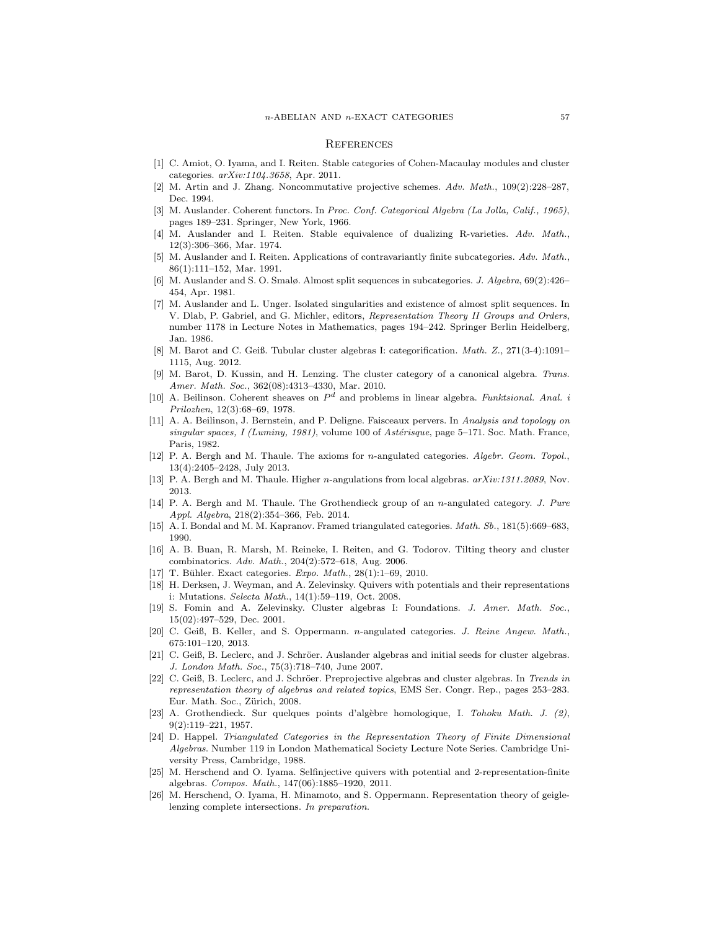#### **REFERENCES**

- [1] C. Amiot, O. Iyama, and I. Reiten. Stable categories of Cohen-Macaulay modules and cluster categories. *arXiv:1104.3658*, Apr. 2011.
- [2] M. Artin and J. Zhang. Noncommutative projective schemes. *Adv. Math.*, 109(2):228–287, Dec. 1994.
- [3] M. Auslander. Coherent functors. In *Proc. Conf. Categorical Algebra (La Jolla, Calif., 1965)*, pages 189–231. Springer, New York, 1966.
- [4] M. Auslander and I. Reiten. Stable equivalence of dualizing R-varieties. *Adv. Math.*, 12(3):306–366, Mar. 1974.
- [5] M. Auslander and I. Reiten. Applications of contravariantly finite subcategories. *Adv. Math.*, 86(1):111–152, Mar. 1991.
- [6] M. Auslander and S. O. Smalø. Almost split sequences in subcategories. *J. Algebra*, 69(2):426– 454, Apr. 1981.
- [7] M. Auslander and L. Unger. Isolated singularities and existence of almost split sequences. In V. Dlab, P. Gabriel, and G. Michler, editors, *Representation Theory II Groups and Orders*, number 1178 in Lecture Notes in Mathematics, pages 194–242. Springer Berlin Heidelberg, Jan. 1986.
- [8] M. Barot and C. Geiß. Tubular cluster algebras I: categorification. *Math. Z.*, 271(3-4):1091– 1115, Aug. 2012.
- [9] M. Barot, D. Kussin, and H. Lenzing. The cluster category of a canonical algebra. *Trans. Amer. Math. Soc.*, 362(08):4313–4330, Mar. 2010.
- [10] A. Beilinson. Coherent sheaves on P <sup>d</sup> and problems in linear algebra. *Funktsional. Anal. i Prilozhen*, 12(3):68–69, 1978.
- [11] A. A. Beilinson, J. Bernstein, and P. Deligne. Faisceaux pervers. In *Analysis and topology on singular spaces, I (Luminy, 1981)*, volume 100 of *Astérisque*, page 5-171. Soc. Math. France, Paris, 1982.
- [12] P. A. Bergh and M. Thaule. The axioms for n-angulated categories. *Algebr. Geom. Topol.*, 13(4):2405–2428, July 2013.
- [13] P. A. Bergh and M. Thaule. Higher n-angulations from local algebras. *arXiv:1311.2089*, Nov. 2013.
- [14] P. A. Bergh and M. Thaule. The Grothendieck group of an n-angulated category. *J. Pure Appl. Algebra*, 218(2):354–366, Feb. 2014.
- [15] A. I. Bondal and M. M. Kapranov. Framed triangulated categories. *Math. Sb.*, 181(5):669–683, 1990.
- [16] A. B. Buan, R. Marsh, M. Reineke, I. Reiten, and G. Todorov. Tilting theory and cluster combinatorics. *Adv. Math.*, 204(2):572–618, Aug. 2006.
- [17] T. Bühler. Exact categories. *Expo. Math.*, 28(1):1-69, 2010.
- [18] H. Derksen, J. Weyman, and A. Zelevinsky. Quivers with potentials and their representations i: Mutations. *Selecta Math.*, 14(1):59–119, Oct. 2008.
- [19] S. Fomin and A. Zelevinsky. Cluster algebras I: Foundations. *J. Amer. Math. Soc.*, 15(02):497–529, Dec. 2001.
- [20] C. Geiß, B. Keller, and S. Oppermann. n-angulated categories. *J. Reine Angew. Math.*, 675:101–120, 2013.
- [21] C. Geiß, B. Leclerc, and J. Schröer. Auslander algebras and initial seeds for cluster algebras. *J. London Math. Soc.*, 75(3):718–740, June 2007.
- [22] C. Geiß, B. Leclerc, and J. Schröer. Preprojective algebras and cluster algebras. In *Trends in representation theory of algebras and related topics*, EMS Ser. Congr. Rep., pages 253–283. Eur. Math. Soc., Zürich, 2008.
- [23] A. Grothendieck. Sur quelques points d'alg`ebre homologique, I. *Tohoku Math. J. (2)*, 9(2):119–221, 1957.
- [24] D. Happel. *Triangulated Categories in the Representation Theory of Finite Dimensional Algebras*. Number 119 in London Mathematical Society Lecture Note Series. Cambridge University Press, Cambridge, 1988.
- [25] M. Herschend and O. Iyama. Selfinjective quivers with potential and 2-representation-finite algebras. *Compos. Math.*, 147(06):1885–1920, 2011.
- [26] M. Herschend, O. Iyama, H. Minamoto, and S. Oppermann. Representation theory of geiglelenzing complete intersections. *In preparation*.